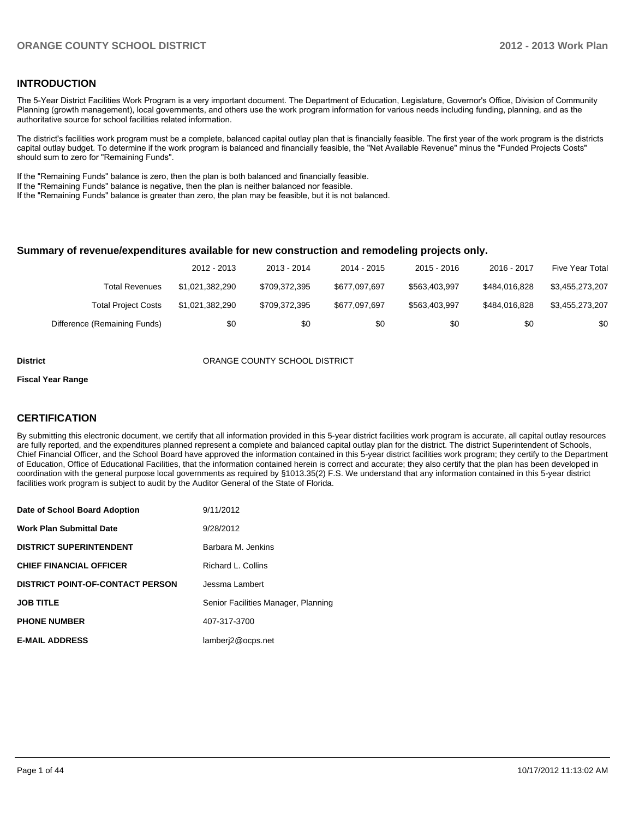#### **INTRODUCTION**

The 5-Year District Facilities Work Program is a very important document. The Department of Education, Legislature, Governor's Office, Division of Community Planning (growth management), local governments, and others use the work program information for various needs including funding, planning, and as the authoritative source for school facilities related information.

The district's facilities work program must be a complete, balanced capital outlay plan that is financially feasible. The first year of the work program is the districts capital outlay budget. To determine if the work program is balanced and financially feasible, the "Net Available Revenue" minus the "Funded Projects Costs" should sum to zero for "Remaining Funds".

If the "Remaining Funds" balance is zero, then the plan is both balanced and financially feasible.

If the "Remaining Funds" balance is negative, then the plan is neither balanced nor feasible.

If the "Remaining Funds" balance is greater than zero, the plan may be feasible, but it is not balanced.

#### **Summary of revenue/expenditures available for new construction and remodeling projects only.**

|                              | 2012 - 2013     | 2013 - 2014   | 2014 - 2015   | $2015 - 2016$ | 2016 - 2017   | Five Year Total |
|------------------------------|-----------------|---------------|---------------|---------------|---------------|-----------------|
| Total Revenues               | \$1.021.382.290 | \$709,372,395 | \$677,097,697 | \$563,403,997 | \$484,016,828 | \$3,455,273,207 |
| <b>Total Project Costs</b>   | \$1,021,382,290 | \$709,372,395 | \$677,097,697 | \$563,403,997 | \$484.016.828 | \$3,455,273,207 |
| Difference (Remaining Funds) | \$0             | \$0           | \$0           | \$0           | \$0           | \$0             |

#### **District COUNTY SCHOOL DISTRICT**

#### **Fiscal Year Range**

#### **CERTIFICATION**

By submitting this electronic document, we certify that all information provided in this 5-year district facilities work program is accurate, all capital outlay resources are fully reported, and the expenditures planned represent a complete and balanced capital outlay plan for the district. The district Superintendent of Schools, Chief Financial Officer, and the School Board have approved the information contained in this 5-year district facilities work program; they certify to the Department of Education, Office of Educational Facilities, that the information contained herein is correct and accurate; they also certify that the plan has been developed in coordination with the general purpose local governments as required by §1013.35(2) F.S. We understand that any information contained in this 5-year district facilities work program is subject to audit by the Auditor General of the State of Florida.

| Date of School Board Adoption           | 9/11/2012                           |
|-----------------------------------------|-------------------------------------|
| <b>Work Plan Submittal Date</b>         | 9/28/2012                           |
| <b>DISTRICT SUPERINTENDENT</b>          | Barbara M. Jenkins                  |
| <b>CHIEF FINANCIAL OFFICER</b>          | Richard L. Collins                  |
| <b>DISTRICT POINT-OF-CONTACT PERSON</b> | Jessma Lambert                      |
| <b>JOB TITLE</b>                        | Senior Facilities Manager, Planning |
| <b>PHONE NUMBER</b>                     | 407-317-3700                        |
| <b>E-MAIL ADDRESS</b>                   | lamberj2@ocps.net                   |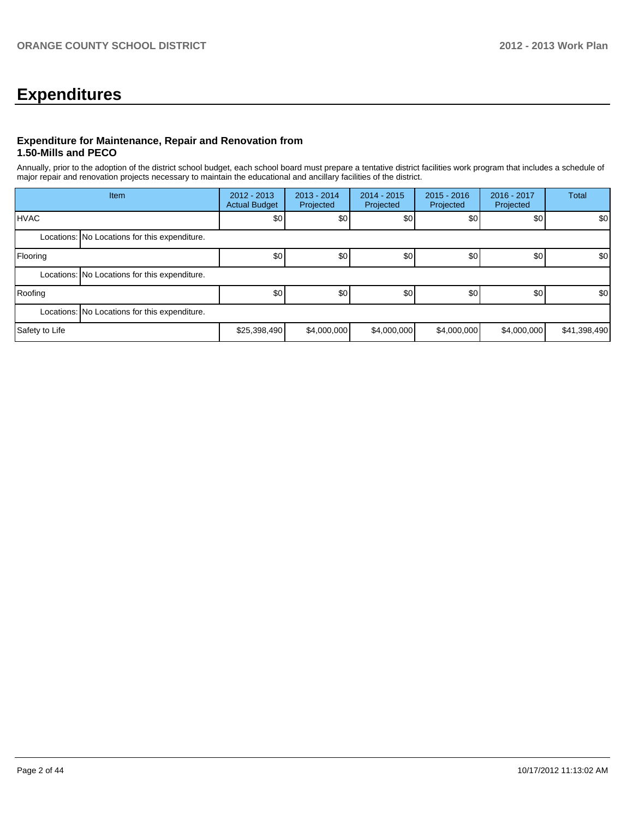## **Expenditures**

#### **Expenditure for Maintenance, Repair and Renovation from 1.50-Mills and PECO**

Annually, prior to the adoption of the district school budget, each school board must prepare a tentative district facilities work program that includes a schedule of major repair and renovation projects necessary to maintain the educational and ancillary facilities of the district.

|                | Item                                          | $2012 - 2013$<br><b>Actual Budget</b> | $2013 - 2014$<br>Projected | $2014 - 2015$<br>Projected | $2015 - 2016$<br>Projected | 2016 - 2017<br>Projected | <b>Total</b>     |
|----------------|-----------------------------------------------|---------------------------------------|----------------------------|----------------------------|----------------------------|--------------------------|------------------|
| <b>IHVAC</b>   |                                               | \$0 <sub>1</sub>                      | \$0                        | \$0                        | \$0                        | \$0                      | \$0 <sub>1</sub> |
|                | Locations: No Locations for this expenditure. |                                       |                            |                            |                            |                          |                  |
| Flooring       |                                               | \$0                                   | \$0                        | \$0                        | \$0                        | \$0                      | \$0 <sub>1</sub> |
|                | Locations: No Locations for this expenditure. |                                       |                            |                            |                            |                          |                  |
| Roofing        |                                               | \$0                                   | \$0                        | \$0                        | \$0                        | \$0                      | \$0 <sub>1</sub> |
|                | Locations: No Locations for this expenditure. |                                       |                            |                            |                            |                          |                  |
| Safety to Life |                                               | \$25,398,490                          | \$4,000,000                | \$4,000,000                | \$4,000,000                | \$4,000,000              | \$41,398,490     |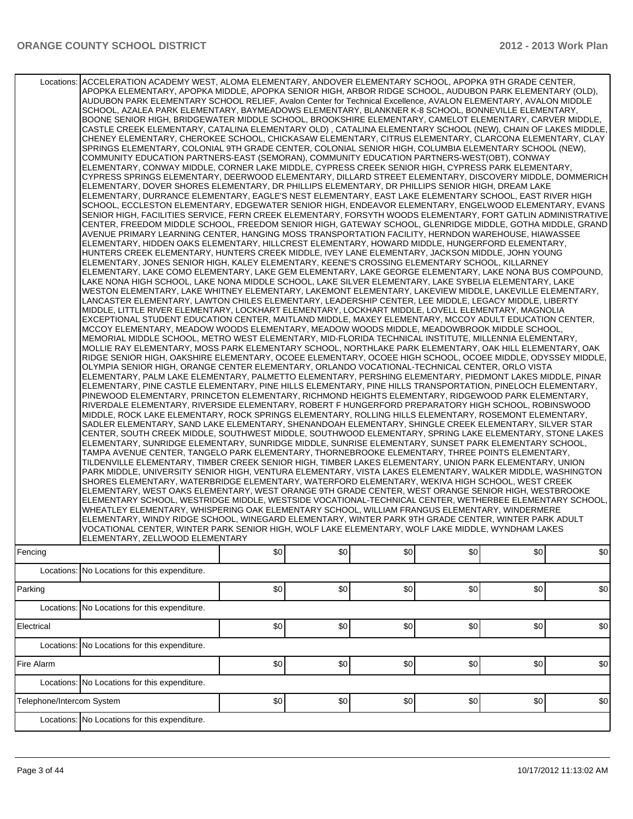|                           | Locations: ACCELERATION ACADEMY WEST, ALOMA ELEMENTARY, ANDOVER ELEMENTARY SCHOOL, APOPKA 9TH GRADE CENTER,<br>APOPKA ELEMENTARY, APOPKA MIDDLE, APOPKA SENIOR HIGH, ARBOR RIDGE SCHOOL, AUDUBON PARK ELEMENTARY (OLD),<br>AUDUBON PARK ELEMENTARY SCHOOL RELIEF, Avalon Center for Technical Excellence, AVALON ELEMENTARY, AVALON MIDDLE<br>SCHOOL, AZALEA PARK ELEMENTARY, BAYMEADOWS ELEMENTARY, BLANKNER K-8 SCHOOL, BONNEVILLE ELEMENTARY,<br>BOONE SENIOR HIGH, BRIDGEWATER MIDDLE SCHOOL, BROOKSHIRE ELEMENTARY, CAMELOT ELEMENTARY, CARVER MIDDLE,<br>CASTLE CREEK ELEMENTARY, CATALINA ELEMENTARY OLD), CATALINA ELEMENTARY SCHOOL (NEW), CHAIN OF LAKES MIDDLE,<br>CHENEY ELEMENTARY, CHEROKEE SCHOOL, CHICKASAW ELEMENTARY, CITRUS ELEMENTARY, CLARCONA ELEMENTARY, CLAY<br>SPRINGS ELEMENTARY, COLONIAL 9TH GRADE CENTER, COLONIAL SENIOR HIGH, COLUMBIA ELEMENTARY SCHOOL (NEW),<br>COMMUNITY EDUCATION PARTNERS-EAST (SEMORAN), COMMUNITY EDUCATION PARTNERS-WEST(OBT), CONWAY<br>ELEMENTARY, CONWAY MIDDLE, CORNER LAKE MIDDLE, CYPRESS CREEK SENIOR HIGH, CYPRESS PARK ELEMENTARY,<br>CYPRESS SPRINGS ELEMENTARY, DEERWOOD ELEMENTARY, DILLARD STREET ELEMENTARY, DISCOVERY MIDDLE, DOMMERICH<br>ELEMENTARY, DOVER SHORES ELEMENTARY, DR PHILLIPS ELEMENTARY, DR PHILLIPS SENIOR HIGH, DREAM LAKE<br>ELEMENTARY, DURRANCE ELEMENTARY, EAGLE'S NEST ELEMENTARY, EAST LAKE ELEMENTARY SCHOOL, EAST RIVER HIGH<br>SCHOOL, ECCLESTON ELEMENTARY, EDGEWATER SENIOR HIGH, ENDEAVOR ELEMENTARY, ENGELWOOD ELEMENTARY, EVANS<br>SENIOR HIGH, FACILITIES SERVICE, FERN CREEK ELEMENTARY, FORSYTH WOODS ELEMENTARY, FORT GATLIN ADMINISTRATIVE<br>CENTER, FREEDOM MIDDLE SCHOOL, FREEDOM SENIOR HIGH, GATEWAY SCHOOL, GLENRIDGE MIDDLE, GOTHA MIDDLE, GRAND<br>AVENUE PRIMARY LEARNING CENTER, HANGING MOSS TRANSPORTATION FACILITY, HERNDON WAREHOUSE, HIAWASSEE<br>ELEMENTARY, HIDDEN OAKS ELEMENTARY, HILLCREST ELEMENTARY, HOWARD MIDDLE, HUNGERFORD ELEMENTARY,<br>HUNTERS CREEK ELEMENTARY, HUNTERS CREEK MIDDLE, IVEY LANE ELEMENTARY, JACKSON MIDDLE, JOHN YOUNG<br>ELEMENTARY, JONES SENIOR HIGH, KALEY ELEMENTARY, KEENE'S CROSSING ELEMENTARY SCHOOL, KILLARNEY<br>ELEMENTARY, LAKE COMO ELEMENTARY, LAKE GEM ELEMENTARY, LAKE GEORGE ELEMENTARY, LAKE NONA BUS COMPOUND,<br>LAKE NONA HIGH SCHOOL, LAKE NONA MIDDLE SCHOOL, LAKE SILVER ELEMENTARY, LAKE SYBELIA ELEMENTARY, LAKE<br>WESTON ELEMENTARY, LAKE WHITNEY ELEMENTARY, LAKEMONT ELEMENTARY, LAKEVIEW MIDDLE, LAKEVILLE ELEMENTARY,<br>LANCASTER ELEMENTARY, LAWTON CHILES ELEMENTARY, LEADERSHIP CENTER, LEE MIDDLE, LEGACY MIDDLE, LIBERTY<br>MIDDLE, LITTLE RIVER ELEMENTARY, LOCKHART ELEMENTARY, LOCKHART MIDDLE, LOVELL ELEMENTARY, MAGNOLIA<br>EXCEPTIONAL STUDENT EDUCATION CENTER, MAITLAND MIDDLE, MAXEY ELEMENTARY, MCCOY ADULT EDUCATION CENTER,<br>MCCOY ELEMENTARY, MEADOW WOODS ELEMENTARY, MEADOW WOODS MIDDLE, MEADOWBROOK MIDDLE SCHOOL,<br>MEMORIAL MIDDLE SCHOOL, METRO WEST ELEMENTARY, MID-FLORIDA TECHNICAL INSTITUTE, MILLENNIA ELEMENTARY,<br>MOLLIE RAY ELEMENTARY, MOSS PARK ELEMENTARY SCHOOL, NORTHLAKE PARK ELEMENTARY, OAK HILL ELEMENTARY, OAK<br>RIDGE SENIOR HIGH, OAKSHIRE ELEMENTARY, OCOEE ELEMENTARY, OCOEE HIGH SCHOOL, OCOEE MIDDLE, ODYSSEY MIDDLE,<br>OLYMPIA SENIOR HIGH, ORANGE CENTER ELEMENTARY, ORLANDO VOCATIONAL-TECHNICAL CENTER, ORLO VISTA<br>ELEMENTARY, PALM LAKE ELEMENTARY, PALMETTO ELEMENTARY, PERSHING ELEMENTARY, PIEDMONT LAKES MIDDLE, PINAR<br>ELEMENTARY, PINE CASTLE ELEMENTARY, PINE HILLS ELEMENTARY, PINE HILLS TRANSPORTATION, PINELOCH ELEMENTARY,<br>PINEWOOD ELEMENTARY, PRINCETON ELEMENTARY, RICHMOND HEIGHTS ELEMENTARY, RIDGEWOOD PARK ELEMENTARY,<br>RIVERDALE ELEMENTARY, RIVERSIDE ELEMENTARY, ROBERT F HUNGERFORD PREPARATORY HIGH SCHOOL, ROBINSWOOD<br>MIDDLE, ROCK LAKE ELEMENTARY, ROCK SPRINGS ELEMENTARY, ROLLING HILLS ELEMENTARY, ROSEMONT ELEMENTARY,<br>SADLER ELEMENTARY, SAND LAKE ELEMENTARY, SHENANDOAH ELEMENTARY, SHINGLE CREEK ELEMENTARY, SILVER STAR<br>CENTER, SOUTH CREEK MIDDLE, SOUTHWEST MIDDLE, SOUTHWOOD ELEMENTARY, SPRING LAKE ELEMENTARY, STONE LAKES<br>ELEMENTARY, SUNRIDGE ELEMENTARY, SUNRIDGE MIDDLE, SUNRISE ELEMENTARY, SUNSET PARK ELEMENTARY SCHOOL,<br>TAMPA AVENUE CENTER. TANGELO PARK ELEMENTARY. THORNEBROOKE ELEMENTARY. THREE POINTS ELEMENTARY.<br>TILDENVILLE ELEMENTARY, TIMBER CREEK SENIOR HIGH, TIMBER LAKES ELEMENTARY, UNION PARK ELEMENTARY, UNION<br>PARK MIDDLE, UNIVERSITY SENIOR HIGH, VENTURA ELEMENTARY, VISTA LAKES ELEMENTARY, WALKER MIDDLE, WASHINGTON<br>SHORES ELEMENTARY, WATERBRIDGE ELEMENTARY, WATERFORD ELEMENTARY, WEKIVA HIGH SCHOOL, WEST CREEK<br>ELEMENTARY, WEST OAKS ELEMENTARY, WEST ORANGE 9TH GRADE CENTER, WEST ORANGE SENIOR HIGH, WESTBROOKE<br>ELEMENTARY SCHOOL, WESTRIDGE MIDDLE, WESTSIDE VOCATIONAL-TECHNICAL CENTER, WETHERBEE ELEMENTARY SCHOOL,<br>WHEATLEY ELEMENTARY, WHISPERING OAK ELEMENTARY SCHOOL, WILLIAM FRANGUS ELEMENTARY, WINDERMERE<br>ELEMENTARY, WINDY RIDGE SCHOOL, WINEGARD ELEMENTARY, WINTER PARK 9TH GRADE CENTER, WINTER PARK ADULT<br>VOCATIONAL CENTER, WINTER PARK SENIOR HIGH, WOLF LAKE ELEMENTARY, WOLF LAKE MIDDLE, WYNDHAM LAKES<br>ELEMENTARY, ZELLWOOD ELEMENTARY |     |     |     |     |     |     |
|---------------------------|----------------------------------------------------------------------------------------------------------------------------------------------------------------------------------------------------------------------------------------------------------------------------------------------------------------------------------------------------------------------------------------------------------------------------------------------------------------------------------------------------------------------------------------------------------------------------------------------------------------------------------------------------------------------------------------------------------------------------------------------------------------------------------------------------------------------------------------------------------------------------------------------------------------------------------------------------------------------------------------------------------------------------------------------------------------------------------------------------------------------------------------------------------------------------------------------------------------------------------------------------------------------------------------------------------------------------------------------------------------------------------------------------------------------------------------------------------------------------------------------------------------------------------------------------------------------------------------------------------------------------------------------------------------------------------------------------------------------------------------------------------------------------------------------------------------------------------------------------------------------------------------------------------------------------------------------------------------------------------------------------------------------------------------------------------------------------------------------------------------------------------------------------------------------------------------------------------------------------------------------------------------------------------------------------------------------------------------------------------------------------------------------------------------------------------------------------------------------------------------------------------------------------------------------------------------------------------------------------------------------------------------------------------------------------------------------------------------------------------------------------------------------------------------------------------------------------------------------------------------------------------------------------------------------------------------------------------------------------------------------------------------------------------------------------------------------------------------------------------------------------------------------------------------------------------------------------------------------------------------------------------------------------------------------------------------------------------------------------------------------------------------------------------------------------------------------------------------------------------------------------------------------------------------------------------------------------------------------------------------------------------------------------------------------------------------------------------------------------------------------------------------------------------------------------------------------------------------------------------------------------------------------------------------------------------------------------------------------------------------------------------------------------------------------------------------------------------------------------------------------------------------------------------------------------------------------------------------------------------------------------------------------------------------------------------------------------------------------------------------------------------------------------------------------------------------------------------------------------------------------------------------------------------------------------------------------------------------------------------------------------------------------------------------------------------------------------------------------------------------------------------------------------------------------------------------------------------------------------------------------------------------------------------------------------------------------------------------------------------------------------------------------------------------------------------------------------------------------------------------------------------------------------------------------------------------------------------------------------------------------------------|-----|-----|-----|-----|-----|-----|
| Fencing                   |                                                                                                                                                                                                                                                                                                                                                                                                                                                                                                                                                                                                                                                                                                                                                                                                                                                                                                                                                                                                                                                                                                                                                                                                                                                                                                                                                                                                                                                                                                                                                                                                                                                                                                                                                                                                                                                                                                                                                                                                                                                                                                                                                                                                                                                                                                                                                                                                                                                                                                                                                                                                                                                                                                                                                                                                                                                                                                                                                                                                                                                                                                                                                                                                                                                                                                                                                                                                                                                                                                                                                                                                                                                                                                                                                                                                                                                                                                                                                                                                                                                                                                                                                                                                                                                                                                                                                                                                                                                                                                                                                                                                                                                                                                                                                                                                                                                                                                                                                                                                                                                                                                                                                                                                                                                          | \$0 | \$0 | \$0 | \$0 | \$0 | \$0 |
|                           | Locations: No Locations for this expenditure.                                                                                                                                                                                                                                                                                                                                                                                                                                                                                                                                                                                                                                                                                                                                                                                                                                                                                                                                                                                                                                                                                                                                                                                                                                                                                                                                                                                                                                                                                                                                                                                                                                                                                                                                                                                                                                                                                                                                                                                                                                                                                                                                                                                                                                                                                                                                                                                                                                                                                                                                                                                                                                                                                                                                                                                                                                                                                                                                                                                                                                                                                                                                                                                                                                                                                                                                                                                                                                                                                                                                                                                                                                                                                                                                                                                                                                                                                                                                                                                                                                                                                                                                                                                                                                                                                                                                                                                                                                                                                                                                                                                                                                                                                                                                                                                                                                                                                                                                                                                                                                                                                                                                                                                                            |     |     |     |     |     |     |
| Parking                   |                                                                                                                                                                                                                                                                                                                                                                                                                                                                                                                                                                                                                                                                                                                                                                                                                                                                                                                                                                                                                                                                                                                                                                                                                                                                                                                                                                                                                                                                                                                                                                                                                                                                                                                                                                                                                                                                                                                                                                                                                                                                                                                                                                                                                                                                                                                                                                                                                                                                                                                                                                                                                                                                                                                                                                                                                                                                                                                                                                                                                                                                                                                                                                                                                                                                                                                                                                                                                                                                                                                                                                                                                                                                                                                                                                                                                                                                                                                                                                                                                                                                                                                                                                                                                                                                                                                                                                                                                                                                                                                                                                                                                                                                                                                                                                                                                                                                                                                                                                                                                                                                                                                                                                                                                                                          | \$0 | \$0 | \$0 | \$0 | \$0 | \$0 |
|                           | Locations: No Locations for this expenditure.                                                                                                                                                                                                                                                                                                                                                                                                                                                                                                                                                                                                                                                                                                                                                                                                                                                                                                                                                                                                                                                                                                                                                                                                                                                                                                                                                                                                                                                                                                                                                                                                                                                                                                                                                                                                                                                                                                                                                                                                                                                                                                                                                                                                                                                                                                                                                                                                                                                                                                                                                                                                                                                                                                                                                                                                                                                                                                                                                                                                                                                                                                                                                                                                                                                                                                                                                                                                                                                                                                                                                                                                                                                                                                                                                                                                                                                                                                                                                                                                                                                                                                                                                                                                                                                                                                                                                                                                                                                                                                                                                                                                                                                                                                                                                                                                                                                                                                                                                                                                                                                                                                                                                                                                            |     |     |     |     |     |     |
| Electrical                |                                                                                                                                                                                                                                                                                                                                                                                                                                                                                                                                                                                                                                                                                                                                                                                                                                                                                                                                                                                                                                                                                                                                                                                                                                                                                                                                                                                                                                                                                                                                                                                                                                                                                                                                                                                                                                                                                                                                                                                                                                                                                                                                                                                                                                                                                                                                                                                                                                                                                                                                                                                                                                                                                                                                                                                                                                                                                                                                                                                                                                                                                                                                                                                                                                                                                                                                                                                                                                                                                                                                                                                                                                                                                                                                                                                                                                                                                                                                                                                                                                                                                                                                                                                                                                                                                                                                                                                                                                                                                                                                                                                                                                                                                                                                                                                                                                                                                                                                                                                                                                                                                                                                                                                                                                                          | \$0 | \$0 | \$0 | \$0 | \$0 | \$0 |
|                           | Locations: No Locations for this expenditure.                                                                                                                                                                                                                                                                                                                                                                                                                                                                                                                                                                                                                                                                                                                                                                                                                                                                                                                                                                                                                                                                                                                                                                                                                                                                                                                                                                                                                                                                                                                                                                                                                                                                                                                                                                                                                                                                                                                                                                                                                                                                                                                                                                                                                                                                                                                                                                                                                                                                                                                                                                                                                                                                                                                                                                                                                                                                                                                                                                                                                                                                                                                                                                                                                                                                                                                                                                                                                                                                                                                                                                                                                                                                                                                                                                                                                                                                                                                                                                                                                                                                                                                                                                                                                                                                                                                                                                                                                                                                                                                                                                                                                                                                                                                                                                                                                                                                                                                                                                                                                                                                                                                                                                                                            |     |     |     |     |     |     |
| Fire Alarm                |                                                                                                                                                                                                                                                                                                                                                                                                                                                                                                                                                                                                                                                                                                                                                                                                                                                                                                                                                                                                                                                                                                                                                                                                                                                                                                                                                                                                                                                                                                                                                                                                                                                                                                                                                                                                                                                                                                                                                                                                                                                                                                                                                                                                                                                                                                                                                                                                                                                                                                                                                                                                                                                                                                                                                                                                                                                                                                                                                                                                                                                                                                                                                                                                                                                                                                                                                                                                                                                                                                                                                                                                                                                                                                                                                                                                                                                                                                                                                                                                                                                                                                                                                                                                                                                                                                                                                                                                                                                                                                                                                                                                                                                                                                                                                                                                                                                                                                                                                                                                                                                                                                                                                                                                                                                          | \$0 | \$0 | \$0 | \$0 | \$0 | \$0 |
|                           | Locations: No Locations for this expenditure.                                                                                                                                                                                                                                                                                                                                                                                                                                                                                                                                                                                                                                                                                                                                                                                                                                                                                                                                                                                                                                                                                                                                                                                                                                                                                                                                                                                                                                                                                                                                                                                                                                                                                                                                                                                                                                                                                                                                                                                                                                                                                                                                                                                                                                                                                                                                                                                                                                                                                                                                                                                                                                                                                                                                                                                                                                                                                                                                                                                                                                                                                                                                                                                                                                                                                                                                                                                                                                                                                                                                                                                                                                                                                                                                                                                                                                                                                                                                                                                                                                                                                                                                                                                                                                                                                                                                                                                                                                                                                                                                                                                                                                                                                                                                                                                                                                                                                                                                                                                                                                                                                                                                                                                                            |     |     |     |     |     |     |
| Telephone/Intercom System |                                                                                                                                                                                                                                                                                                                                                                                                                                                                                                                                                                                                                                                                                                                                                                                                                                                                                                                                                                                                                                                                                                                                                                                                                                                                                                                                                                                                                                                                                                                                                                                                                                                                                                                                                                                                                                                                                                                                                                                                                                                                                                                                                                                                                                                                                                                                                                                                                                                                                                                                                                                                                                                                                                                                                                                                                                                                                                                                                                                                                                                                                                                                                                                                                                                                                                                                                                                                                                                                                                                                                                                                                                                                                                                                                                                                                                                                                                                                                                                                                                                                                                                                                                                                                                                                                                                                                                                                                                                                                                                                                                                                                                                                                                                                                                                                                                                                                                                                                                                                                                                                                                                                                                                                                                                          | \$0 | \$0 | \$0 | \$0 | \$0 | \$0 |
|                           | Locations: No Locations for this expenditure.                                                                                                                                                                                                                                                                                                                                                                                                                                                                                                                                                                                                                                                                                                                                                                                                                                                                                                                                                                                                                                                                                                                                                                                                                                                                                                                                                                                                                                                                                                                                                                                                                                                                                                                                                                                                                                                                                                                                                                                                                                                                                                                                                                                                                                                                                                                                                                                                                                                                                                                                                                                                                                                                                                                                                                                                                                                                                                                                                                                                                                                                                                                                                                                                                                                                                                                                                                                                                                                                                                                                                                                                                                                                                                                                                                                                                                                                                                                                                                                                                                                                                                                                                                                                                                                                                                                                                                                                                                                                                                                                                                                                                                                                                                                                                                                                                                                                                                                                                                                                                                                                                                                                                                                                            |     |     |     |     |     |     |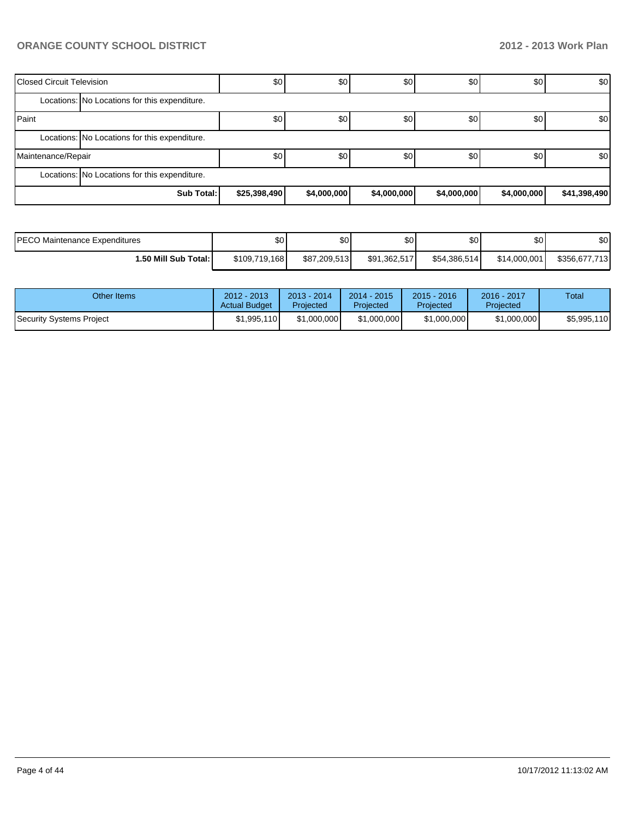| <b>Closed Circuit Television</b> |                                               | \$0          | \$0         | \$0         | \$0         | \$0         | \$0 <sub>1</sub> |
|----------------------------------|-----------------------------------------------|--------------|-------------|-------------|-------------|-------------|------------------|
|                                  | Locations: No Locations for this expenditure. |              |             |             |             |             |                  |
| Paint                            |                                               | \$0          | \$0         | \$0         | \$0         | \$0         | \$0 <sub>1</sub> |
|                                  | Locations: No Locations for this expenditure. |              |             |             |             |             |                  |
| Maintenance/Repair               |                                               | \$0          | \$0         | \$0         | \$0         | \$0         | \$0 <sub>1</sub> |
|                                  | Locations: No Locations for this expenditure. |              |             |             |             |             |                  |
|                                  | Sub Total:                                    | \$25,398,490 | \$4,000,000 | \$4,000,000 | \$4,000,000 | \$4,000,000 | \$41,398,490     |

| <b>IPECO</b><br>) Maintenance Expenditures | \$0 <sub>1</sub> | ΦΩ<br>Φ∪     | \$0          | ሶስ<br>υU     | \$0          | ¢Λ<br>ΦU      |
|--------------------------------------------|------------------|--------------|--------------|--------------|--------------|---------------|
| 1.50 Mill Sub Total:                       | \$109,719,168    | \$87.209.513 | \$91.362.517 | \$54,386,514 | \$14,000,001 | \$356,677,713 |

| Other Items              | $2012 - 2013$<br><b>Actual Budget</b> | $2013 - 2014$<br>Projected | $2014 - 2015$<br>Projected | $2015 - 2016$<br>Projected | 2016 - 2017<br>Projected | Total       |
|--------------------------|---------------------------------------|----------------------------|----------------------------|----------------------------|--------------------------|-------------|
| Security Systems Project | \$1,995,110                           | \$1,000,000                | \$1,000,000                | \$1,000,000                | \$1,000,000              | \$5,995,110 |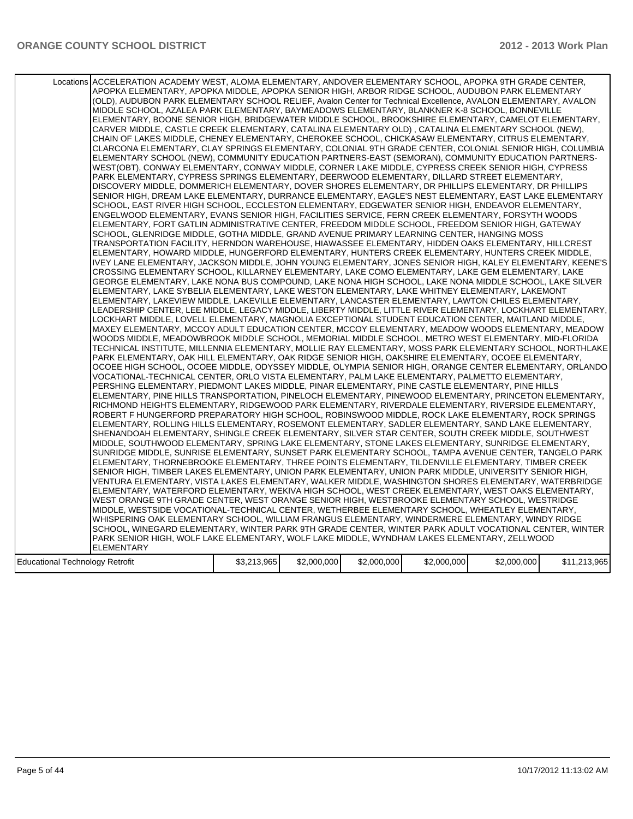|                                 | Locations ACCELERATION ACADEMY WEST, ALOMA ELEMENTARY, ANDOVER ELEMENTARY SCHOOL, APOPKA 9TH GRADE CENTER,<br>APOPKA ELEMENTARY, APOPKA MIDDLE, APOPKA SENIOR HIGH, ARBOR RIDGE SCHOOL, AUDUBON PARK ELEMENTARY<br>(OLD), AUDUBON PARK ELEMENTARY SCHOOL RELIEF, Avalon Center for Technical Excellence, AVALON ELEMENTARY, AVALON<br>MIDDLE SCHOOL, AZALEA PARK ELEMENTARY, BAYMEADOWS ELEMENTARY, BLANKNER K-8 SCHOOL, BONNEVILLE<br>ELEMENTARY, BOONE SENIOR HIGH, BRIDGEWATER MIDDLE SCHOOL, BROOKSHIRE ELEMENTARY, CAMELOT ELEMENTARY,<br>CARVER MIDDLE, CASTLE CREEK ELEMENTARY, CATALINA ELEMENTARY OLD), CATALINA ELEMENTARY SCHOOL (NEW),<br>CHAIN OF LAKES MIDDLE, CHENEY ELEMENTARY, CHEROKEE SCHOOL, CHICKASAW ELEMENTARY, CITRUS ELEMENTARY,<br>CLARCONA ELEMENTARY, CLAY SPRINGS ELEMENTARY, COLONIAL 9TH GRADE CENTER, COLONIAL SENIOR HIGH, COLUMBIA<br>ELEMENTARY SCHOOL (NEW), COMMUNITY EDUCATION PARTNERS-EAST (SEMORAN), COMMUNITY EDUCATION PARTNERS-<br>WEST(OBT), CONWAY ELEMENTARY, CONWAY MIDDLE, CORNER LAKE MIDDLE, CYPRESS CREEK SENIOR HIGH, CYPRESS<br>PARK ELEMENTARY, CYPRESS SPRINGS ELEMENTARY, DEERWOOD ELEMENTARY, DILLARD STREET ELEMENTARY,<br>DISCOVERY MIDDLE, DOMMERICH ELEMENTARY, DOVER SHORES ELEMENTARY, DR PHILLIPS ELEMENTARY, DR PHILLIPS<br>SENIOR HIGH, DREAM LAKE ELEMENTARY, DURRANCE ELEMENTARY, EAGLE'S NEST ELEMENTARY, EAST LAKE ELEMENTARY<br>SCHOOL, EAST RIVER HIGH SCHOOL, ECCLESTON ELEMENTARY, EDGEWATER SENIOR HIGH, ENDEAVOR ELEMENTARY,<br>ENGELWOOD ELEMENTARY, EVANS SENIOR HIGH, FACILITIES SERVICE, FERN CREEK ELEMENTARY, FORSYTH WOODS<br>ELEMENTARY, FORT GATLIN ADMINISTRATIVE CENTER, FREEDOM MIDDLE SCHOOL, FREEDOM SENIOR HIGH, GATEWAY<br>SCHOOL, GLENRIDGE MIDDLE, GOTHA MIDDLE, GRAND AVENUE PRIMARY LEARNING CENTER, HANGING MOSS<br>TRANSPORTATION FACILITY, HERNDON WAREHOUSE, HIAWASSEE ELEMENTARY, HIDDEN OAKS ELEMENTARY, HILLCREST<br>ELEMENTARY, HOWARD MIDDLE, HUNGERFORD ELEMENTARY, HUNTERS CREEK ELEMENTARY, HUNTERS CREEK MIDDLE,<br>IVEY LANE ELEMENTARY, JACKSON MIDDLE, JOHN YOUNG ELEMENTARY, JONES SENIOR HIGH, KALEY ELEMENTARY, KEENE'S<br>CROSSING ELEMENTARY SCHOOL, KILLARNEY ELEMENTARY, LAKE COMO ELEMENTARY, LAKE GEM ELEMENTARY, LAKE<br>GEORGE ELEMENTARY, LAKE NONA BUS COMPOUND, LAKE NONA HIGH SCHOOL, LAKE NONA MIDDLE SCHOOL, LAKE SILVER<br>ELEMENTARY, LAKE SYBELIA ELEMENTARY, LAKE WESTON ELEMENTARY, LAKE WHITNEY ELEMENTARY, LAKEMONT<br>ELEMENTARY, LAKEVIEW MIDDLE, LAKEVILLE ELEMENTARY, LANCASTER ELEMENTARY, LAWTON CHILES ELEMENTARY,<br>LEADERSHIP CENTER, LEE MIDDLE, LEGACY MIDDLE, LIBERTY MIDDLE, LITTLE RIVER ELEMENTARY, LOCKHART ELEMENTARY,<br>LOCKHART MIDDLE, LOVELL ELEMENTARY, MAGNOLIA EXCEPTIONAL STUDENT EDUCATION CENTER, MAITLAND MIDDLE,<br>MAXEY ELEMENTARY, MCCOY ADULT EDUCATION CENTER, MCCOY ELEMENTARY, MEADOW WOODS ELEMENTARY, MEADOW <br>WOODS MIDDLE, MEADOWBROOK MIDDLE SCHOOL, MEMORIAL MIDDLE SCHOOL, METRO WEST ELEMENTARY, MID-FLORIDA<br>TECHNICAL INSTITUTE, MILLENNIA ELEMENTARY, MOLLIE RAY ELEMENTARY, MOSS PARK ELEMENTARY SCHOOL, NORTHLAKE<br>PARK ELEMENTARY, OAK HILL ELEMENTARY, OAK RIDGE SENIOR HIGH, OAKSHIRE ELEMENTARY, OCOEE ELEMENTARY,<br>OCOEE HIGH SCHOOL, OCOEE MIDDLE, ODYSSEY MIDDLE, OLYMPIA SENIOR HIGH, ORANGE CENTER ELEMENTARY, ORLANDO<br>VOCATIONAL-TECHNICAL CENTER, ORLO VISTA ELEMENTARY, PALM LAKE ELEMENTARY, PALMETTO ELEMENTARY,<br>PERSHING ELEMENTARY, PIEDMONT LAKES MIDDLE, PINAR ELEMENTARY, PINE CASTLE ELEMENTARY, PINE HILLS<br>ELEMENTARY, PINE HILLS TRANSPORTATION, PINELOCH ELEMENTARY, PINEWOOD ELEMENTARY, PRINCETON ELEMENTARY,<br>RICHMOND HEIGHTS ELEMENTARY, RIDGEWOOD PARK ELEMENTARY, RIVERDALE ELEMENTARY, RIVERSIDE ELEMENTARY,<br>ROBERT F HUNGERFORD PREPARATORY HIGH SCHOOL, ROBINSWOOD MIDDLE, ROCK LAKE ELEMENTARY, ROCK SPRINGS<br>ELEMENTARY, ROLLING HILLS ELEMENTARY, ROSEMONT ELEMENTARY, SADLER ELEMENTARY, SAND LAKE ELEMENTARY,<br>SHENANDOAH ELEMENTARY, SHINGLE CREEK ELEMENTARY, SILVER STAR CENTER, SOUTH CREEK MIDDLE, SOUTHWEST<br>MIDDLE, SOUTHWOOD ELEMENTARY, SPRING LAKE ELEMENTARY, STONE LAKES ELEMENTARY, SUNRIDGE ELEMENTARY,<br>SUNRIDGE MIDDLE, SUNRISE ELEMENTARY, SUNSET PARK ELEMENTARY SCHOOL, TAMPA AVENUE CENTER, TANGELO PARK<br>ELEMENTARY, THORNEBROOKE ELEMENTARY, THREE POINTS ELEMENTARY, TILDENVILLE ELEMENTARY, TIMBER CREEK<br>SENIOR HIGH, TIMBER LAKES ELEMENTARY, UNION PARK ELEMENTARY, UNION PARK MIDDLE, UNIVERSITY SENIOR HIGH,<br>VENTURA ELEMENTARY, VISTA LAKES ELEMENTARY, WALKER MIDDLE, WASHINGTON SHORES ELEMENTARY, WATERBRIDGE<br>ELEMENTARY, WATERFORD ELEMENTARY, WEKIVA HIGH SCHOOL, WEST CREEK ELEMENTARY, WEST OAKS ELEMENTARY,<br>WEST ORANGE 9TH GRADE CENTER, WEST ORANGE SENIOR HIGH, WESTBROOKE ELEMENTARY SCHOOL, WESTRIDGE<br>MIDDLE, WESTSIDE VOCATIONAL-TECHNICAL CENTER, WETHERBEE ELEMENTARY SCHOOL, WHEATLEY ELEMENTARY,<br>WHISPERING OAK ELEMENTARY SCHOOL, WILLIAM FRANGUS ELEMENTARY, WINDERMERE ELEMENTARY, WINDY RIDGE<br>SCHOOL, WINEGARD ELEMENTARY, WINTER PARK 9TH GRADE CENTER, WINTER PARK ADULT VOCATIONAL CENTER, WINTER<br>PARK SENIOR HIGH, WOLF LAKE ELEMENTARY, WOLF LAKE MIDDLE, WYNDHAM LAKES ELEMENTARY, ZELLWOOD |             |             |             |             |             |              |
|---------------------------------|------------------------------------------------------------------------------------------------------------------------------------------------------------------------------------------------------------------------------------------------------------------------------------------------------------------------------------------------------------------------------------------------------------------------------------------------------------------------------------------------------------------------------------------------------------------------------------------------------------------------------------------------------------------------------------------------------------------------------------------------------------------------------------------------------------------------------------------------------------------------------------------------------------------------------------------------------------------------------------------------------------------------------------------------------------------------------------------------------------------------------------------------------------------------------------------------------------------------------------------------------------------------------------------------------------------------------------------------------------------------------------------------------------------------------------------------------------------------------------------------------------------------------------------------------------------------------------------------------------------------------------------------------------------------------------------------------------------------------------------------------------------------------------------------------------------------------------------------------------------------------------------------------------------------------------------------------------------------------------------------------------------------------------------------------------------------------------------------------------------------------------------------------------------------------------------------------------------------------------------------------------------------------------------------------------------------------------------------------------------------------------------------------------------------------------------------------------------------------------------------------------------------------------------------------------------------------------------------------------------------------------------------------------------------------------------------------------------------------------------------------------------------------------------------------------------------------------------------------------------------------------------------------------------------------------------------------------------------------------------------------------------------------------------------------------------------------------------------------------------------------------------------------------------------------------------------------------------------------------------------------------------------------------------------------------------------------------------------------------------------------------------------------------------------------------------------------------------------------------------------------------------------------------------------------------------------------------------------------------------------------------------------------------------------------------------------------------------------------------------------------------------------------------------------------------------------------------------------------------------------------------------------------------------------------------------------------------------------------------------------------------------------------------------------------------------------------------------------------------------------------------------------------------------------------------------------------------------------------------------------------------------------------------------------------------------------------------------------------------------------------------------------------------------------------------------------------------------------------------------------------------------------------------------------------------------------------------------------------------------------------------------------------------------------------------------------------------------------------------------------------------------------------------------------------------------------------------------------------------------------------------------------------------------------------------------------------------------------------------------------------------------------------------------------------------------------------------------------------------------------------------------------------------------------------------------------------------------------------------------------|-------------|-------------|-------------|-------------|-------------|--------------|
|                                 |                                                                                                                                                                                                                                                                                                                                                                                                                                                                                                                                                                                                                                                                                                                                                                                                                                                                                                                                                                                                                                                                                                                                                                                                                                                                                                                                                                                                                                                                                                                                                                                                                                                                                                                                                                                                                                                                                                                                                                                                                                                                                                                                                                                                                                                                                                                                                                                                                                                                                                                                                                                                                                                                                                                                                                                                                                                                                                                                                                                                                                                                                                                                                                                                                                                                                                                                                                                                                                                                                                                                                                                                                                                                                                                                                                                                                                                                                                                                                                                                                                                                                                                                                                                                                                                                                                                                                                                                                                                                                                                                                                                                                                                                                                                                                                                                                                                                                                                                                                                                                                                                                                                                                                                                                                                |             |             |             |             |             |              |
| Educational Technology Retrofit | <b>ELEMENTARY</b>                                                                                                                                                                                                                                                                                                                                                                                                                                                                                                                                                                                                                                                                                                                                                                                                                                                                                                                                                                                                                                                                                                                                                                                                                                                                                                                                                                                                                                                                                                                                                                                                                                                                                                                                                                                                                                                                                                                                                                                                                                                                                                                                                                                                                                                                                                                                                                                                                                                                                                                                                                                                                                                                                                                                                                                                                                                                                                                                                                                                                                                                                                                                                                                                                                                                                                                                                                                                                                                                                                                                                                                                                                                                                                                                                                                                                                                                                                                                                                                                                                                                                                                                                                                                                                                                                                                                                                                                                                                                                                                                                                                                                                                                                                                                                                                                                                                                                                                                                                                                                                                                                                                                                                                                                              | \$3,213,965 | \$2,000,000 | \$2,000,000 | \$2,000,000 | \$2,000,000 | \$11,213,965 |
|                                 |                                                                                                                                                                                                                                                                                                                                                                                                                                                                                                                                                                                                                                                                                                                                                                                                                                                                                                                                                                                                                                                                                                                                                                                                                                                                                                                                                                                                                                                                                                                                                                                                                                                                                                                                                                                                                                                                                                                                                                                                                                                                                                                                                                                                                                                                                                                                                                                                                                                                                                                                                                                                                                                                                                                                                                                                                                                                                                                                                                                                                                                                                                                                                                                                                                                                                                                                                                                                                                                                                                                                                                                                                                                                                                                                                                                                                                                                                                                                                                                                                                                                                                                                                                                                                                                                                                                                                                                                                                                                                                                                                                                                                                                                                                                                                                                                                                                                                                                                                                                                                                                                                                                                                                                                                                                |             |             |             |             |             |              |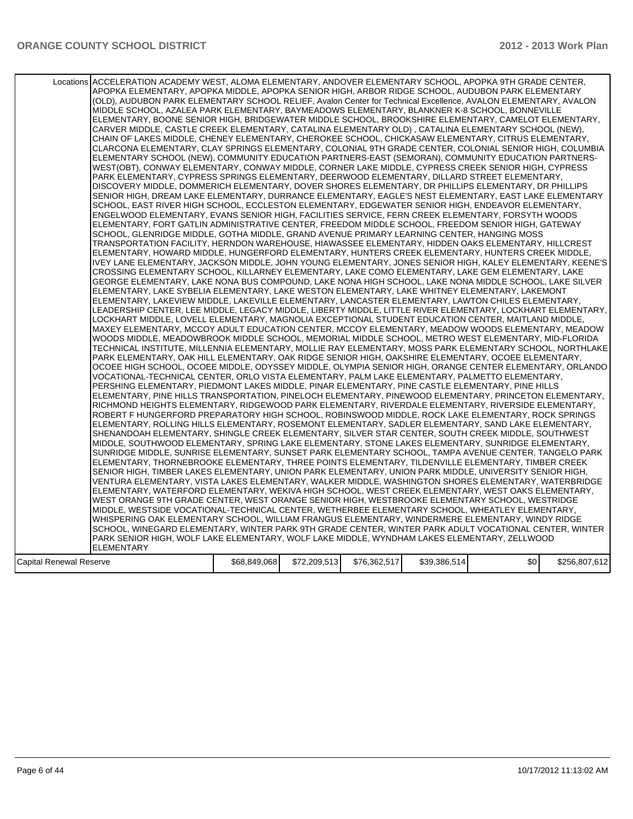|                         | Locations ACCELERATION ACADEMY WEST, ALOMA ELEMENTARY, ANDOVER ELEMENTARY SCHOOL, APOPKA 9TH GRADE CENTER,<br>APOPKA ELEMENTARY, APOPKA MIDDLE, APOPKA SENIOR HIGH, ARBOR RIDGE SCHOOL, AUDUBON PARK ELEMENTARY<br>(OLD), AUDUBON PARK ELEMENTARY SCHOOL RELIEF, Avalon Center for Technical Excellence, AVALON ELEMENTARY, AVALON<br>MIDDLE SCHOOL, AZALEA PARK ELEMENTARY, BAYMEADOWS ELEMENTARY, BLANKNER K-8 SCHOOL, BONNEVILLE<br>ELEMENTARY, BOONE SENIOR HIGH, BRIDGEWATER MIDDLE SCHOOL, BROOKSHIRE ELEMENTARY, CAMELOT ELEMENTARY,<br>CARVER MIDDLE, CASTLE CREEK ELEMENTARY, CATALINA ELEMENTARY OLD), CATALINA ELEMENTARY SCHOOL (NEW),<br>CHAIN OF LAKES MIDDLE, CHENEY ELEMENTARY, CHEROKEE SCHOOL, CHICKASAW ELEMENTARY, CITRUS ELEMENTARY,<br>CLARCONA ELEMENTARY. CLAY SPRINGS ELEMENTARY. COLONIAL 9TH GRADE CENTER. COLONIAL SENIOR HIGH. COLUMBIA<br>ELEMENTARY SCHOOL (NEW), COMMUNITY EDUCATION PARTNERS-EAST (SEMORAN), COMMUNITY EDUCATION PARTNERS-<br>WEST(OBT), CONWAY ELEMENTARY, CONWAY MIDDLE, CORNER LAKE MIDDLE, CYPRESS CREEK SENIOR HIGH, CYPRESS<br>PARK ELEMENTARY, CYPRESS SPRINGS ELEMENTARY, DEERWOOD ELEMENTARY, DILLARD STREET ELEMENTARY,<br>DISCOVERY MIDDLE, DOMMERICH ELEMENTARY, DOVER SHORES ELEMENTARY, DR PHILLIPS ELEMENTARY, DR PHILLIPS<br>SENIOR HIGH, DREAM LAKE ELEMENTARY, DURRANCE ELEMENTARY, EAGLE'S NEST ELEMENTARY, EAST LAKE ELEMENTARY<br>SCHOOL, EAST RIVER HIGH SCHOOL, ECCLESTON ELEMENTARY, EDGEWATER SENIOR HIGH, ENDEAVOR ELEMENTARY,<br>ENGELWOOD ELEMENTARY, EVANS SENIOR HIGH, FACILITIES SERVICE, FERN CREEK ELEMENTARY, FORSYTH WOODS<br>ELEMENTARY, FORT GATLIN ADMINISTRATIVE CENTER, FREEDOM MIDDLE SCHOOL, FREEDOM SENIOR HIGH, GATEWAY<br>SCHOOL, GLENRIDGE MIDDLE, GOTHA MIDDLE, GRAND AVENUE PRIMARY LEARNING CENTER, HANGING MOSS<br>TRANSPORTATION FACILITY, HERNDON WAREHOUSE, HIAWASSEE ELEMENTARY, HIDDEN OAKS ELEMENTARY, HILLCREST<br>ELEMENTARY, HOWARD MIDDLE, HUNGERFORD ELEMENTARY, HUNTERS CREEK ELEMENTARY, HUNTERS CREEK MIDDLE,<br>IVEY LANE ELEMENTARY, JACKSON MIDDLE, JOHN YOUNG ELEMENTARY, JONES SENIOR HIGH, KALEY ELEMENTARY, KEENE'S<br>CROSSING ELEMENTARY SCHOOL, KILLARNEY ELEMENTARY, LAKE COMO ELEMENTARY, LAKE GEM ELEMENTARY, LAKE<br>GEORGE ELEMENTARY, LAKE NONA BUS COMPOUND, LAKE NONA HIGH SCHOOL, LAKE NONA MIDDLE SCHOOL, LAKE SILVER<br>ELEMENTARY, LAKE SYBELIA ELEMENTARY, LAKE WESTON ELEMENTARY, LAKE WHITNEY ELEMENTARY, LAKEMONT<br>ELEMENTARY, LAKEVIEW MIDDLE, LAKEVILLE ELEMENTARY, LANCASTER ELEMENTARY, LAWTON CHILES ELEMENTARY,<br>LEADERSHIP CENTER, LEE MIDDLE, LEGACY MIDDLE, LIBERTY MIDDLE, LITTLE RIVER ELEMENTARY, LOCKHART ELEMENTARY,<br>LOCKHART MIDDLE, LOVELL ELEMENTARY, MAGNOLIA EXCEPTIONAL STUDENT EDUCATION CENTER, MAITLAND MIDDLE,<br>MAXEY ELEMENTARY, MCCOY ADULT EDUCATION CENTER, MCCOY ELEMENTARY, MEADOW WOODS ELEMENTARY, MEADOW<br>WOODS MIDDLE, MEADOWBROOK MIDDLE SCHOOL, MEMORIAL MIDDLE SCHOOL, METRO WEST ELEMENTARY, MID-FLORIDA<br>TECHNICAL INSTITUTE, MILLENNIA ELEMENTARY, MOLLIE RAY ELEMENTARY, MOSS PARK ELEMENTARY SCHOOL, NORTHLAKE<br>PARK ELEMENTARY, OAK HILL ELEMENTARY, OAK RIDGE SENIOR HIGH, OAKSHIRE ELEMENTARY, OCOEE ELEMENTARY,<br>OCOEE HIGH SCHOOL, OCOEE MIDDLE, ODYSSEY MIDDLE, OLYMPIA SENIOR HIGH, ORANGE CENTER ELEMENTARY, ORLANDO<br>VOCATIONAL-TECHNICAL CENTER, ORLO VISTA ELEMENTARY, PALM LAKE ELEMENTARY, PALMETTO ELEMENTARY,<br>PERSHING ELEMENTARY, PIEDMONT LAKES MIDDLE, PINAR ELEMENTARY, PINE CASTLE ELEMENTARY, PINE HILLS<br>ELEMENTARY, PINE HILLS TRANSPORTATION, PINELOCH ELEMENTARY, PINEWOOD ELEMENTARY, PRINCETON ELEMENTARY,<br>RICHMOND HEIGHTS ELEMENTARY, RIDGEWOOD PARK ELEMENTARY, RIVERDALE ELEMENTARY, RIVERSIDE ELEMENTARY,<br>ROBERT F HUNGERFORD PREPARATORY HIGH SCHOOL, ROBINSWOOD MIDDLE, ROCK LAKE ELEMENTARY, ROCK SPRINGS<br>ELEMENTARY, ROLLING HILLS ELEMENTARY, ROSEMONT ELEMENTARY, SADLER ELEMENTARY, SAND LAKE ELEMENTARY,<br>SHENANDOAH ELEMENTARY, SHINGLE CREEK ELEMENTARY, SILVER STAR CENTER, SOUTH CREEK MIDDLE, SOUTHWEST<br>MIDDLE, SOUTHWOOD ELEMENTARY, SPRING LAKE ELEMENTARY, STONE LAKES ELEMENTARY, SUNRIDGE ELEMENTARY,<br>SUNRIDGE MIDDLE, SUNRISE ELEMENTARY, SUNSET PARK ELEMENTARY SCHOOL, TAMPA AVENUE CENTER, TANGELO PARK<br>ELEMENTARY, THORNEBROOKE ELEMENTARY, THREE POINTS ELEMENTARY, TILDENVILLE ELEMENTARY, TIMBER CREEK<br>SENIOR HIGH, TIMBER LAKES ELEMENTARY, UNION PARK ELEMENTARY, UNION PARK MIDDLE, UNIVERSITY SENIOR HIGH,<br>VENTURA ELEMENTARY, VISTA LAKES ELEMENTARY, WALKER MIDDLE, WASHINGTON SHORES ELEMENTARY, WATERBRIDGE<br>ELEMENTARY, WATERFORD ELEMENTARY, WEKIVA HIGH SCHOOL, WEST CREEK ELEMENTARY, WEST OAKS ELEMENTARY,<br>WEST ORANGE 9TH GRADE CENTER, WEST ORANGE SENIOR HIGH, WESTBROOKE ELEMENTARY SCHOOL, WESTRIDGE<br>MIDDLE, WESTSIDE VOCATIONAL-TECHNICAL CENTER, WETHERBEE ELEMENTARY SCHOOL, WHEATLEY ELEMENTARY,<br>WHISPERING OAK ELEMENTARY SCHOOL, WILLIAM FRANGUS ELEMENTARY, WINDERMERE ELEMENTARY, WINDY RIDGE<br>SCHOOL, WINEGARD ELEMENTARY, WINTER PARK 9TH GRADE CENTER, WINTER PARK ADULT VOCATIONAL CENTER, WINTER<br>PARK SENIOR HIGH, WOLF LAKE ELEMENTARY, WOLF LAKE MIDDLE, WYNDHAM LAKES ELEMENTARY, ZELLWOOD |              |              |              |              |     |               |
|-------------------------|-----------------------------------------------------------------------------------------------------------------------------------------------------------------------------------------------------------------------------------------------------------------------------------------------------------------------------------------------------------------------------------------------------------------------------------------------------------------------------------------------------------------------------------------------------------------------------------------------------------------------------------------------------------------------------------------------------------------------------------------------------------------------------------------------------------------------------------------------------------------------------------------------------------------------------------------------------------------------------------------------------------------------------------------------------------------------------------------------------------------------------------------------------------------------------------------------------------------------------------------------------------------------------------------------------------------------------------------------------------------------------------------------------------------------------------------------------------------------------------------------------------------------------------------------------------------------------------------------------------------------------------------------------------------------------------------------------------------------------------------------------------------------------------------------------------------------------------------------------------------------------------------------------------------------------------------------------------------------------------------------------------------------------------------------------------------------------------------------------------------------------------------------------------------------------------------------------------------------------------------------------------------------------------------------------------------------------------------------------------------------------------------------------------------------------------------------------------------------------------------------------------------------------------------------------------------------------------------------------------------------------------------------------------------------------------------------------------------------------------------------------------------------------------------------------------------------------------------------------------------------------------------------------------------------------------------------------------------------------------------------------------------------------------------------------------------------------------------------------------------------------------------------------------------------------------------------------------------------------------------------------------------------------------------------------------------------------------------------------------------------------------------------------------------------------------------------------------------------------------------------------------------------------------------------------------------------------------------------------------------------------------------------------------------------------------------------------------------------------------------------------------------------------------------------------------------------------------------------------------------------------------------------------------------------------------------------------------------------------------------------------------------------------------------------------------------------------------------------------------------------------------------------------------------------------------------------------------------------------------------------------------------------------------------------------------------------------------------------------------------------------------------------------------------------------------------------------------------------------------------------------------------------------------------------------------------------------------------------------------------------------------------------------------------------------------------------------------------------------------------------------------------------------------------------------------------------------------------------------------------------------------------------------------------------------------------------------------------------------------------------------------------------------------------------------------------------------------------------------------------------------------------------------------------------------------------------------------------------------------------------|--------------|--------------|--------------|--------------|-----|---------------|
|                         |                                                                                                                                                                                                                                                                                                                                                                                                                                                                                                                                                                                                                                                                                                                                                                                                                                                                                                                                                                                                                                                                                                                                                                                                                                                                                                                                                                                                                                                                                                                                                                                                                                                                                                                                                                                                                                                                                                                                                                                                                                                                                                                                                                                                                                                                                                                                                                                                                                                                                                                                                                                                                                                                                                                                                                                                                                                                                                                                                                                                                                                                                                                                                                                                                                                                                                                                                                                                                                                                                                                                                                                                                                                                                                                                                                                                                                                                                                                                                                                                                                                                                                                                                                                                                                                                                                                                                                                                                                                                                                                                                                                                                                                                                                                                                                                                                                                                                                                                                                                                                                                                                                                                                                                                                                               |              |              |              |              |     |               |
|                         | <b>ELEMENTARY</b>                                                                                                                                                                                                                                                                                                                                                                                                                                                                                                                                                                                                                                                                                                                                                                                                                                                                                                                                                                                                                                                                                                                                                                                                                                                                                                                                                                                                                                                                                                                                                                                                                                                                                                                                                                                                                                                                                                                                                                                                                                                                                                                                                                                                                                                                                                                                                                                                                                                                                                                                                                                                                                                                                                                                                                                                                                                                                                                                                                                                                                                                                                                                                                                                                                                                                                                                                                                                                                                                                                                                                                                                                                                                                                                                                                                                                                                                                                                                                                                                                                                                                                                                                                                                                                                                                                                                                                                                                                                                                                                                                                                                                                                                                                                                                                                                                                                                                                                                                                                                                                                                                                                                                                                                                             |              |              |              |              |     |               |
| Capital Renewal Reserve |                                                                                                                                                                                                                                                                                                                                                                                                                                                                                                                                                                                                                                                                                                                                                                                                                                                                                                                                                                                                                                                                                                                                                                                                                                                                                                                                                                                                                                                                                                                                                                                                                                                                                                                                                                                                                                                                                                                                                                                                                                                                                                                                                                                                                                                                                                                                                                                                                                                                                                                                                                                                                                                                                                                                                                                                                                                                                                                                                                                                                                                                                                                                                                                                                                                                                                                                                                                                                                                                                                                                                                                                                                                                                                                                                                                                                                                                                                                                                                                                                                                                                                                                                                                                                                                                                                                                                                                                                                                                                                                                                                                                                                                                                                                                                                                                                                                                                                                                                                                                                                                                                                                                                                                                                                               | \$68,849,068 | \$72,209,513 | \$76,362,517 | \$39,386,514 | \$0 | \$256,807,612 |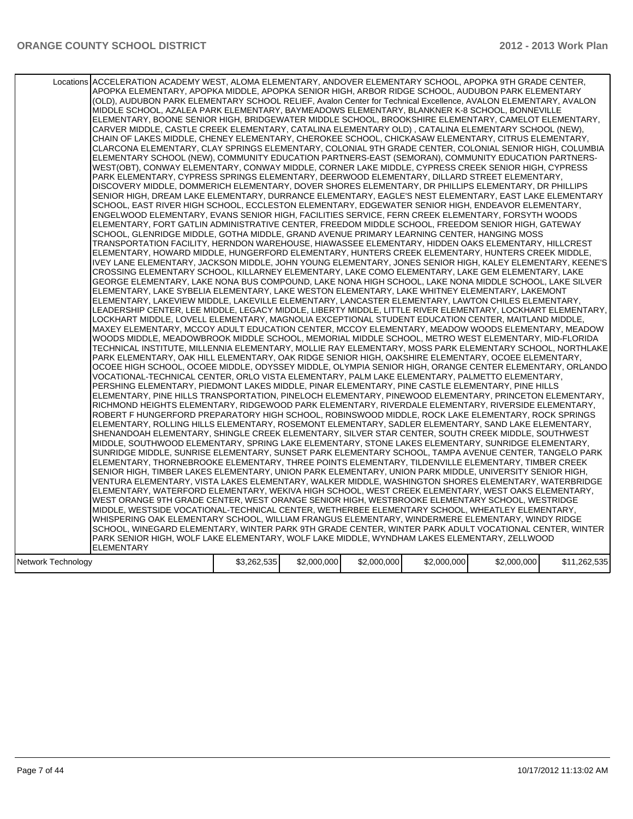|                    | Locations ACCELERATION ACADEMY WEST, ALOMA ELEMENTARY, ANDOVER ELEMENTARY SCHOOL, APOPKA 9TH GRADE CENTER,<br>APOPKA ELEMENTARY, APOPKA MIDDLE, APOPKA SENIOR HIGH, ARBOR RIDGE SCHOOL, AUDUBON PARK ELEMENTARY<br>(OLD), AUDUBON PARK ELEMENTARY SCHOOL RELIEF, Avalon Center for Technical Excellence, AVALON ELEMENTARY, AVALON<br>MIDDLE SCHOOL, AZALEA PARK ELEMENTARY, BAYMEADOWS ELEMENTARY, BLANKNER K-8 SCHOOL, BONNEVILLE<br>ELEMENTARY, BOONE SENIOR HIGH, BRIDGEWATER MIDDLE SCHOOL, BROOKSHIRE ELEMENTARY, CAMELOT ELEMENTARY,<br>CARVER MIDDLE, CASTLE CREEK ELEMENTARY, CATALINA ELEMENTARY OLD), CATALINA ELEMENTARY SCHOOL (NEW),<br>CHAIN OF LAKES MIDDLE, CHENEY ELEMENTARY, CHEROKEE SCHOOL, CHICKASAW ELEMENTARY, CITRUS ELEMENTARY,<br>CLARCONA ELEMENTARY, CLAY SPRINGS ELEMENTARY, COLONIAL 9TH GRADE CENTER, COLONIAL SENIOR HIGH, COLUMBIA<br>ELEMENTARY SCHOOL (NEW), COMMUNITY EDUCATION PARTNERS-EAST (SEMORAN), COMMUNITY EDUCATION PARTNERS-<br>WEST(OBT), CONWAY ELEMENTARY, CONWAY MIDDLE, CORNER LAKE MIDDLE, CYPRESS CREEK SENIOR HIGH, CYPRESS<br>PARK ELEMENTARY, CYPRESS SPRINGS ELEMENTARY, DEERWOOD ELEMENTARY, DILLARD STREET ELEMENTARY,<br>DISCOVERY MIDDLE, DOMMERICH ELEMENTARY, DOVER SHORES ELEMENTARY, DR PHILLIPS ELEMENTARY, DR PHILLIPS<br>SENIOR HIGH, DREAM LAKE ELEMENTARY, DURRANCE ELEMENTARY, EAGLE'S NEST ELEMENTARY, EAST LAKE ELEMENTARY<br>SCHOOL, EAST RIVER HIGH SCHOOL, ECCLESTON ELEMENTARY, EDGEWATER SENIOR HIGH, ENDEAVOR ELEMENTARY,<br>ENGELWOOD ELEMENTARY, EVANS SENIOR HIGH, FACILITIES SERVICE, FERN CREEK ELEMENTARY, FORSYTH WOODS<br>ELEMENTARY, FORT GATLIN ADMINISTRATIVE CENTER, FREEDOM MIDDLE SCHOOL, FREEDOM SENIOR HIGH, GATEWAY<br>SCHOOL, GLENRIDGE MIDDLE, GOTHA MIDDLE, GRAND AVENUE PRIMARY LEARNING CENTER, HANGING MOSS<br>TRANSPORTATION FACILITY, HERNDON WAREHOUSE, HIAWASSEE ELEMENTARY, HIDDEN OAKS ELEMENTARY, HILLCREST<br>ELEMENTARY, HOWARD MIDDLE, HUNGERFORD ELEMENTARY, HUNTERS CREEK ELEMENTARY, HUNTERS CREEK MIDDLE,<br>IVEY LANE ELEMENTARY, JACKSON MIDDLE, JOHN YOUNG ELEMENTARY, JONES SENIOR HIGH, KALEY ELEMENTARY, KEENE'S<br>CROSSING ELEMENTARY SCHOOL. KILLARNEY ELEMENTARY. LAKE COMO ELEMENTARY. LAKE GEM ELEMENTARY. LAKE<br>GEORGE ELEMENTARY, LAKE NONA BUS COMPOUND, LAKE NONA HIGH SCHOOL, LAKE NONA MIDDLE SCHOOL, LAKE SILVER<br>ELEMENTARY, LAKE SYBELIA ELEMENTARY, LAKE WESTON ELEMENTARY, LAKE WHITNEY ELEMENTARY, LAKEMONT<br>ELEMENTARY, LAKEVIEW MIDDLE, LAKEVILLE ELEMENTARY, LANCASTER ELEMENTARY, LAWTON CHILES ELEMENTARY,<br>ILEADERSHIP CENTER. LEE MIDDLE. LEGACY MIDDLE. LIBERTY MIDDLE. LITTLE RIVER ELEMENTARY. LOCKHART ELEMENTARY. I<br>LOCKHART MIDDLE, LOVELL ELEMENTARY, MAGNOLIA EXCEPTIONAL STUDENT EDUCATION CENTER, MAITLAND MIDDLE,<br>MAXEY ELEMENTARY, MCCOY ADULT EDUCATION CENTER, MCCOY ELEMENTARY, MEADOW WOODS ELEMENTARY, MEADOW<br>WOODS MIDDLE, MEADOWBROOK MIDDLE SCHOOL, MEMORIAL MIDDLE SCHOOL, METRO WEST ELEMENTARY, MID-FLORIDA<br>TECHNICAL INSTITUTE, MILLENNIA ELEMENTARY, MOLLIE RAY ELEMENTARY, MOSS PARK ELEMENTARY SCHOOL, NORTHLAKE<br>PARK ELEMENTARY, OAK HILL ELEMENTARY, OAK RIDGE SENIOR HIGH, OAKSHIRE ELEMENTARY, OCOEE ELEMENTARY,<br>OCOEE HIGH SCHOOL, OCOEE MIDDLE, ODYSSEY MIDDLE, OLYMPIA SENIOR HIGH, ORANGE CENTER ELEMENTARY, ORLANDO<br>VOCATIONAL-TECHNICAL CENTER, ORLO VISTA ELEMENTARY, PALM LAKE ELEMENTARY, PALMETTO ELEMENTARY,<br>PERSHING ELEMENTARY, PIEDMONT LAKES MIDDLE, PINAR ELEMENTARY, PINE CASTLE ELEMENTARY, PINE HILLS<br>ELEMENTARY, PINE HILLS TRANSPORTATION, PINELOCH ELEMENTARY, PINEWOOD ELEMENTARY, PRINCETON ELEMENTARY,<br>RICHMOND HEIGHTS ELEMENTARY, RIDGEWOOD PARK ELEMENTARY, RIVERDALE ELEMENTARY, RIVERSIDE ELEMENTARY,<br>ROBERT F HUNGERFORD PREPARATORY HIGH SCHOOL, ROBINSWOOD MIDDLE, ROCK LAKE ELEMENTARY, ROCK SPRINGS<br>ELEMENTARY, ROLLING HILLS ELEMENTARY, ROSEMONT ELEMENTARY, SADLER ELEMENTARY, SAND LAKE ELEMENTARY,<br>SHENANDOAH ELEMENTARY, SHINGLE CREEK ELEMENTARY, SILVER STAR CENTER, SOUTH CREEK MIDDLE, SOUTHWEST<br>MIDDLE, SOUTHWOOD ELEMENTARY, SPRING LAKE ELEMENTARY, STONE LAKES ELEMENTARY, SUNRIDGE ELEMENTARY,<br>SUNRIDGE MIDDLE, SUNRISE ELEMENTARY, SUNSET PARK ELEMENTARY SCHOOL, TAMPA AVENUE CENTER, TANGELO PARK<br>ELEMENTARY, THORNEBROOKE ELEMENTARY, THREE POINTS ELEMENTARY, TILDENVILLE ELEMENTARY, TIMBER CREEK<br>SENIOR HIGH, TIMBER LAKES ELEMENTARY, UNION PARK ELEMENTARY, UNION PARK MIDDLE, UNIVERSITY SENIOR HIGH,<br>VENTURA ELEMENTARY. VISTA LAKES ELEMENTARY. WALKER MIDDLE. WASHINGTON SHORES ELEMENTARY. WATERBRIDGE<br>ELEMENTARY, WATERFORD ELEMENTARY, WEKIVA HIGH SCHOOL, WEST CREEK ELEMENTARY, WEST OAKS ELEMENTARY,<br>WEST ORANGE 9TH GRADE CENTER, WEST ORANGE SENIOR HIGH, WESTBROOKE ELEMENTARY SCHOOL, WESTRIDGE<br>MIDDLE, WESTSIDE VOCATIONAL-TECHNICAL CENTER, WETHERBEE ELEMENTARY SCHOOL, WHEATLEY ELEMENTARY,<br>WHISPERING OAK ELEMENTARY SCHOOL, WILLIAM FRANGUS ELEMENTARY, WINDERMERE ELEMENTARY, WINDY RIDGE<br>SCHOOL, WINEGARD ELEMENTARY, WINTER PARK 9TH GRADE CENTER, WINTER PARK ADULT VOCATIONAL CENTER, WINTER<br>PARK SENIOR HIGH, WOLF LAKE ELEMENTARY, WOLF LAKE MIDDLE, WYNDHAM LAKES ELEMENTARY, ZELLWOOD |             |             |             |             |             |              |
|--------------------|--------------------------------------------------------------------------------------------------------------------------------------------------------------------------------------------------------------------------------------------------------------------------------------------------------------------------------------------------------------------------------------------------------------------------------------------------------------------------------------------------------------------------------------------------------------------------------------------------------------------------------------------------------------------------------------------------------------------------------------------------------------------------------------------------------------------------------------------------------------------------------------------------------------------------------------------------------------------------------------------------------------------------------------------------------------------------------------------------------------------------------------------------------------------------------------------------------------------------------------------------------------------------------------------------------------------------------------------------------------------------------------------------------------------------------------------------------------------------------------------------------------------------------------------------------------------------------------------------------------------------------------------------------------------------------------------------------------------------------------------------------------------------------------------------------------------------------------------------------------------------------------------------------------------------------------------------------------------------------------------------------------------------------------------------------------------------------------------------------------------------------------------------------------------------------------------------------------------------------------------------------------------------------------------------------------------------------------------------------------------------------------------------------------------------------------------------------------------------------------------------------------------------------------------------------------------------------------------------------------------------------------------------------------------------------------------------------------------------------------------------------------------------------------------------------------------------------------------------------------------------------------------------------------------------------------------------------------------------------------------------------------------------------------------------------------------------------------------------------------------------------------------------------------------------------------------------------------------------------------------------------------------------------------------------------------------------------------------------------------------------------------------------------------------------------------------------------------------------------------------------------------------------------------------------------------------------------------------------------------------------------------------------------------------------------------------------------------------------------------------------------------------------------------------------------------------------------------------------------------------------------------------------------------------------------------------------------------------------------------------------------------------------------------------------------------------------------------------------------------------------------------------------------------------------------------------------------------------------------------------------------------------------------------------------------------------------------------------------------------------------------------------------------------------------------------------------------------------------------------------------------------------------------------------------------------------------------------------------------------------------------------------------------------------------------------------------------------------------------------------------------------------------------------------------------------------------------------------------------------------------------------------------------------------------------------------------------------------------------------------------------------------------------------------------------------------------------------------------------------------------------------------------------------------------------------------------------------------------------------------------|-------------|-------------|-------------|-------------|-------------|--------------|
|                    | <b>ELEMENTARY</b>                                                                                                                                                                                                                                                                                                                                                                                                                                                                                                                                                                                                                                                                                                                                                                                                                                                                                                                                                                                                                                                                                                                                                                                                                                                                                                                                                                                                                                                                                                                                                                                                                                                                                                                                                                                                                                                                                                                                                                                                                                                                                                                                                                                                                                                                                                                                                                                                                                                                                                                                                                                                                                                                                                                                                                                                                                                                                                                                                                                                                                                                                                                                                                                                                                                                                                                                                                                                                                                                                                                                                                                                                                                                                                                                                                                                                                                                                                                                                                                                                                                                                                                                                                                                                                                                                                                                                                                                                                                                                                                                                                                                                                                                                                                                                                                                                                                                                                                                                                                                                                                                                                                                                                                                                                |             |             |             |             |             |              |
|                    |                                                                                                                                                                                                                                                                                                                                                                                                                                                                                                                                                                                                                                                                                                                                                                                                                                                                                                                                                                                                                                                                                                                                                                                                                                                                                                                                                                                                                                                                                                                                                                                                                                                                                                                                                                                                                                                                                                                                                                                                                                                                                                                                                                                                                                                                                                                                                                                                                                                                                                                                                                                                                                                                                                                                                                                                                                                                                                                                                                                                                                                                                                                                                                                                                                                                                                                                                                                                                                                                                                                                                                                                                                                                                                                                                                                                                                                                                                                                                                                                                                                                                                                                                                                                                                                                                                                                                                                                                                                                                                                                                                                                                                                                                                                                                                                                                                                                                                                                                                                                                                                                                                                                                                                                                                                  |             |             |             |             |             |              |
| Network Technology |                                                                                                                                                                                                                                                                                                                                                                                                                                                                                                                                                                                                                                                                                                                                                                                                                                                                                                                                                                                                                                                                                                                                                                                                                                                                                                                                                                                                                                                                                                                                                                                                                                                                                                                                                                                                                                                                                                                                                                                                                                                                                                                                                                                                                                                                                                                                                                                                                                                                                                                                                                                                                                                                                                                                                                                                                                                                                                                                                                                                                                                                                                                                                                                                                                                                                                                                                                                                                                                                                                                                                                                                                                                                                                                                                                                                                                                                                                                                                                                                                                                                                                                                                                                                                                                                                                                                                                                                                                                                                                                                                                                                                                                                                                                                                                                                                                                                                                                                                                                                                                                                                                                                                                                                                                                  | \$3,262,535 | \$2,000,000 | \$2,000,000 | \$2,000,000 | \$2,000,000 | \$11,262,535 |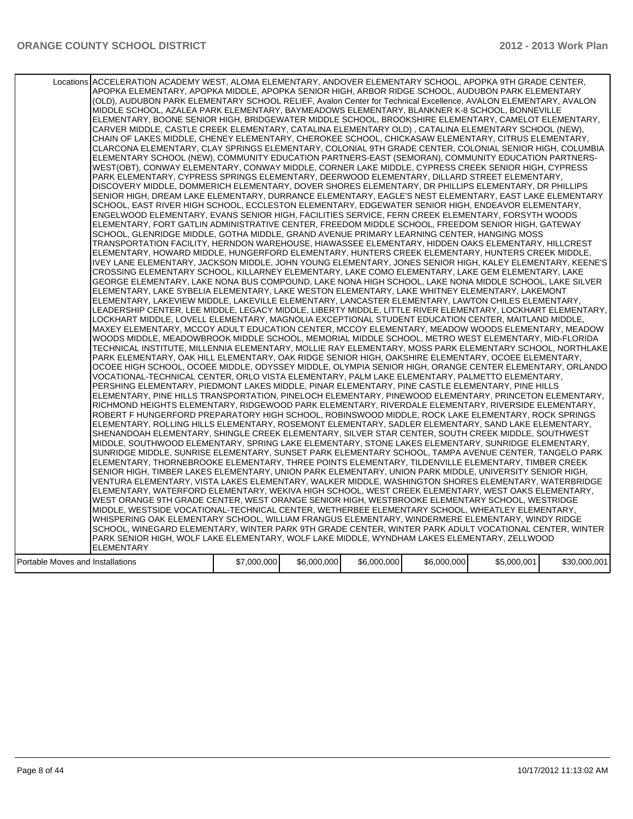|                                  | Locations ACCELERATION ACADEMY WEST, ALOMA ELEMENTARY, ANDOVER ELEMENTARY SCHOOL, APOPKA 9TH GRADE CENTER,<br>APOPKA ELEMENTARY, APOPKA MIDDLE, APOPKA SENIOR HIGH, ARBOR RIDGE SCHOOL, AUDUBON PARK ELEMENTARY<br>(OLD), AUDUBON PARK ELEMENTARY SCHOOL RELIEF, Avalon Center for Technical Excellence, AVALON ELEMENTARY, AVALON<br>MIDDLE SCHOOL, AZALEA PARK ELEMENTARY, BAYMEADOWS ELEMENTARY, BLANKNER K-8 SCHOOL, BONNEVILLE<br>ELEMENTARY, BOONE SENIOR HIGH, BRIDGEWATER MIDDLE SCHOOL, BROOKSHIRE ELEMENTARY, CAMELOT ELEMENTARY,<br>CARVER MIDDLE, CASTLE CREEK ELEMENTARY, CATALINA ELEMENTARY OLD), CATALINA ELEMENTARY SCHOOL (NEW),<br>CHAIN OF LAKES MIDDLE, CHENEY ELEMENTARY, CHEROKEE SCHOOL, CHICKASAW ELEMENTARY, CITRUS ELEMENTARY,<br>CLARCONA ELEMENTARY, CLAY SPRINGS ELEMENTARY, COLONIAL 9TH GRADE CENTER, COLONIAL SENIOR HIGH, COLUMBIA<br>ELEMENTARY SCHOOL (NEW), COMMUNITY EDUCATION PARTNERS-EAST (SEMORAN), COMMUNITY EDUCATION PARTNERS-<br>WEST(OBT), CONWAY ELEMENTARY, CONWAY MIDDLE, CORNER LAKE MIDDLE, CYPRESS CREEK SENIOR HIGH, CYPRESS<br>PARK ELEMENTARY, CYPRESS SPRINGS ELEMENTARY, DEERWOOD ELEMENTARY, DILLARD STREET ELEMENTARY,<br>DISCOVERY MIDDLE, DOMMERICH ELEMENTARY, DOVER SHORES ELEMENTARY, DR PHILLIPS ELEMENTARY, DR PHILLIPS<br>SENIOR HIGH, DREAM LAKE ELEMENTARY, DURRANCE ELEMENTARY, EAGLE'S NEST ELEMENTARY, EAST LAKE ELEMENTARY<br>SCHOOL, EAST RIVER HIGH SCHOOL, ECCLESTON ELEMENTARY, EDGEWATER SENIOR HIGH, ENDEAVOR ELEMENTARY,<br>ENGELWOOD ELEMENTARY, EVANS SENIOR HIGH, FACILITIES SERVICE, FERN CREEK ELEMENTARY, FORSYTH WOODS<br>ELEMENTARY, FORT GATLIN ADMINISTRATIVE CENTER, FREEDOM MIDDLE SCHOOL, FREEDOM SENIOR HIGH, GATEWAY<br>SCHOOL, GLENRIDGE MIDDLE, GOTHA MIDDLE, GRAND AVENUE PRIMARY LEARNING CENTER, HANGING MOSS<br>TRANSPORTATION FACILITY, HERNDON WAREHOUSE, HIAWASSEE ELEMENTARY, HIDDEN OAKS ELEMENTARY, HILLCREST<br>ELEMENTARY, HOWARD MIDDLE, HUNGERFORD ELEMENTARY, HUNTERS CREEK ELEMENTARY, HUNTERS CREEK MIDDLE,<br>IVEY LANE ELEMENTARY, JACKSON MIDDLE, JOHN YOUNG ELEMENTARY, JONES SENIOR HIGH, KALEY ELEMENTARY, KEENE'S<br>CROSSING ELEMENTARY SCHOOL, KILLARNEY ELEMENTARY, LAKE COMO ELEMENTARY, LAKE GEM ELEMENTARY, LAKE<br>GEORGE ELEMENTARY, LAKE NONA BUS COMPOUND, LAKE NONA HIGH SCHOOL, LAKE NONA MIDDLE SCHOOL, LAKE SILVER<br>ELEMENTARY, LAKE SYBELIA ELEMENTARY, LAKE WESTON ELEMENTARY, LAKE WHITNEY ELEMENTARY, LAKEMONT<br>ELEMENTARY, LAKEVIEW MIDDLE, LAKEVILLE ELEMENTARY, LANCASTER ELEMENTARY, LAWTON CHILES ELEMENTARY,<br>LEADERSHIP CENTER, LEE MIDDLE, LEGACY MIDDLE, LIBERTY MIDDLE, LITTLE RIVER ELEMENTARY, LOCKHART ELEMENTARY,<br>LOCKHART MIDDLE, LOVELL ELEMENTARY, MAGNOLIA EXCEPTIONAL STUDENT EDUCATION CENTER, MAITLAND MIDDLE,<br>MAXEY ELEMENTARY, MCCOY ADULT EDUCATION CENTER, MCCOY ELEMENTARY, MEADOW WOODS ELEMENTARY, MEADOW<br>WOODS MIDDLE, MEADOWBROOK MIDDLE SCHOOL, MEMORIAL MIDDLE SCHOOL, METRO WEST ELEMENTARY, MID-FLORIDA<br>TECHNICAL INSTITUTE, MILLENNIA ELEMENTARY, MOLLIE RAY ELEMENTARY, MOSS PARK ELEMENTARY SCHOOL, NORTHLAKE<br>PARK ELEMENTARY, OAK HILL ELEMENTARY, OAK RIDGE SENIOR HIGH, OAKSHIRE ELEMENTARY, OCOEE ELEMENTARY,<br>OCOEE HIGH SCHOOL, OCOEE MIDDLE, ODYSSEY MIDDLE, OLYMPIA SENIOR HIGH, ORANGE CENTER ELEMENTARY, ORLANDO<br>VOCATIONAL-TECHNICAL CENTER, ORLO VISTA ELEMENTARY, PALM LAKE ELEMENTARY, PALMETTO ELEMENTARY,<br>PERSHING ELEMENTARY, PIEDMONT LAKES MIDDLE, PINAR ELEMENTARY, PINE CASTLE ELEMENTARY, PINE HILLS<br>ELEMENTARY, PINE HILLS TRANSPORTATION, PINELOCH ELEMENTARY, PINEWOOD ELEMENTARY, PRINCETON ELEMENTARY,<br>RICHMOND HEIGHTS ELEMENTARY, RIDGEWOOD PARK ELEMENTARY, RIVERDALE ELEMENTARY, RIVERSIDE ELEMENTARY,<br>ROBERT F HUNGERFORD PREPARATORY HIGH SCHOOL, ROBINSWOOD MIDDLE, ROCK LAKE ELEMENTARY, ROCK SPRINGS<br>ELEMENTARY, ROLLING HILLS ELEMENTARY, ROSEMONT ELEMENTARY, SADLER ELEMENTARY, SAND LAKE ELEMENTARY,<br>SHENANDOAH ELEMENTARY, SHINGLE CREEK ELEMENTARY, SILVER STAR CENTER, SOUTH CREEK MIDDLE, SOUTHWEST<br>MIDDLE, SOUTHWOOD ELEMENTARY, SPRING LAKE ELEMENTARY, STONE LAKES ELEMENTARY, SUNRIDGE ELEMENTARY,<br>SUNRIDGE MIDDLE, SUNRISE ELEMENTARY, SUNSET PARK ELEMENTARY SCHOOL, TAMPA AVENUE CENTER, TANGELO PARK<br>ELEMENTARY, THORNEBROOKE ELEMENTARY, THREE POINTS ELEMENTARY, TILDENVILLE ELEMENTARY, TIMBER CREEK<br>SENIOR HIGH, TIMBER LAKES ELEMENTARY, UNION PARK ELEMENTARY, UNION PARK MIDDLE, UNIVERSITY SENIOR HIGH,<br>VENTURA ELEMENTARY, VISTA LAKES ELEMENTARY, WALKER MIDDLE, WASHINGTON SHORES ELEMENTARY, WATERBRIDGE<br>ELEMENTARY, WATERFORD ELEMENTARY, WEKIVA HIGH SCHOOL, WEST CREEK ELEMENTARY, WEST OAKS ELEMENTARY,<br>WEST ORANGE 9TH GRADE CENTER, WEST ORANGE SENIOR HIGH, WESTBROOKE ELEMENTARY SCHOOL, WESTRIDGE<br>MIDDLE, WESTSIDE VOCATIONAL-TECHNICAL CENTER, WETHERBEE ELEMENTARY SCHOOL, WHEATLEY ELEMENTARY,<br>WHISPERING OAK ELEMENTARY SCHOOL, WILLIAM FRANGUS ELEMENTARY, WINDERMERE ELEMENTARY, WINDY RIDGE<br>SCHOOL, WINEGARD ELEMENTARY, WINTER PARK 9TH GRADE CENTER, WINTER PARK ADULT VOCATIONAL CENTER, WINTER<br>PARK SENIOR HIGH, WOLF LAKE ELEMENTARY, WOLF LAKE MIDDLE, WYNDHAM LAKES ELEMENTARY, ZELLWOOD |             |             |             |             |             |              |
|----------------------------------|-----------------------------------------------------------------------------------------------------------------------------------------------------------------------------------------------------------------------------------------------------------------------------------------------------------------------------------------------------------------------------------------------------------------------------------------------------------------------------------------------------------------------------------------------------------------------------------------------------------------------------------------------------------------------------------------------------------------------------------------------------------------------------------------------------------------------------------------------------------------------------------------------------------------------------------------------------------------------------------------------------------------------------------------------------------------------------------------------------------------------------------------------------------------------------------------------------------------------------------------------------------------------------------------------------------------------------------------------------------------------------------------------------------------------------------------------------------------------------------------------------------------------------------------------------------------------------------------------------------------------------------------------------------------------------------------------------------------------------------------------------------------------------------------------------------------------------------------------------------------------------------------------------------------------------------------------------------------------------------------------------------------------------------------------------------------------------------------------------------------------------------------------------------------------------------------------------------------------------------------------------------------------------------------------------------------------------------------------------------------------------------------------------------------------------------------------------------------------------------------------------------------------------------------------------------------------------------------------------------------------------------------------------------------------------------------------------------------------------------------------------------------------------------------------------------------------------------------------------------------------------------------------------------------------------------------------------------------------------------------------------------------------------------------------------------------------------------------------------------------------------------------------------------------------------------------------------------------------------------------------------------------------------------------------------------------------------------------------------------------------------------------------------------------------------------------------------------------------------------------------------------------------------------------------------------------------------------------------------------------------------------------------------------------------------------------------------------------------------------------------------------------------------------------------------------------------------------------------------------------------------------------------------------------------------------------------------------------------------------------------------------------------------------------------------------------------------------------------------------------------------------------------------------------------------------------------------------------------------------------------------------------------------------------------------------------------------------------------------------------------------------------------------------------------------------------------------------------------------------------------------------------------------------------------------------------------------------------------------------------------------------------------------------------------------------------------------------------------------------------------------------------------------------------------------------------------------------------------------------------------------------------------------------------------------------------------------------------------------------------------------------------------------------------------------------------------------------------------------------------------------------------------------------------------------------------------------------------------------------------------|-------------|-------------|-------------|-------------|-------------|--------------|
|                                  |                                                                                                                                                                                                                                                                                                                                                                                                                                                                                                                                                                                                                                                                                                                                                                                                                                                                                                                                                                                                                                                                                                                                                                                                                                                                                                                                                                                                                                                                                                                                                                                                                                                                                                                                                                                                                                                                                                                                                                                                                                                                                                                                                                                                                                                                                                                                                                                                                                                                                                                                                                                                                                                                                                                                                                                                                                                                                                                                                                                                                                                                                                                                                                                                                                                                                                                                                                                                                                                                                                                                                                                                                                                                                                                                                                                                                                                                                                                                                                                                                                                                                                                                                                                                                                                                                                                                                                                                                                                                                                                                                                                                                                                                                                                                                                                                                                                                                                                                                                                                                                                                                                                                                                                                                                               |             |             |             |             |             |              |
|                                  |                                                                                                                                                                                                                                                                                                                                                                                                                                                                                                                                                                                                                                                                                                                                                                                                                                                                                                                                                                                                                                                                                                                                                                                                                                                                                                                                                                                                                                                                                                                                                                                                                                                                                                                                                                                                                                                                                                                                                                                                                                                                                                                                                                                                                                                                                                                                                                                                                                                                                                                                                                                                                                                                                                                                                                                                                                                                                                                                                                                                                                                                                                                                                                                                                                                                                                                                                                                                                                                                                                                                                                                                                                                                                                                                                                                                                                                                                                                                                                                                                                                                                                                                                                                                                                                                                                                                                                                                                                                                                                                                                                                                                                                                                                                                                                                                                                                                                                                                                                                                                                                                                                                                                                                                                                               |             |             |             |             |             |              |
|                                  |                                                                                                                                                                                                                                                                                                                                                                                                                                                                                                                                                                                                                                                                                                                                                                                                                                                                                                                                                                                                                                                                                                                                                                                                                                                                                                                                                                                                                                                                                                                                                                                                                                                                                                                                                                                                                                                                                                                                                                                                                                                                                                                                                                                                                                                                                                                                                                                                                                                                                                                                                                                                                                                                                                                                                                                                                                                                                                                                                                                                                                                                                                                                                                                                                                                                                                                                                                                                                                                                                                                                                                                                                                                                                                                                                                                                                                                                                                                                                                                                                                                                                                                                                                                                                                                                                                                                                                                                                                                                                                                                                                                                                                                                                                                                                                                                                                                                                                                                                                                                                                                                                                                                                                                                                                               |             |             |             |             |             |              |
|                                  | <b>ELEMENTARY</b>                                                                                                                                                                                                                                                                                                                                                                                                                                                                                                                                                                                                                                                                                                                                                                                                                                                                                                                                                                                                                                                                                                                                                                                                                                                                                                                                                                                                                                                                                                                                                                                                                                                                                                                                                                                                                                                                                                                                                                                                                                                                                                                                                                                                                                                                                                                                                                                                                                                                                                                                                                                                                                                                                                                                                                                                                                                                                                                                                                                                                                                                                                                                                                                                                                                                                                                                                                                                                                                                                                                                                                                                                                                                                                                                                                                                                                                                                                                                                                                                                                                                                                                                                                                                                                                                                                                                                                                                                                                                                                                                                                                                                                                                                                                                                                                                                                                                                                                                                                                                                                                                                                                                                                                                                             |             |             |             |             |             |              |
| Portable Moves and Installations |                                                                                                                                                                                                                                                                                                                                                                                                                                                                                                                                                                                                                                                                                                                                                                                                                                                                                                                                                                                                                                                                                                                                                                                                                                                                                                                                                                                                                                                                                                                                                                                                                                                                                                                                                                                                                                                                                                                                                                                                                                                                                                                                                                                                                                                                                                                                                                                                                                                                                                                                                                                                                                                                                                                                                                                                                                                                                                                                                                                                                                                                                                                                                                                                                                                                                                                                                                                                                                                                                                                                                                                                                                                                                                                                                                                                                                                                                                                                                                                                                                                                                                                                                                                                                                                                                                                                                                                                                                                                                                                                                                                                                                                                                                                                                                                                                                                                                                                                                                                                                                                                                                                                                                                                                                               | \$7,000,000 | \$6,000,000 | \$6,000,000 | \$6,000,000 | \$5,000,001 | \$30,000,001 |
|                                  |                                                                                                                                                                                                                                                                                                                                                                                                                                                                                                                                                                                                                                                                                                                                                                                                                                                                                                                                                                                                                                                                                                                                                                                                                                                                                                                                                                                                                                                                                                                                                                                                                                                                                                                                                                                                                                                                                                                                                                                                                                                                                                                                                                                                                                                                                                                                                                                                                                                                                                                                                                                                                                                                                                                                                                                                                                                                                                                                                                                                                                                                                                                                                                                                                                                                                                                                                                                                                                                                                                                                                                                                                                                                                                                                                                                                                                                                                                                                                                                                                                                                                                                                                                                                                                                                                                                                                                                                                                                                                                                                                                                                                                                                                                                                                                                                                                                                                                                                                                                                                                                                                                                                                                                                                                               |             |             |             |             |             |              |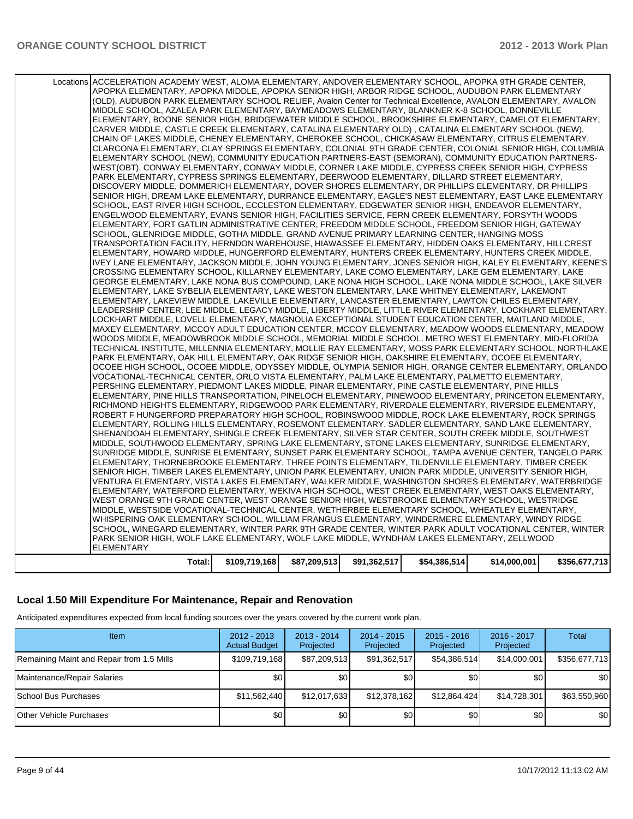#### **Local 1.50 Mill Expenditure For Maintenance, Repair and Renovation**

Anticipated expenditures expected from local funding sources over the years covered by the current work plan.

| Item                                      | $2012 - 2013$<br><b>Actual Budget</b> | $2013 - 2014$<br>Projected | $2014 - 2015$<br>Projected | $2015 - 2016$<br>Projected | 2016 - 2017<br>Projected | Total            |
|-------------------------------------------|---------------------------------------|----------------------------|----------------------------|----------------------------|--------------------------|------------------|
| Remaining Maint and Repair from 1.5 Mills | \$109,719,168                         | \$87,209,513               | \$91,362,517               | \$54,386,514               | \$14,000,001             | \$356,677,713    |
| Maintenance/Repair Salaries               | \$0                                   | \$0 I                      | \$0                        | \$0                        | \$0                      | \$0 <sub>1</sub> |
| School Bus Purchases                      | \$11,562,440                          | \$12,017,633               | \$12,378,162               | \$12,864,424               | \$14.728.301             | \$63,550,960     |
| <b>Other Vehicle Purchases</b>            | \$0 <sub>1</sub>                      | \$0                        | \$0                        | \$0                        | \$0 <sub>l</sub>         | \$0 <sub>1</sub> |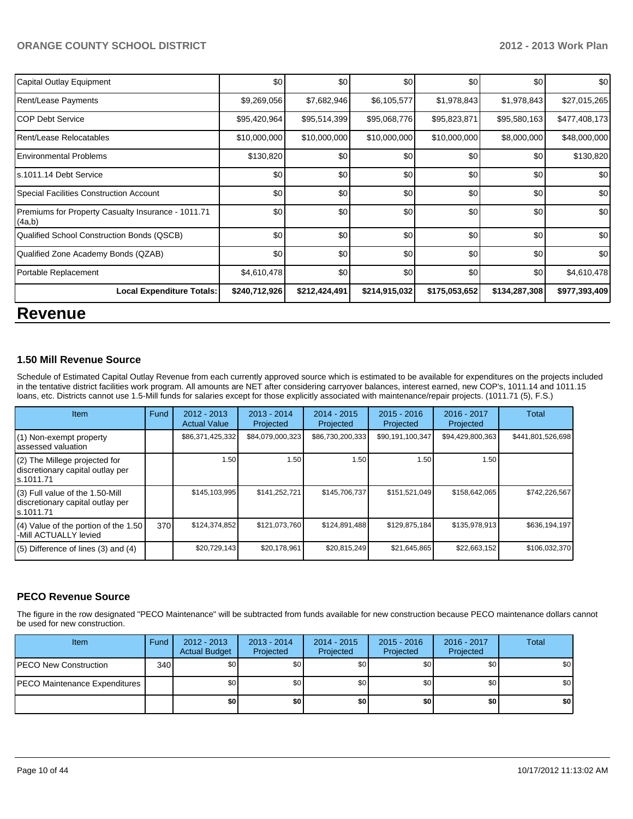| Capital Outlay Equipment                                     | \$0           | \$0           | \$0           | \$0           | \$0           | \$0           |
|--------------------------------------------------------------|---------------|---------------|---------------|---------------|---------------|---------------|
| <b>Rent/Lease Payments</b>                                   | \$9,269,056   | \$7,682,946   | \$6,105,577   | \$1,978,843   | \$1,978,843   | \$27,015,265  |
| ICOP Debt Service                                            | \$95,420,964  | \$95,514,399  | \$95,068,776  | \$95,823,871  | \$95,580,163  | \$477,408,173 |
| Rent/Lease Relocatables                                      | \$10,000,000  | \$10,000,000  | \$10,000,000  | \$10,000,000  | \$8,000,000   | \$48,000,000  |
| <b>Environmental Problems</b>                                | \$130,820     | \$0           | \$0           | \$0           | \$0           | \$130,820     |
| s.1011.14 Debt Service                                       | \$0           | \$0           | \$0           | \$0           | \$0           | \$0           |
| Special Facilities Construction Account                      | \$0           | \$0           | \$0           | \$0           | \$0           | \$0           |
| Premiums for Property Casualty Insurance - 1011.71<br>(4a,b) | \$0           | \$0           | \$0           | \$0           | \$0           | \$0           |
| Qualified School Construction Bonds (QSCB)                   | \$0           | \$0           | \$0           | \$0           | \$0           | \$0           |
| Qualified Zone Academy Bonds (QZAB)                          | \$0           | \$0           | \$0           | \$0           | \$0           | \$0           |
| Portable Replacement                                         | \$4,610,478   | \$0           | \$0           | \$0           | \$0           | \$4,610,478   |
| <b>Local Expenditure Totals:</b>                             | \$240,712,926 | \$212,424,491 | \$214,915,032 | \$175,053,652 | \$134,287,308 | \$977,393,409 |
|                                                              |               |               |               |               |               |               |

## **Revenue**

#### **1.50 Mill Revenue Source**

Schedule of Estimated Capital Outlay Revenue from each currently approved source which is estimated to be available for expenditures on the projects included in the tentative district facilities work program. All amounts are NET after considering carryover balances, interest earned, new COP's, 1011.14 and 1011.15 loans, etc. Districts cannot use 1.5-Mill funds for salaries except for those explicitly associated with maintenance/repair projects. (1011.71 (5), F.S.)

| Item                                                                              | Fund | $2012 - 2013$<br><b>Actual Value</b> | $2013 - 2014$<br>Projected | $2014 - 2015$<br>Projected | $2015 - 2016$<br>Projected | 2016 - 2017<br>Projected | Total             |
|-----------------------------------------------------------------------------------|------|--------------------------------------|----------------------------|----------------------------|----------------------------|--------------------------|-------------------|
| (1) Non-exempt property<br>assessed valuation                                     |      | \$86,371,425,332                     | \$84,079,000,323           | \$86,730,200,333           | \$90,191,100,347           | \$94,429,800,363         | \$441,801,526,698 |
| (2) The Millege projected for<br>discretionary capital outlay per<br>ls.1011.71   |      | 1.50                                 | 1.50                       | .50 <sub>1</sub>           | 1.50                       | 1.50                     |                   |
| (3) Full value of the 1.50-Mill<br>discretionary capital outlay per<br>ls.1011.71 |      | \$145.103.995                        | \$141,252,721              | \$145.706.737              | \$151.521.049              | \$158,642,065            | \$742.226.567     |
| $(4)$ Value of the portion of the 1.50<br>-Mill ACTUALLY levied                   | 370  | \$124,374,852                        | \$121,073,760              | \$124,891,488              | \$129,875,184              | \$135,978,913            | \$636,194,197     |
| $(5)$ Difference of lines $(3)$ and $(4)$                                         |      | \$20,729,143                         | \$20,178,961               | \$20,815,249               | \$21,645,865               | \$22,663,152             | \$106,032,370     |

#### **PECO Revenue Source**

The figure in the row designated "PECO Maintenance" will be subtracted from funds available for new construction because PECO maintenance dollars cannot be used for new construction.

| Item                                  | Fund | $2012 - 2013$<br><b>Actual Budget</b> | $2013 - 2014$<br>Projected | $2014 - 2015$<br>Projected | $2015 - 2016$<br>Projected | $2016 - 2017$<br>Projected | Total            |
|---------------------------------------|------|---------------------------------------|----------------------------|----------------------------|----------------------------|----------------------------|------------------|
| <b>PECO New Construction</b>          | 340  | \$0                                   | \$0                        | \$0                        | <b>\$01</b>                | \$0                        | \$0 <sub>1</sub> |
| <b>IPECO Maintenance Expenditures</b> |      | \$0                                   | \$0 <sub>1</sub>           | \$0                        | \$0 <sub>1</sub>           | \$0 <sub>1</sub>           | \$0 <sub>1</sub> |
|                                       |      | \$0                                   | \$0                        | \$0                        | \$0                        | \$0                        | \$0              |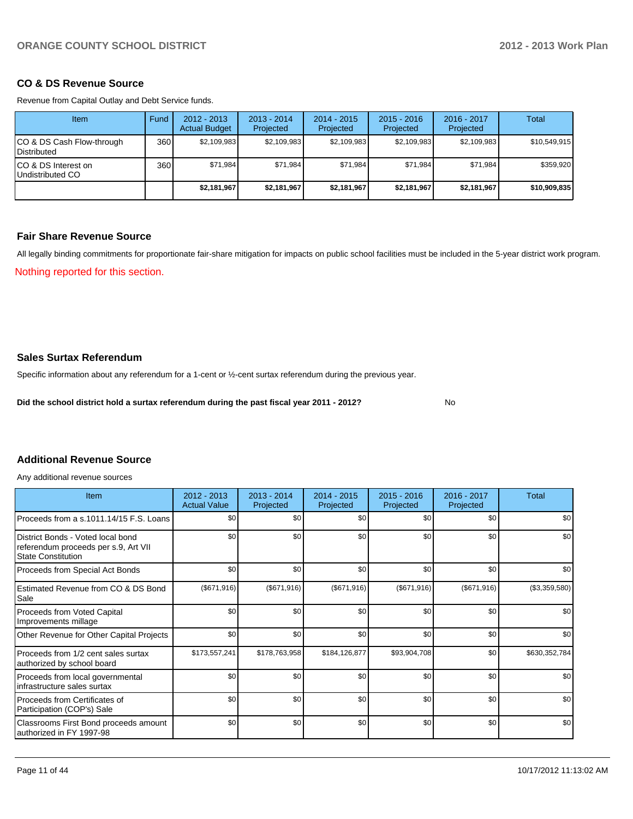#### **CO & DS Revenue Source**

Revenue from Capital Outlay and Debt Service funds.

| <b>Item</b>                                      | Fund | $2012 - 2013$<br><b>Actual Budget</b> | $2013 - 2014$<br>Projected | $2014 - 2015$<br>Projected | $2015 - 2016$<br>Projected | $2016 - 2017$<br>Projected | Total        |
|--------------------------------------------------|------|---------------------------------------|----------------------------|----------------------------|----------------------------|----------------------------|--------------|
| ICO & DS Cash Flow-through<br><b>Distributed</b> | 360  | \$2,109,983                           | \$2,109,983                | \$2,109,983                | \$2,109,983                | \$2,109,983                | \$10,549,915 |
| ICO & DS Interest on<br>Undistributed CO         | 360  | \$71.984                              | \$71,984                   | \$71.984                   | \$71.984                   | \$71,984                   | \$359,920    |
|                                                  |      | \$2,181,967                           | \$2,181,967                | \$2,181,967                | \$2,181,967                | \$2,181,967                | \$10,909,835 |

#### **Fair Share Revenue Source**

All legally binding commitments for proportionate fair-share mitigation for impacts on public school facilities must be included in the 5-year district work program.

Nothing reported for this section.

#### **Sales Surtax Referendum**

Specific information about any referendum for a 1-cent or ½-cent surtax referendum during the previous year.

**Did the school district hold a surtax referendum during the past fiscal year 2011 - 2012?**

No

#### **Additional Revenue Source**

Any additional revenue sources

| Item                                                                                                   | 2012 - 2013<br><b>Actual Value</b> | 2013 - 2014<br>Projected | 2014 - 2015<br>Projected | $2015 - 2016$<br>Projected | 2016 - 2017<br>Projected | Total         |
|--------------------------------------------------------------------------------------------------------|------------------------------------|--------------------------|--------------------------|----------------------------|--------------------------|---------------|
| Proceeds from a s.1011.14/15 F.S. Loans                                                                | \$0 <sub>1</sub>                   | \$0                      | \$0                      | \$0                        | \$0                      | \$0           |
| District Bonds - Voted local bond<br>referendum proceeds per s.9, Art VII<br><b>State Constitution</b> | \$0 <sub>1</sub>                   | \$0                      | \$0                      | \$0                        | \$0                      | \$0           |
| Proceeds from Special Act Bonds                                                                        | \$0                                | \$0                      | \$0                      | \$0                        | \$0                      | \$0           |
| Estimated Revenue from CO & DS Bond<br>Sale                                                            | (\$671,916)                        | (\$671,916)              | (\$671,916)              | (\$671,916)                | (\$671,916)              | (\$3,359,580) |
| Proceeds from Voted Capital<br>Improvements millage                                                    | \$0                                | \$0                      | \$0                      | \$0                        | \$0                      | \$0           |
| Other Revenue for Other Capital Projects                                                               | \$0                                | \$0                      | \$0                      | \$0                        | \$0                      | \$0           |
| Proceeds from 1/2 cent sales surtax<br>authorized by school board                                      | \$173,557,241                      | \$178,763,958            | \$184,126,877            | \$93,904,708               | \$0                      | \$630,352,784 |
| Proceeds from local governmental<br>infrastructure sales surtax                                        | \$0                                | \$0                      | \$0                      | \$0                        | \$0                      | \$0           |
| Proceeds from Certificates of<br>Participation (COP's) Sale                                            | \$0                                | \$0                      | \$0                      | \$0                        | \$0                      | \$0           |
| Classrooms First Bond proceeds amount<br>authorized in FY 1997-98                                      | \$0                                | \$0                      | \$0                      | \$0                        | \$0                      | \$0           |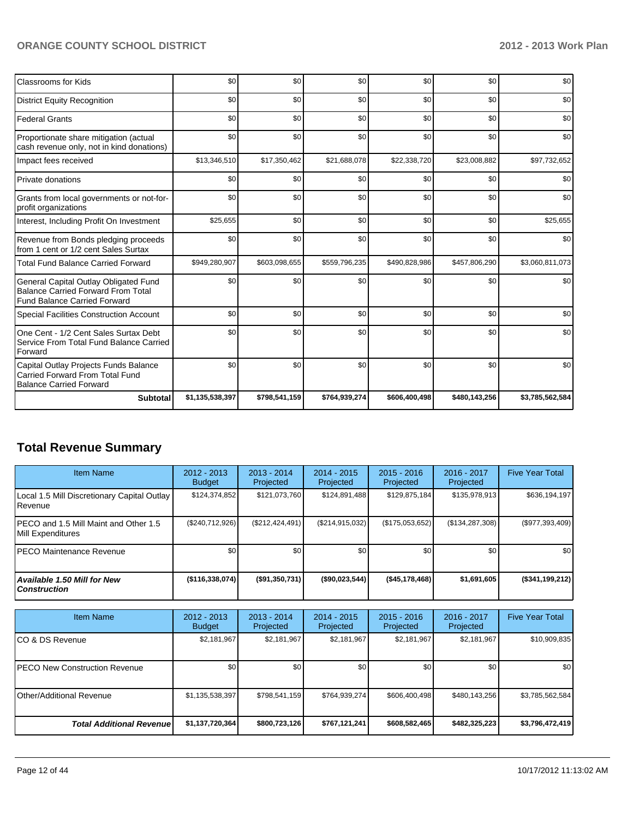| <b>Classrooms for Kids</b>                                                                                                | \$0             | \$0           | \$0           | \$0           | \$0           | \$0             |
|---------------------------------------------------------------------------------------------------------------------------|-----------------|---------------|---------------|---------------|---------------|-----------------|
| <b>District Equity Recognition</b>                                                                                        | \$0             | \$0           | \$0           | \$0           | \$0           | \$0             |
| <b>Federal Grants</b>                                                                                                     | \$0             | \$0           | \$0           | \$0           | \$0           | \$0             |
| Proportionate share mitigation (actual<br>cash revenue only, not in kind donations)                                       | \$0             | \$0           | \$0           | \$0           | \$0           | \$0             |
| Impact fees received                                                                                                      | \$13,346,510    | \$17,350,462  | \$21,688,078  | \$22,338,720  | \$23,008,882  | \$97,732,652    |
| <b>Private donations</b>                                                                                                  | \$0             | \$0           | \$0           | \$0           | \$0           | \$0             |
| Grants from local governments or not-for-<br>profit organizations                                                         | \$0             | \$0           | \$0           | \$0           | \$0           | \$0             |
| Interest, Including Profit On Investment                                                                                  | \$25,655        | \$0           | \$0           | \$0           | \$0           | \$25,655        |
| Revenue from Bonds pledging proceeds<br>from 1 cent or 1/2 cent Sales Surtax                                              | \$0             | \$0           | \$0           | \$0           | \$0           | \$0             |
| <b>Total Fund Balance Carried Forward</b>                                                                                 | \$949,280,907   | \$603,098,655 | \$559,796,235 | \$490,828,986 | \$457,806,290 | \$3,060,811,073 |
| General Capital Outlay Obligated Fund<br><b>Balance Carried Forward From Total</b><br><b>Fund Balance Carried Forward</b> | \$0             | \$0           | \$0           | \$0           | \$0           | \$0             |
| Special Facilities Construction Account                                                                                   | \$0             | \$0           | \$0           | \$0           | \$0           | \$0             |
| One Cent - 1/2 Cent Sales Surtax Debt<br>Service From Total Fund Balance Carried<br>Forward                               | \$0             | \$0           | \$0           | \$0           | \$0           | \$0             |
| Capital Outlay Projects Funds Balance<br><b>Carried Forward From Total Fund</b><br><b>Balance Carried Forward</b>         | \$0             | \$0           | \$0           | \$0           | \$0           | \$0             |
| <b>Subtotal</b>                                                                                                           | \$1,135,538,397 | \$798,541,159 | \$764,939,274 | \$606,400,498 | \$480,143,256 | \$3,785,562,584 |

## **Total Revenue Summary**

| <b>Item Name</b>                                                | 2012 - 2013<br><b>Budget</b> | $2013 - 2014$<br>Projected | $2014 - 2015$<br>Projected | $2015 - 2016$<br>Projected | $2016 - 2017$<br>Projected | <b>Five Year Total</b> |
|-----------------------------------------------------------------|------------------------------|----------------------------|----------------------------|----------------------------|----------------------------|------------------------|
| Local 1.5 Mill Discretionary Capital Outlay<br><b>I</b> Revenue | \$124,374,852                | \$121,073,760              | \$124,891,488              | \$129,875,184              | \$135,978,913              | \$636,194,197          |
| IPECO and 1.5 Mill Maint and Other 1.5<br>Mill Expenditures     | (\$240,712,926)              | (\$212, 424, 491)          | (\$214, 915, 032)          | (\$175,053,652)            | (\$134, 287, 308)          | $(\$977,393,409)$      |
| IPECO Maintenance Revenue                                       | \$0                          | \$0                        | \$0                        | \$0                        | \$0 <sub>1</sub>           | \$0                    |
| Available 1.50 Mill for New l<br>  Construction                 | (\$116,338,074)              | (S91, 350, 731)            | $($ \$90,023,544)          | (S45, 178, 468)            | \$1,691,605                | (\$341,199,212)        |

| <b>Item Name</b>                      | $2012 - 2013$<br><b>Budget</b> | $2013 - 2014$<br>Projected | 2014 - 2015<br>Projected | $2015 - 2016$<br>Projected | 2016 - 2017<br>Projected | <b>Five Year Total</b> |
|---------------------------------------|--------------------------------|----------------------------|--------------------------|----------------------------|--------------------------|------------------------|
| ICO & DS Revenue                      | \$2,181,967                    | \$2,181,967                | \$2,181,967              | \$2,181,967                | \$2,181,967              | \$10,909,835           |
| <b>IPECO New Construction Revenue</b> | \$0                            | \$0                        | \$0                      | \$0                        | \$0                      | \$0 <sub>1</sub>       |
| <b>IOther/Additional Revenue</b>      | \$1,135,538,397                | \$798,541,159              | \$764,939,274            | \$606,400,498              | \$480,143,256            | \$3,785,562,584        |
| <b>Total Additional Revenuel</b>      | \$1,137,720,364                | \$800,723,126              | \$767,121,241            | \$608,582,465              | \$482,325,223            | \$3,796,472,419        |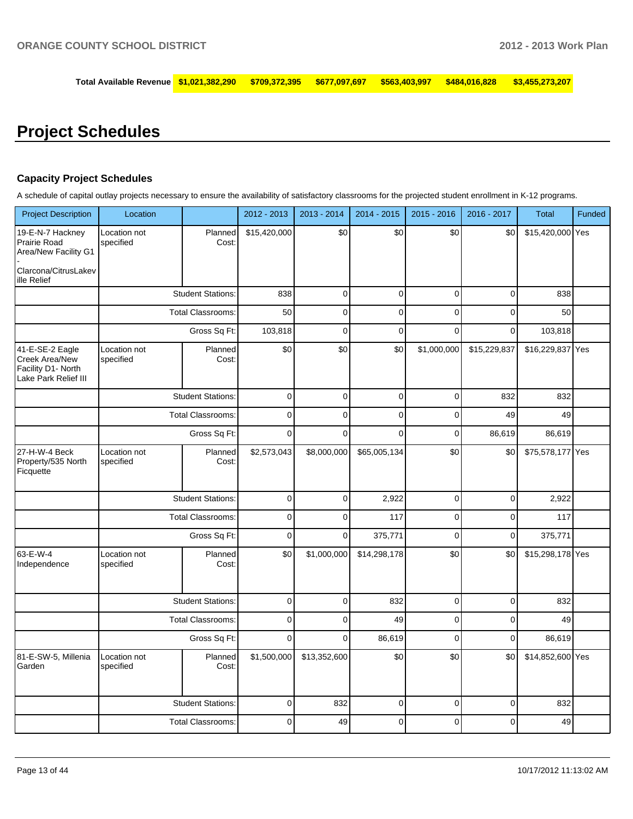**Total Available Revenue \$1,021,382,290 \$709,372,395 \$677,097,697 \$563,403,997 \$484,016,828 \$3,455,273,207**

## **Project Schedules**

#### **Capacity Project Schedules**

A schedule of capital outlay projects necessary to ensure the availability of satisfactory classrooms for the projected student enrollment in K-12 programs.

| <b>Project Description</b>                                                      | Location                  |                          | 2012 - 2013  | 2013 - 2014  | 2014 - 2015  | $2015 - 2016$  | 2016 - 2017  | <b>Total</b>     | Funded |
|---------------------------------------------------------------------------------|---------------------------|--------------------------|--------------|--------------|--------------|----------------|--------------|------------------|--------|
| 19-E-N-7 Hackney<br>Prairie Road<br>Area/New Facility G1                        | Location not<br>specified | Planned<br>Cost:         | \$15,420,000 | \$0          | \$0          | \$0            | \$0          | \$15,420,000 Yes |        |
| Clarcona/CitrusLakev<br>ille Relief                                             |                           |                          |              |              |              |                |              |                  |        |
|                                                                                 |                           | <b>Student Stations:</b> | 838          | $\mathbf 0$  | $\mathbf 0$  | $\mathbf 0$    | 0            | 838              |        |
|                                                                                 |                           | <b>Total Classrooms:</b> | 50           | $\Omega$     | $\Omega$     | $\Omega$       | $\Omega$     | 50               |        |
|                                                                                 |                           | Gross Sq Ft:             | 103,818      | $\mathbf 0$  | $\mathbf 0$  | $\Omega$       | $\mathbf 0$  | 103,818          |        |
| 41-E-SE-2 Eagle<br>Creek Area/New<br>Facility D1- North<br>Lake Park Relief III | Location not<br>specified | Planned<br>Cost:         | \$0          | \$0          | \$0          | \$1,000,000    | \$15,229,837 | \$16,229,837 Yes |        |
|                                                                                 |                           | <b>Student Stations:</b> | $\mathbf 0$  | $\mathbf 0$  | $\mathbf 0$  | $\mathbf 0$    | 832          | 832              |        |
|                                                                                 |                           | <b>Total Classrooms:</b> | $\mathbf 0$  | $\mathbf 0$  | $\mathbf 0$  | $\mathbf 0$    | 49           | 49               |        |
|                                                                                 |                           | Gross Sq Ft:             | $\mathbf 0$  | $\mathbf 0$  | $\mathbf 0$  | $\mathbf 0$    | 86,619       | 86,619           |        |
| 27-H-W-4 Beck<br>Property/535 North<br>Ficquette                                | Location not<br>specified | Planned<br>Cost:         | \$2,573,043  | \$8,000,000  | \$65,005,134 | \$0            | \$0          | \$75,578,177 Yes |        |
|                                                                                 |                           | <b>Student Stations:</b> | $\mathbf 0$  | $\mathbf 0$  | 2,922        | $\mathbf 0$    | $\mathbf 0$  | 2,922            |        |
|                                                                                 |                           | <b>Total Classrooms:</b> | $\mathbf 0$  | $\mathbf 0$  | 117          | $\mathbf 0$    | 0            | 117              |        |
|                                                                                 |                           | Gross Sq Ft:             | $\pmb{0}$    | $\mathbf 0$  | 375,771      | $\overline{0}$ | $\mathsf 0$  | 375,771          |        |
| 63-E-W-4<br>Independence                                                        | Location not<br>specified | Planned<br>Cost:         | \$0          | \$1,000,000  | \$14,298,178 | \$0            | \$0          | \$15,298,178 Yes |        |
|                                                                                 |                           | <b>Student Stations:</b> | $\mathbf 0$  | $\mathbf 0$  | 832          | $\mathbf 0$    | $\mathbf 0$  | 832              |        |
|                                                                                 |                           | <b>Total Classrooms:</b> | $\pmb{0}$    | $\mathbf 0$  | 49           | $\overline{0}$ | $\mathbf 0$  | 49               |        |
|                                                                                 |                           | Gross Sq Ft:             | $\mathbf 0$  | $\mathbf 0$  | 86,619       | $\mathbf 0$    | $\mathbf 0$  | 86,619           |        |
| 81-E-SW-5, Millenia<br>Garden                                                   | Location not<br>specified | Planned<br>Cost:         | \$1,500,000  | \$13,352,600 | \$0          | \$0            | \$0          | \$14,852,600 Yes |        |
|                                                                                 |                           | <b>Student Stations:</b> | $\mathbf 0$  | 832          | $\mathbf 0$  | $\mathbf 0$    | $\pmb{0}$    | 832              |        |
|                                                                                 |                           | Total Classrooms:        | $\mathbf 0$  | 49           | $\mathbf 0$  | $\mathbf{0}$   | $\Omega$     | 49               |        |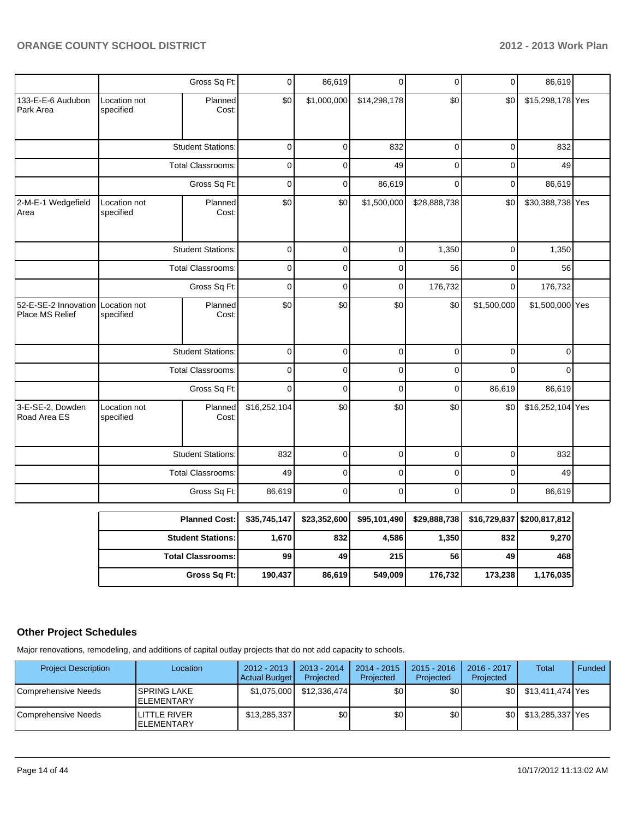|                                         |                                                                                          | Gross Sq Ft:             | 0            | 86,619      | $\overline{0}$ | 0            | 0           | 86,619           |  |
|-----------------------------------------|------------------------------------------------------------------------------------------|--------------------------|--------------|-------------|----------------|--------------|-------------|------------------|--|
| 133-E-E-6 Audubon<br>Park Area          | Location not<br>specified                                                                | Planned<br>Cost:         | \$0          | \$1,000,000 | \$14,298,178   | \$0          | \$0         | \$15,298,178 Yes |  |
|                                         |                                                                                          | <b>Student Stations:</b> | $\mathbf 0$  | 0           | 832            | 0            | $\mathbf 0$ | 832              |  |
|                                         | <b>Total Classrooms:</b>                                                                 |                          | $\pmb{0}$    | 0           | 49             | 0            | 0           | 49               |  |
|                                         |                                                                                          | Gross Sq Ft:             | $\mathbf 0$  | 0           | 86,619         | 0            | $\mathbf 0$ | 86,619           |  |
| 2-M-E-1 Wedgefield<br>Area              | Location not<br>specified                                                                | Planned<br>Cost:         | \$0          | \$0         | \$1,500,000    | \$28,888,738 | \$0         | \$30,388,738 Yes |  |
|                                         |                                                                                          | <b>Student Stations:</b> | $\mathbf 0$  | 0           | 0              | 1,350        | $\mathbf 0$ | 1,350            |  |
|                                         |                                                                                          | <b>Total Classrooms:</b> | $\mathbf 0$  | 0           | 0              | 56           | $\mathbf 0$ | 56               |  |
|                                         | Gross Sq Ft:                                                                             |                          | $\mathbf 0$  | 0           | $\mathbf 0$    | 176,732      | 0           | 176,732          |  |
| 52-E-SE-2 Innovation<br>Place MS Relief | \$0<br>\$0<br>\$0<br>\$0<br>\$1,500,000<br>Planned<br>Location not<br>Cost:<br>specified | \$1,500,000 Yes          |              |             |                |              |             |                  |  |
|                                         |                                                                                          | <b>Student Stations:</b> | 0            | 0           | 0              | 0            | $\mathbf 0$ | $\Omega$         |  |
|                                         |                                                                                          | <b>Total Classrooms:</b> | $\mathbf 0$  | 0           | $\mathbf 0$    | 0            | $\Omega$    | $\Omega$         |  |
|                                         |                                                                                          | Gross Sq Ft:             | $\mathbf 0$  | 0           | 0              | 0            | 86,619      | 86,619           |  |
| 3-E-SE-2, Dowden<br>Road Area ES        | Location not<br>specified                                                                | Planned<br>Cost:         | \$16,252,104 | \$0         | \$0            | \$0          | \$0         | \$16,252,104 Yes |  |
|                                         |                                                                                          | <b>Student Stations:</b> | 832          | 0           | $\mathbf 0$    | 0            | 0           | 832              |  |
|                                         |                                                                                          | <b>Total Classrooms:</b> | 49           | 0           | 0              | 0            | 0           | 49               |  |
|                                         |                                                                                          | Gross Sq Ft:             | 86,619       | 0           | 0              | 0            | $\Omega$    | 86,619           |  |

| <b>Planned Cost:</b>       | \$35.745.147 | \$23,352,600 | \$95,101,490 | \$29,888,738 |         | \$16,729,837   \$200,817,812 |
|----------------------------|--------------|--------------|--------------|--------------|---------|------------------------------|
| <b>Student Stations:</b>   | 1,670        | 832          | 4.586        | 1,350        | 832     | 9,270                        |
| <b>Total Classrooms: I</b> | 99           | 49           | 215          | 56           | 49      | 468                          |
| Gross Sq Ft:               | 190.437      | 86.619       | 549.009      | 176.732      | 173.238 | 1,176,035                    |

#### **Other Project Schedules**

Major renovations, remodeling, and additions of capital outlay projects that do not add capacity to schools.

| <b>Project Description</b> | Location                          | $2012 - 2013$<br>Actual Budget | 2013 - 2014<br>Projected | $2014 - 2015$<br>Projected | $2015 - 2016$<br>Projected | 2016 - 2017<br>Projected | <b>Total</b>     | Funded |
|----------------------------|-----------------------------------|--------------------------------|--------------------------|----------------------------|----------------------------|--------------------------|------------------|--------|
| Comprehensive Needs        | ISPRING LAKE<br><b>ELEMENTARY</b> | \$1,075,000                    | \$12,336,474             | \$0                        | \$0                        | \$0 I                    | \$13,411,474 Yes |        |
| l Comprehensive Needs      | LITTLE RIVER<br><b>ELEMENTARY</b> | \$13,285,337                   | \$0 <sub>1</sub>         | \$0                        | \$0                        | \$OI                     | \$13,285,337 Yes |        |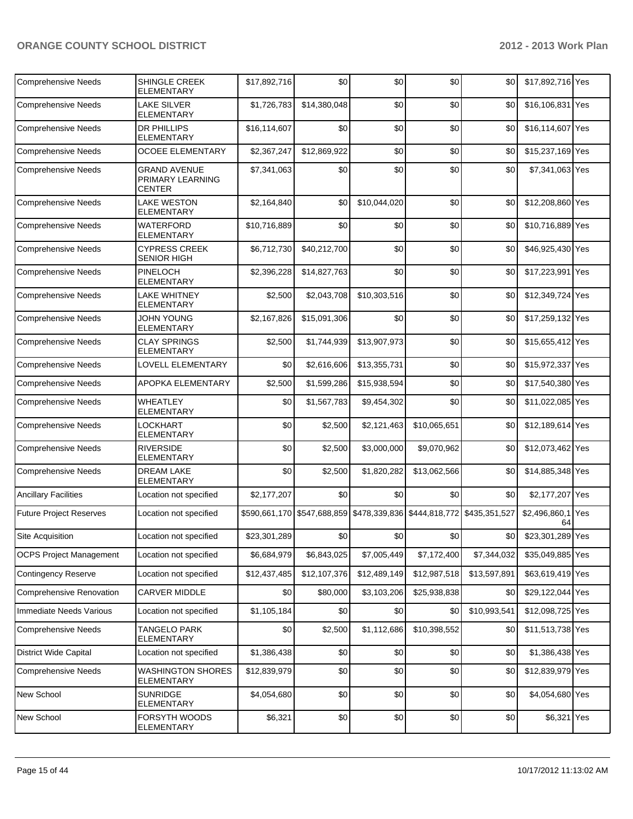| <b>Comprehensive Needs</b>      | <b>SHINGLE CREEK</b><br><b>ELEMENTARY</b>                | \$17,892,716 | \$0          | \$0                                                                   | \$0          | \$0          | \$17,892,716 Yes    |     |
|---------------------------------|----------------------------------------------------------|--------------|--------------|-----------------------------------------------------------------------|--------------|--------------|---------------------|-----|
| <b>Comprehensive Needs</b>      | <b>LAKE SILVER</b><br><b>ELEMENTARY</b>                  | \$1,726,783  | \$14,380,048 | \$0                                                                   | \$0          | \$0          | \$16,106,831 Yes    |     |
| <b>Comprehensive Needs</b>      | <b>DR PHILLIPS</b><br><b>ELEMENTARY</b>                  | \$16,114,607 | \$0          | \$0                                                                   | \$0          | \$0          | \$16,114,607 Yes    |     |
| <b>Comprehensive Needs</b>      | <b>OCOEE ELEMENTARY</b>                                  | \$2,367,247  | \$12,869,922 | \$0                                                                   | \$0          | \$0          | \$15,237,169 Yes    |     |
| <b>Comprehensive Needs</b>      | <b>GRAND AVENUE</b><br>PRIMARY LEARNING<br><b>CENTER</b> | \$7,341,063  | \$0          | \$0                                                                   | \$0          | \$0          | \$7,341,063 Yes     |     |
| <b>Comprehensive Needs</b>      | LAKE WESTON<br><b>ELEMENTARY</b>                         | \$2,164,840  | \$0          | \$10,044,020                                                          | \$0          | \$0          | \$12,208,860 Yes    |     |
| <b>Comprehensive Needs</b>      | <b>WATERFORD</b><br><b>ELEMENTARY</b>                    | \$10,716,889 | \$0          | \$0                                                                   | \$0          | \$0          | \$10,716,889 Yes    |     |
| <b>Comprehensive Needs</b>      | <b>CYPRESS CREEK</b><br><b>SENIOR HIGH</b>               | \$6,712,730  | \$40,212,700 | \$0                                                                   | \$0          | \$0          | \$46,925,430 Yes    |     |
| <b>Comprehensive Needs</b>      | PINELOCH<br><b>ELEMENTARY</b>                            | \$2,396,228  | \$14,827,763 | \$0                                                                   | \$0          | \$0          | \$17,223,991 Yes    |     |
| <b>Comprehensive Needs</b>      | <b>LAKE WHITNEY</b><br>ELEMENTARY                        | \$2,500      | \$2,043,708  | \$10,303,516                                                          | \$0          | \$0          | \$12,349,724 Yes    |     |
| <b>Comprehensive Needs</b>      | <b>JOHN YOUNG</b><br><b>ELEMENTARY</b>                   | \$2,167,826  | \$15,091,306 | \$0                                                                   | \$0          | \$0          | \$17,259,132 Yes    |     |
| <b>Comprehensive Needs</b>      | <b>CLAY SPRINGS</b><br>ELEMENTARY                        | \$2,500      | \$1,744,939  | \$13,907,973                                                          | \$0          | \$0          | \$15,655,412 Yes    |     |
| <b>Comprehensive Needs</b>      | LOVELL ELEMENTARY                                        | \$0          | \$2,616,606  | \$13,355,731                                                          | \$0          | \$0          | \$15,972,337 Yes    |     |
| <b>Comprehensive Needs</b>      | APOPKA ELEMENTARY                                        | \$2,500      | \$1,599,286  | \$15,938,594                                                          | \$0          | \$0          | \$17,540,380 Yes    |     |
| <b>Comprehensive Needs</b>      | <b>WHEATLEY</b><br><b>ELEMENTARY</b>                     | \$0          | \$1,567,783  | \$9,454,302                                                           | \$0          | \$0          | \$11,022,085 Yes    |     |
| <b>Comprehensive Needs</b>      | LOCKHART<br>ELEMENTARY                                   | \$0          | \$2,500      | \$2,121,463                                                           | \$10,065,651 | \$0          | \$12,189,614 Yes    |     |
| <b>Comprehensive Needs</b>      | <b>RIVERSIDE</b><br><b>ELEMENTARY</b>                    | \$0          | \$2,500      | \$3,000,000                                                           | \$9,070,962  | \$0          | \$12,073,462 Yes    |     |
| <b>Comprehensive Needs</b>      | <b>DREAM LAKE</b><br><b>ELEMENTARY</b>                   | \$0          | \$2,500      | \$1,820,282                                                           | \$13,062,566 | \$0          | \$14,885,348 Yes    |     |
| <b>Ancillary Facilities</b>     | Location not specified                                   | \$2,177,207  | \$0          | \$0                                                                   | \$0          | \$0          | \$2,177,207 Yes     |     |
| <b>Future Project Reserves</b>  | Location not specified                                   |              |              | \$590,661,170 \$547,688,859 \$478,339,836 \$444,818,772 \$435,351,527 |              |              | \$2,496,860,1<br>64 | Yes |
| Site Acquisition                | Location not specified                                   | \$23,301,289 | \$0          | \$0                                                                   | \$0          | \$0          | \$23,301,289 Yes    |     |
| <b>OCPS Project Management</b>  | Location not specified                                   | \$6,684,979  | \$6,843,025  | \$7,005,449                                                           | \$7,172,400  | \$7,344,032  | \$35,049,885 Yes    |     |
| <b>Contingency Reserve</b>      | Location not specified                                   | \$12,437,485 | \$12,107,376 | \$12,489,149                                                          | \$12,987,518 | \$13,597,891 | \$63,619,419 Yes    |     |
| <b>Comprehensive Renovation</b> | CARVER MIDDLE                                            | \$0          | \$80,000     | \$3,103,206                                                           | \$25,938,838 | \$0          | \$29,122,044 Yes    |     |
| Immediate Needs Various         | Location not specified                                   | \$1,105,184  | \$0          | \$0                                                                   | \$0          | \$10,993,541 | \$12,098,725 Yes    |     |
| <b>Comprehensive Needs</b>      | <b>TANGELO PARK</b><br><b>ELEMENTARY</b>                 | \$0          | \$2,500      | \$1,112,686                                                           | \$10,398,552 | \$0          | \$11,513,738 Yes    |     |
| <b>District Wide Capital</b>    | Location not specified                                   | \$1,386,438  | \$0          | \$0                                                                   | \$0          | \$0          | \$1,386,438 Yes     |     |
| <b>Comprehensive Needs</b>      | <b>WASHINGTON SHORES</b><br>ELEMENTARY                   | \$12,839,979 | \$0          | \$0                                                                   | \$0          | \$0          | \$12,839,979 Yes    |     |
| New School                      | <b>SUNRIDGE</b><br><b>ELEMENTARY</b>                     | \$4,054,680  | \$0          | \$0                                                                   | \$0          | \$0          | \$4,054,680 Yes     |     |
| New School                      | FORSYTH WOODS<br>ELEMENTARY                              | \$6,321      | \$0          | \$0                                                                   | \$0          | \$0          | \$6,321 Yes         |     |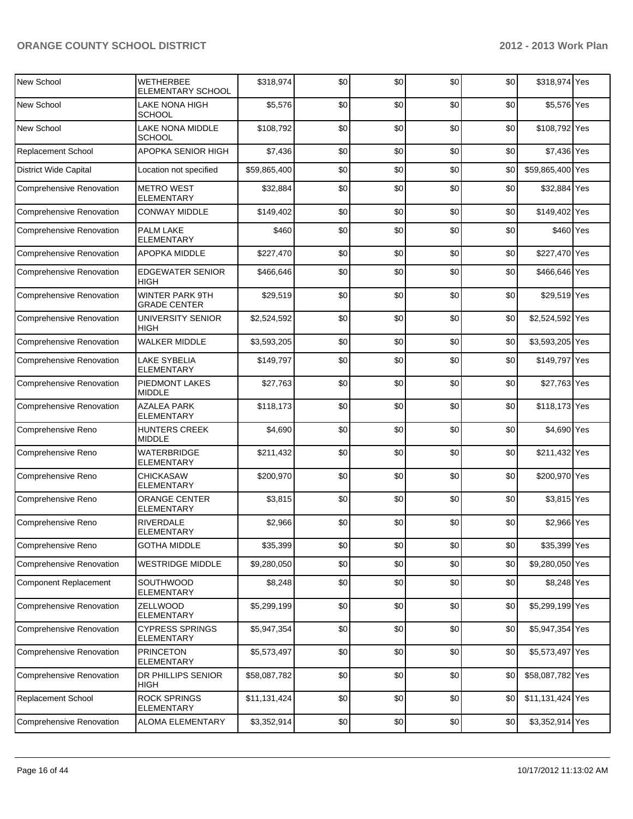| New School                      | <b>WETHERBEE</b><br>ELEMENTARY SCHOOL         | \$318,974    | \$0 | \$0 | \$0 | \$0 | \$318,974 Yes    |  |
|---------------------------------|-----------------------------------------------|--------------|-----|-----|-----|-----|------------------|--|
| New School                      | LAKE NONA HIGH<br><b>SCHOOL</b>               | \$5,576      | \$0 | \$0 | \$0 | \$0 | \$5,576 Yes      |  |
| New School                      | LAKE NONA MIDDLE<br><b>SCHOOL</b>             | \$108,792    | \$0 | \$0 | \$0 | \$0 | \$108,792 Yes    |  |
| <b>Replacement School</b>       | APOPKA SENIOR HIGH                            | \$7,436      | \$0 | \$0 | \$0 | \$0 | \$7,436 Yes      |  |
| District Wide Capital           | Location not specified                        | \$59,865,400 | \$0 | \$0 | \$0 | \$0 | \$59,865,400 Yes |  |
| <b>Comprehensive Renovation</b> | <b>METRO WEST</b><br><b>ELEMENTARY</b>        | \$32,884     | \$0 | \$0 | \$0 | \$0 | \$32,884 Yes     |  |
| <b>Comprehensive Renovation</b> | <b>CONWAY MIDDLE</b>                          | \$149,402    | \$0 | \$0 | \$0 | \$0 | \$149,402 Yes    |  |
| <b>Comprehensive Renovation</b> | <b>PALM LAKE</b><br><b>ELEMENTARY</b>         | \$460        | \$0 | \$0 | \$0 | \$0 | \$460 Yes        |  |
| Comprehensive Renovation        | APOPKA MIDDLE                                 | \$227,470    | \$0 | \$0 | \$0 | \$0 | \$227,470 Yes    |  |
| <b>Comprehensive Renovation</b> | <b>EDGEWATER SENIOR</b><br><b>HIGH</b>        | \$466,646    | \$0 | \$0 | \$0 | \$0 | \$466,646 Yes    |  |
| Comprehensive Renovation        | <b>WINTER PARK 9TH</b><br><b>GRADE CENTER</b> | \$29,519     | \$0 | \$0 | \$0 | \$0 | \$29,519 Yes     |  |
| Comprehensive Renovation        | UNIVERSITY SENIOR<br>HIGH                     | \$2,524,592  | \$0 | \$0 | \$0 | \$0 | \$2,524,592 Yes  |  |
| Comprehensive Renovation        | <b>WALKER MIDDLE</b>                          | \$3,593,205  | \$0 | \$0 | \$0 | \$0 | \$3,593,205 Yes  |  |
| <b>Comprehensive Renovation</b> | <b>LAKE SYBELIA</b><br><b>ELEMENTARY</b>      | \$149,797    | \$0 | \$0 | \$0 | \$0 | \$149,797 Yes    |  |
| Comprehensive Renovation        | PIEDMONT LAKES<br><b>MIDDLE</b>               | \$27,763     | \$0 | \$0 | \$0 | \$0 | \$27,763 Yes     |  |
| <b>Comprehensive Renovation</b> | <b>AZALEA PARK</b><br>ELEMENTARY              | \$118,173    | \$0 | \$0 | \$0 | \$0 | \$118,173 Yes    |  |
| Comprehensive Reno              | <b>HUNTERS CREEK</b><br><b>MIDDLE</b>         | \$4,690      | \$0 | \$0 | \$0 | \$0 | \$4,690 Yes      |  |
| Comprehensive Reno              | WATERBRIDGE<br>ELEMENTARY                     | \$211,432    | \$0 | \$0 | \$0 | \$0 | \$211,432 Yes    |  |
| Comprehensive Reno              | <b>CHICKASAW</b><br><b>ELEMENTARY</b>         | \$200,970    | \$0 | \$0 | \$0 | \$0 | \$200,970 Yes    |  |
| Comprehensive Reno              | ORANGE CENTER<br><b>ELEMENTARY</b>            | \$3,815      | \$0 | \$0 | \$0 | \$0 | \$3,815 Yes      |  |
| Comprehensive Reno              | RIVERDALE<br><b>ELEMENTARY</b>                | \$2,966      | \$0 | \$0 | \$0 | \$0 | \$2,966 Yes      |  |
| Comprehensive Reno              | <b>GOTHA MIDDLE</b>                           | \$35,399     | \$0 | \$0 | \$0 | \$0 | \$35,399 Yes     |  |
| <b>Comprehensive Renovation</b> | <b>WESTRIDGE MIDDLE</b>                       | \$9,280,050  | \$0 | \$0 | \$0 | \$0 | \$9,280,050 Yes  |  |
| <b>Component Replacement</b>    | SOUTHWOOD<br>ELEMENTARY                       | \$8,248      | \$0 | \$0 | \$0 | \$0 | \$8,248 Yes      |  |
| <b>Comprehensive Renovation</b> | ZELLWOOD<br><b>ELEMENTARY</b>                 | \$5,299,199  | \$0 | \$0 | \$0 | \$0 | \$5,299,199 Yes  |  |
| <b>Comprehensive Renovation</b> | <b>CYPRESS SPRINGS</b><br><b>ELEMENTARY</b>   | \$5,947,354  | \$0 | \$0 | \$0 | \$0 | \$5,947,354 Yes  |  |
| <b>Comprehensive Renovation</b> | <b>PRINCETON</b><br><b>ELEMENTARY</b>         | \$5,573,497  | \$0 | \$0 | \$0 | \$0 | \$5,573,497 Yes  |  |
| Comprehensive Renovation        | DR PHILLIPS SENIOR<br><b>HIGH</b>             | \$58,087,782 | \$0 | \$0 | \$0 | \$0 | \$58,087,782 Yes |  |
| Replacement School              | <b>ROCK SPRINGS</b><br>ELEMENTARY             | \$11,131,424 | \$0 | \$0 | \$0 | \$0 | \$11,131,424 Yes |  |
| <b>Comprehensive Renovation</b> | ALOMA ELEMENTARY                              | \$3,352,914  | \$0 | \$0 | \$0 | \$0 | \$3,352,914 Yes  |  |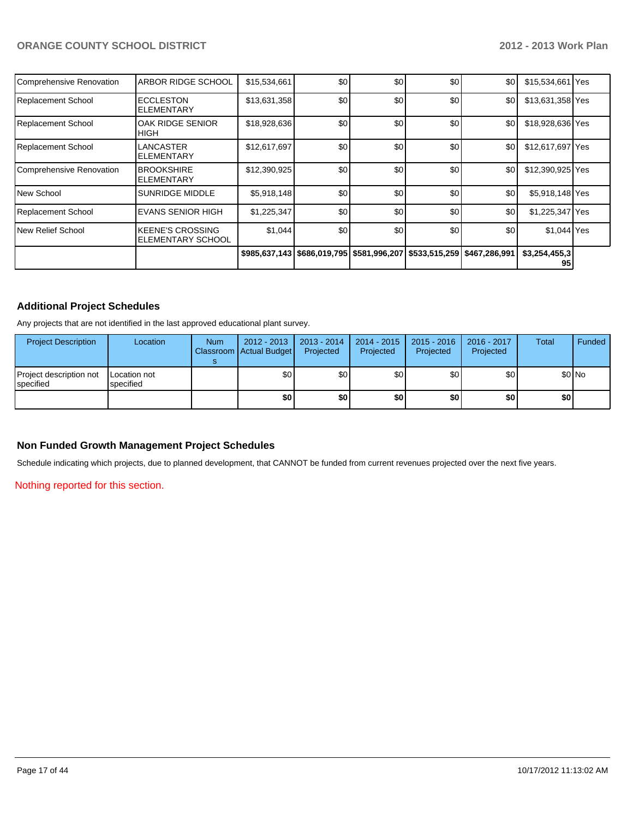| Comprehensive Renovation | ARBOR RIDGE SCHOOL                                  | \$15,534,661 | \$0              | \$0 | \$0                                                                           | \$0 | \$15,534,661   Yes  |  |
|--------------------------|-----------------------------------------------------|--------------|------------------|-----|-------------------------------------------------------------------------------|-----|---------------------|--|
| Replacement School       | <b>ECCLESTON</b><br><b>ELEMENTARY</b>               | \$13,631,358 | \$0 <sub>1</sub> | \$0 | \$0                                                                           | \$0 | \$13,631,358 Yes    |  |
| Replacement School       | OAK RIDGE SENIOR<br>HIGH                            | \$18,928,636 | \$0              | \$0 | \$0                                                                           | \$0 | \$18,928,636 Yes    |  |
| Replacement School       | LANCASTER<br>ELEMENTARY                             | \$12,617,697 | \$0              | \$0 | \$0                                                                           | \$0 | \$12,617,697 Yes    |  |
| Comprehensive Renovation | <b>BROOKSHIRE</b><br>ELEMENTARY                     | \$12,390,925 | \$0              | \$0 | \$0                                                                           | \$0 | \$12,390,925 Yes    |  |
| lNew School              | SUNRIDGE MIDDLE                                     | \$5,918,148  | \$0              | \$0 | \$0                                                                           | \$0 | \$5,918,148 Yes     |  |
| Replacement School       | <b>EVANS SENIOR HIGH</b>                            | \$1,225,347  | \$0              | \$0 | \$0                                                                           | \$0 | \$1,225,347 Yes     |  |
| New Relief School        | <b>KEENE'S CROSSING</b><br><b>ELEMENTARY SCHOOL</b> | \$1,044      | \$0              | \$0 | \$0                                                                           | \$0 | \$1,044 Yes         |  |
|                          |                                                     |              |                  |     | \$985,637,143   \$686,019,795   \$581,996,207   \$533,515,259   \$467,286,991 |     | \$3,254,455,3<br>95 |  |

#### **Additional Project Schedules**

Any projects that are not identified in the last approved educational plant survey.

| <b>Project Description</b>           | Location                  | <b>Num</b> | 2012 - 2013<br>Classroom   Actual Budget | 2013 - 2014<br>Projected | 2014 - 2015<br>Projected | $2015 - 2016$<br>Projected | 2016 - 2017<br>Projected | <b>Total</b> | <b>Funded</b> |
|--------------------------------------|---------------------------|------------|------------------------------------------|--------------------------|--------------------------|----------------------------|--------------------------|--------------|---------------|
| Project description not<br>specified | Location not<br>specified |            | \$0 <sub>1</sub>                         | \$0                      | \$0                      | \$0                        | \$0                      |              | \$0 No        |
|                                      |                           |            | \$0                                      | \$O                      | \$0                      | \$0                        | \$0                      | \$0 I        |               |

#### **Non Funded Growth Management Project Schedules**

Schedule indicating which projects, due to planned development, that CANNOT be funded from current revenues projected over the next five years.

Nothing reported for this section.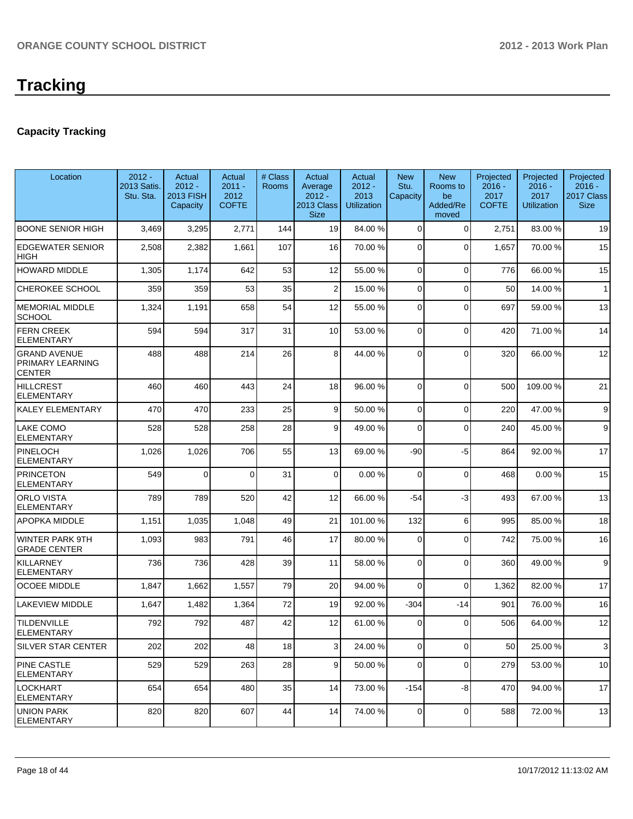#### **Capacity Tracking**

| Location                                                 | $2012 -$<br>2013 Satis.<br>Stu. Sta. | Actual<br>$2012 -$<br><b>2013 FISH</b><br>Capacity | Actual<br>$2011 -$<br>2012<br><b>COFTE</b> | # Class<br><b>Rooms</b> | Actual<br>Average<br>$2012 -$<br>2013 Class<br><b>Size</b> | Actual<br>$2012 -$<br>2013<br><b>Utilization</b> | <b>New</b><br>Stu.<br>Capacity | <b>New</b><br>Rooms to<br>be<br>Added/Re<br>moved | Projected<br>$2016 -$<br>2017<br><b>COFTE</b> | Projected<br>$2016 -$<br>2017<br><b>Utilization</b> | Projected<br>$2016 -$<br>2017 Class<br><b>Size</b> |
|----------------------------------------------------------|--------------------------------------|----------------------------------------------------|--------------------------------------------|-------------------------|------------------------------------------------------------|--------------------------------------------------|--------------------------------|---------------------------------------------------|-----------------------------------------------|-----------------------------------------------------|----------------------------------------------------|
| <b>BOONE SENIOR HIGH</b>                                 | 3,469                                | 3,295                                              | 2,771                                      | 144                     | 19                                                         | 84.00 %                                          | $\Omega$                       | $\Omega$                                          | 2,751                                         | 83.00 %                                             | 19                                                 |
| <b>EDGEWATER SENIOR</b><br>HIGH                          | 2,508                                | 2,382                                              | 1,661                                      | 107                     | 16                                                         | 70.00 %                                          | $\Omega$                       | $\Omega$                                          | 1,657                                         | 70.00%                                              | 15                                                 |
| HOWARD MIDDLE                                            | 1,305                                | 1,174                                              | 642                                        | 53                      | 12                                                         | 55.00 %                                          | $\Omega$                       | $\Omega$                                          | 776                                           | 66.00 %                                             | 15                                                 |
| <b>CHEROKEE SCHOOL</b>                                   | 359                                  | 359                                                | 53                                         | 35                      | 2                                                          | 15.00 %                                          | $\Omega$                       | $\Omega$                                          | 50                                            | 14.00 %                                             | 1                                                  |
| <b>MEMORIAL MIDDLE</b><br><b>SCHOOL</b>                  | 1,324                                | 1,191                                              | 658                                        | 54                      | 12                                                         | 55.00 %                                          | $\Omega$                       | $\Omega$                                          | 697                                           | 59.00 %                                             | 13                                                 |
| <b>FERN CREEK</b><br><b>ELEMENTARY</b>                   | 594                                  | 594                                                | 317                                        | 31                      | 10                                                         | 53.00 %                                          | $\Omega$                       | $\Omega$                                          | 420                                           | 71.00 %                                             | 14                                                 |
| <b>GRAND AVENUE</b><br>PRIMARY LEARNING<br><b>CENTER</b> | 488                                  | 488                                                | 214                                        | 26                      | 8                                                          | 44.00 %                                          | $\Omega$                       | $\Omega$                                          | 320                                           | 66.00 %                                             | 12                                                 |
| <b>HILLCREST</b><br><b>ELEMENTARY</b>                    | 460                                  | 460                                                | 443                                        | 24                      | 18                                                         | 96.00 %                                          | $\Omega$                       | $\Omega$                                          | 500                                           | 109.00%                                             | 21                                                 |
| KALEY ELEMENTARY                                         | 470                                  | 470                                                | 233                                        | 25                      | 9                                                          | 50.00 %                                          | $\overline{0}$                 | $\Omega$                                          | 220                                           | 47.00%                                              | 9                                                  |
| LAKE COMO<br><b>ELEMENTARY</b>                           | 528                                  | 528                                                | 258                                        | 28                      | 9                                                          | 49.00 %                                          | $\Omega$                       | $\Omega$                                          | 240                                           | 45.00 %                                             | 9                                                  |
| PINELOCH<br>ELEMENTARY                                   | 1,026                                | 1,026                                              | 706                                        | 55                      | 13                                                         | 69.00 %                                          | -90                            | $-5$                                              | 864                                           | 92.00%                                              | 17                                                 |
| <b>PRINCETON</b><br>ELEMENTARY                           | 549                                  | 0                                                  | $\Omega$                                   | 31                      | 0                                                          | 0.00%                                            | 0                              | $\Omega$                                          | 468                                           | 0.00%                                               | 15                                                 |
| <b>ORLO VISTA</b><br><b>ELEMENTARY</b>                   | 789                                  | 789                                                | 520                                        | 42                      | 12                                                         | 66.00 %                                          | $-54$                          | $-3$                                              | 493                                           | 67.00%                                              | 13                                                 |
| APOPKA MIDDLE                                            | 1,151                                | 1,035                                              | 1,048                                      | 49                      | 21                                                         | 101.00%                                          | 132                            | $6 \mid$                                          | 995                                           | 85.00 %                                             | 18                                                 |
| WINTER PARK 9TH<br><b>GRADE CENTER</b>                   | 1,093                                | 983                                                | 791                                        | 46                      | 17                                                         | 80.00 %                                          | 0                              | $\Omega$                                          | 742                                           | 75.00 %                                             | 16                                                 |
| <b>KILLARNEY</b><br>ELEMENTARY                           | 736                                  | 736                                                | 428                                        | 39                      | 11                                                         | 58.00 %                                          | 0                              | $\Omega$                                          | 360                                           | 49.00 %                                             | 9                                                  |
| <b>OCOEE MIDDLE</b>                                      | 1,847                                | 1,662                                              | 1,557                                      | 79                      | 20                                                         | 94.00 %                                          | 0                              | $\Omega$                                          | 1,362                                         | 82.00%                                              | 17                                                 |
| LAKEVIEW MIDDLE                                          | 1,647                                | 1,482                                              | 1,364                                      | 72                      | 19                                                         | 92.00 %                                          | $-304$                         | -14                                               | 901                                           | 76.00 %                                             | 16                                                 |
| <b>TILDENVILLE</b><br>ELEMENTARY                         | 792                                  | 792                                                | 487                                        | 42                      | 12                                                         | 61.00 %                                          | 0                              | $\Omega$                                          | 506                                           | 64.00%                                              | 12                                                 |
| SILVER STAR CENTER                                       | 202                                  | 202                                                | 48                                         | 18                      | 3                                                          | 24.00 %                                          | $\overline{0}$                 | $\overline{0}$                                    | 50                                            | 25.00 %                                             | 3                                                  |
| PINE CASTLE<br><b>ELEMENTARY</b>                         | 529                                  | 529                                                | 263                                        | 28                      | 9                                                          | 50.00 %                                          | 0                              | 0                                                 | 279                                           | 53.00 %                                             | 10                                                 |
| LOCKHART<br>ELEMENTARY                                   | 654                                  | 654                                                | 480                                        | 35                      | 14                                                         | 73.00 %                                          | $-154$                         | -8                                                | 470                                           | 94.00 %                                             | 17                                                 |
| <b>UNION PARK</b><br>ELEMENTARY                          | 820                                  | 820                                                | 607                                        | 44                      | 14                                                         | 74.00 %                                          | 0                              | 0                                                 | 588                                           | 72.00 %                                             | 13                                                 |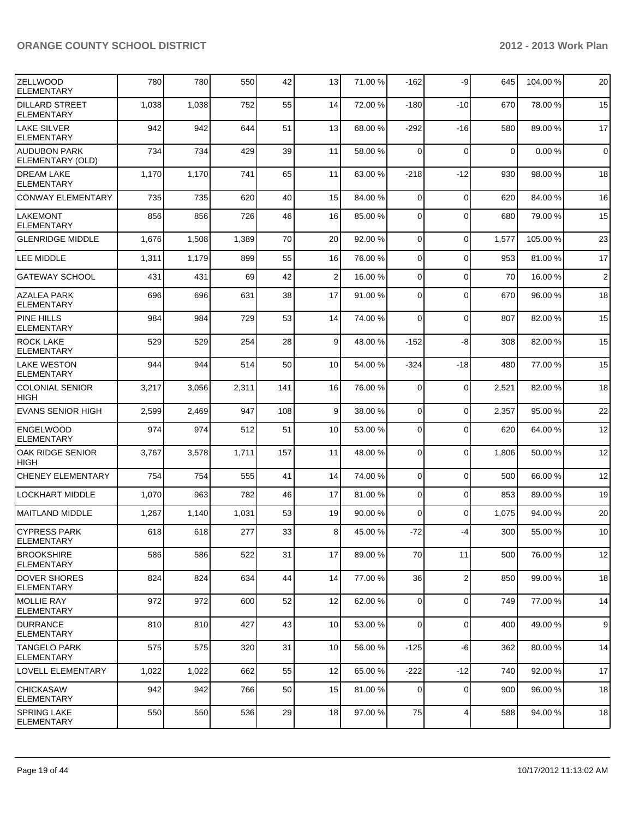| IZELLWOOD<br><b>ELEMENTARY</b>             | 780   | 780   | 550   | 42  | 13              | 71.00 % | $-162$         | -9             | 645         | 104.00 % | 20             |
|--------------------------------------------|-------|-------|-------|-----|-----------------|---------|----------------|----------------|-------------|----------|----------------|
| <b>DILLARD STREET</b><br><b>ELEMENTARY</b> | 1,038 | 1,038 | 752   | 55  | 14              | 72.00 % | $-180$         | $-10$          | 670         | 78.00 %  | 15             |
| <b>LAKE SILVER</b><br>ELEMENTARY           | 942   | 942   | 644   | 51  | 13              | 68.00 % | $-292$         | $-16$          | 580         | 89.00 %  | 17             |
| AUDUBON PARK<br>ELEMENTARY (OLD)           | 734   | 734   | 429   | 39  | 11              | 58.00 % | $\Omega$       | $\mathbf 0$    | $\mathbf 0$ | 0.00%    | $\mathbf 0$    |
| <b>DREAM LAKE</b><br><b>ELEMENTARY</b>     | 1,170 | 1,170 | 741   | 65  | 11              | 63.00 % | $-218$         | $-12$          | 930         | 98.00 %  | 18             |
| <b>CONWAY ELEMENTARY</b>                   | 735   | 735   | 620   | 40  | 15              | 84.00 % | $\Omega$       | $\mathbf 0$    | 620         | 84.00%   | 16             |
| <b>LAKEMONT</b><br><b>ELEMENTARY</b>       | 856   | 856   | 726   | 46  | 16              | 85.00 % | $\Omega$       | $\mathbf 0$    | 680         | 79.00 %  | 15             |
| <b>GLENRIDGE MIDDLE</b>                    | 1,676 | 1,508 | 1,389 | 70  | 20              | 92.00 % | $\overline{0}$ | $\mathbf 0$    | 1,577       | 105.00 % | 23             |
| LEE MIDDLE                                 | 1,311 | 1,179 | 899   | 55  | 16              | 76.00 % | $\overline{0}$ | $\mathbf 0$    | 953         | 81.00%   | 17             |
| <b>GATEWAY SCHOOL</b>                      | 431   | 431   | 69    | 42  | 2 <sup>2</sup>  | 16.00 % | $\overline{0}$ | $\mathbf 0$    | 70          | 16.00 %  | $\overline{2}$ |
| <b>AZALEA PARK</b><br><b>ELEMENTARY</b>    | 696   | 696   | 631   | 38  | 17              | 91.00 % | $\Omega$       | $\mathbf 0$    | 670         | 96.00 %  | 18             |
| PINE HILLS<br><b>ELEMENTARY</b>            | 984   | 984   | 729   | 53  | 14              | 74.00 % | $\Omega$       | $\mathbf 0$    | 807         | 82.00 %  | 15             |
| <b>ROCK LAKE</b><br><b>ELEMENTARY</b>      | 529   | 529   | 254   | 28  | 9               | 48.00 % | $-152$         | -8             | 308         | 82.00%   | 15             |
| <b>LAKE WESTON</b><br><b>ELEMENTARY</b>    | 944   | 944   | 514   | 50  | 10 <sup>1</sup> | 54.00 % | $-324$         | -18            | 480         | 77.00 %  | 15             |
| <b>COLONIAL SENIOR</b><br><b>HIGH</b>      | 3,217 | 3,056 | 2,311 | 141 | 16              | 76.00 % | $\overline{0}$ | 0              | 2,521       | 82.00 %  | 18             |
| <b>EVANS SENIOR HIGH</b>                   | 2,599 | 2,469 | 947   | 108 | 9               | 38.00 % | $\overline{0}$ | $\Omega$       | 2,357       | 95.00 %  | 22             |
| <b>ENGELWOOD</b><br><b>ELEMENTARY</b>      | 974   | 974   | 512   | 51  | 10              | 53.00 % | $\overline{0}$ | $\Omega$       | 620         | 64.00%   | 12             |
| OAK RIDGE SENIOR<br><b>HIGH</b>            | 3,767 | 3,578 | 1,711 | 157 | 11              | 48.00 % | 0              | $\mathbf 0$    | 1,806       | 50.00 %  | 12             |
| <b>CHENEY ELEMENTARY</b>                   | 754   | 754   | 555   | 41  | 14              | 74.00 % | $\overline{0}$ | $\mathbf 0$    | 500         | 66.00 %  | 12             |
| <b>LOCKHART MIDDLE</b>                     | 1,070 | 963   | 782   | 46  | 17              | 81.00 % | $\overline{0}$ | $\mathbf 0$    | 853         | 89.00 %  | 19             |
| <b>MAITLAND MIDDLE</b>                     | 1,267 | 1,140 | 1,031 | 53  | 19              | 90.00 % | $\Omega$       | $\Omega$       | 1,075       | 94.00 %  | 20             |
| ICYPRESS PARK<br>IELEMENTARY               | 618   | 618   | 277   | 33  | 8 <sup>1</sup>  | 45.00 % | $-72$          | $-4$           | 300         | 55.00 %  | 10             |
| <b>IBROOKSHIRE</b><br><b>ELEMENTARY</b>    | 586   | 586   | 522   | 31  | 17              | 89.00 % | 70             | 11             | 500         | 76.00 %  | 12             |
| <b>DOVER SHORES</b><br><b>ELEMENTARY</b>   | 824   | 824   | 634   | 44  | 14              | 77.00 % | 36             | $\overline{2}$ | 850         | 99.00 %  | 18             |
| MOLLIE RAY<br><b>ELEMENTARY</b>            | 972   | 972   | 600   | 52  | 12              | 62.00 % | 0              | $\mathbf 0$    | 749         | 77.00 %  | 14             |
| <b>DURRANCE</b><br>IELEMENTARY             | 810   | 810   | 427   | 43  | 10              | 53.00 % | $\overline{0}$ | $\mathbf 0$    | 400         | 49.00 %  | 9              |
| lTANGELO PARK<br>ELEMENTARY                | 575   | 575   | 320   | 31  | 10 <sup>1</sup> | 56.00 % | $-125$         | $-6$           | 362         | 80.00 %  | 14             |
| <b>LOVELL ELEMENTARY</b>                   | 1,022 | 1,022 | 662   | 55  | 12              | 65.00 % | $-222$         | $-12$          | 740         | 92.00 %  | 17             |
| CHICKASAW<br>ELEMENTARY                    | 942   | 942   | 766   | 50  | 15              | 81.00 % | 0              | $\mathbf 0$    | 900         | 96.00 %  | 18             |
| <b>SPRING LAKE</b><br><b>ELEMENTARY</b>    | 550   | 550   | 536   | 29  | 18              | 97.00 % | 75             | 4              | 588         | 94.00 %  | 18             |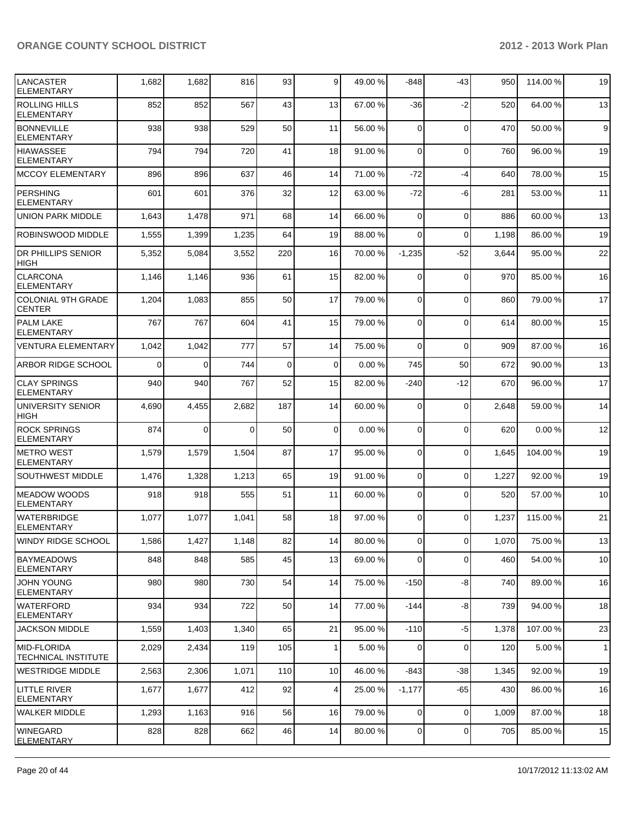| <b>LANCASTER</b><br><b>ELEMENTARY</b>      | 1,682    | 1,682          | 816      | 93          | 9           | 49.00 % | $-848$         | -43            | 950   | 114.00 % | 19           |
|--------------------------------------------|----------|----------------|----------|-------------|-------------|---------|----------------|----------------|-------|----------|--------------|
| <b>ROLLING HILLS</b><br><b>ELEMENTARY</b>  | 852      | 852            | 567      | 43          | 13          | 67.00 % | -36            | $-2$           | 520   | 64.00 %  | 13           |
| <b>BONNEVILLE</b><br><b>ELEMENTARY</b>     | 938      | 938            | 529      | 50          | 11          | 56.00 % | 0              | $\mathbf 0$    | 470   | 50.00 %  | 9            |
| <b>HIAWASSEE</b><br><b>ELEMENTARY</b>      | 794      | 794            | 720      | 41          | 18          | 91.00 % | 0              | $\mathbf 0$    | 760   | 96.00 %  | 19           |
| MCCOY ELEMENTARY                           | 896      | 896            | 637      | 46          | 14          | 71.00 % | $-72$          | $-4$           | 640   | 78.00 %  | 15           |
| <b>PERSHING</b><br><b>ELEMENTARY</b>       | 601      | 601            | 376      | 32          | 12          | 63.00 % | $-72$          | -6             | 281   | 53.00 %  | 11           |
| <b>UNION PARK MIDDLE</b>                   | 1,643    | 1,478          | 971      | 68          | 14          | 66.00 % | 0              | $\mathbf 0$    | 886   | 60.00 %  | 13           |
| ROBINSWOOD MIDDLE                          | 1,555    | 1,399          | 1,235    | 64          | 19          | 88.00 % | 0              | $\Omega$       | 1,198 | 86.00 %  | 19           |
| <b>DR PHILLIPS SENIOR</b><br>HIGH          | 5,352    | 5,084          | 3,552    | 220         | 16          | 70.00 % | $-1,235$       | $-52$          | 3,644 | 95.00 %  | 22           |
| <b>CLARCONA</b><br><b>ELEMENTARY</b>       | 1,146    | 1,146          | 936      | 61          | 15          | 82.00 % | $\mathbf 0$    | $\mathbf 0$    | 970   | 85.00 %  | 16           |
| <b>COLONIAL 9TH GRADE</b><br><b>CENTER</b> | 1,204    | 1,083          | 855      | 50          | 17          | 79.00 % | $\mathbf 0$    | $\Omega$       | 860   | 79.00 %  | 17           |
| <b>PALM LAKE</b><br><b>ELEMENTARY</b>      | 767      | 767            | 604      | 41          | 15          | 79.00 % | 0              | $\Omega$       | 614   | 80.00 %  | 15           |
| <b>VENTURA ELEMENTARY</b>                  | 1,042    | 1,042          | 777      | 57          | 14          | 75.00 % | $\Omega$       | $\Omega$       | 909   | 87.00%   | 16           |
| ARBOR RIDGE SCHOOL                         | $\Omega$ | οl             | 744      | $\mathbf 0$ | $\Omega$    | 0.00%   | 745            | 50             | 672   | 90.00%   | 13           |
| <b>CLAY SPRINGS</b><br><b>ELEMENTARY</b>   | 940      | 940            | 767      | 52          | 15          | 82.00 % | $-240$         | $-12$          | 670   | 96.00 %  | 17           |
| UNIVERSITY SENIOR<br><b>HIGH</b>           | 4,690    | 4,455          | 2,682    | 187         | 14          | 60.00 % | $\mathbf 0$    | $\mathbf 0$    | 2,648 | 59.00 %  | 14           |
| <b>ROCK SPRINGS</b><br><b>ELEMENTARY</b>   | 874      | $\overline{0}$ | $\Omega$ | 50          | $\mathbf 0$ | 0.00%   | $\mathbf 0$    | $\Omega$       | 620   | 0.00%    | 12           |
| <b>METRO WEST</b><br><b>ELEMENTARY</b>     | 1,579    | 1,579          | 1,504    | 87          | 17          | 95.00 % | 0              | $\Omega$       | 1,645 | 104.00%  | 19           |
| <b>SOUTHWEST MIDDLE</b>                    | 1,476    | 1,328          | 1,213    | 65          | 19          | 91.00 % | $\mathbf 0$    | $\Omega$       | 1,227 | 92.00 %  | 19           |
| <b>MEADOW WOODS</b><br><b>ELEMENTARY</b>   | 918      | 918            | 555      | 51          | 11          | 60.00 % | $\Omega$       | $\Omega$       | 520   | 57.00 %  | 10           |
| <b>WATERBRIDGE</b><br><b>ELEMENTARY</b>    | 1,077    | 1,077          | 1,041    | 58          | 18          | 97.00 % | 0              | $\Omega$       | 1,237 | 115.00 % | 21           |
| <b>WINDY RIDGE SCHOOL</b>                  | 1,586    | 1,427          | 1,148    | 82          | 14          | 80.00 % | 0              | $\overline{0}$ | 1,070 | 75.00 %  | 13           |
| <b>BAYMEADOWS</b><br><b>ELEMENTARY</b>     | 848      | 848            | 585      | 45          | 13          | 69.00 % | 0              | $\Omega$       | 460   | 54.00 %  | 10           |
| <b>JOHN YOUNG</b><br><b>ELEMENTARY</b>     | 980      | 980            | 730      | 54          | 14          | 75.00 % | $-150$         | -8             | 740   | 89.00 %  | 16           |
| <b>WATERFORD</b><br><b>ELEMENTARY</b>      | 934      | 934            | 722      | 50          | 14          | 77.00 % | $-144$         | -8             | 739   | 94.00%   | 18           |
| <b>JACKSON MIDDLE</b>                      | 1,559    | 1,403          | 1,340    | 65          | 21          | 95.00 % | $-110$         | $-5$           | 1,378 | 107.00%  | 23           |
| <b>MID-FLORIDA</b><br>TECHNICAL INSTITUTE  | 2,029    | 2,434          | 119      | 105         | 1           | 5.00 %  | 0              | 0              | 120   | 5.00 %   | $\mathbf{1}$ |
| <b>WESTRIDGE MIDDLE</b>                    | 2,563    | 2,306          | 1,071    | 110         | 10          | 46.00 % | $-843$         | -38            | 1,345 | 92.00 %  | 19           |
| LITTLE RIVER<br>ELEMENTARY                 | 1,677    | 1,677          | 412      | 92          | 4           | 25.00 % | $-1,177$       | -65            | 430   | 86.00 %  | 16           |
| <b>WALKER MIDDLE</b>                       | 1,293    | 1,163          | 916      | 56          | 16          | 79.00 % | 0              | $\mathbf 0$    | 1,009 | 87.00 %  | 18           |
| <b>WINEGARD</b><br><b>ELEMENTARY</b>       | 828      | 828            | 662      | 46          | 14          | 80.00 % | $\overline{0}$ | 0              | 705   | 85.00 %  | 15           |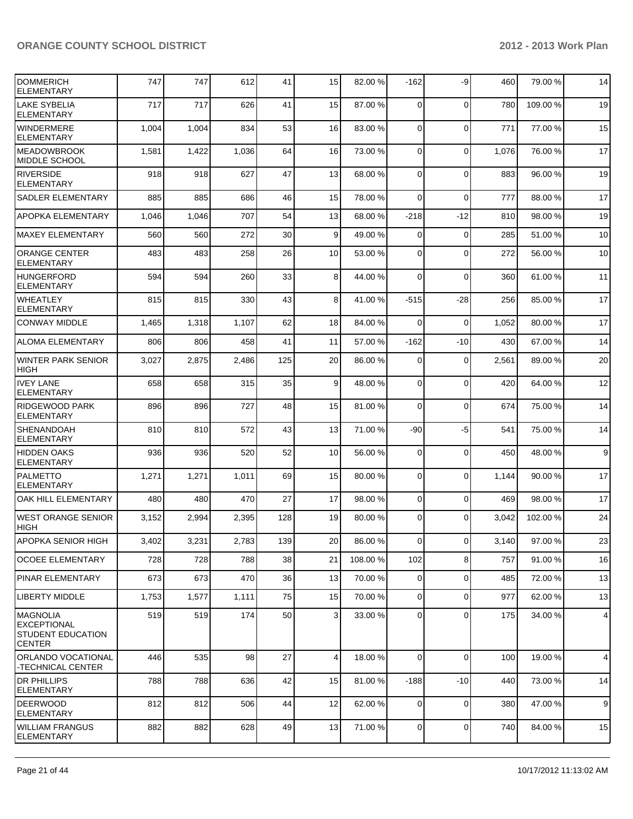| <b>DOMMERICH</b><br><b>ELEMENTARY</b>                                       | 747   | 747   | 612   | 41  | 15              | 82.00 %  | $-162$         | -9             | 460   | 79.00 %  | 14             |
|-----------------------------------------------------------------------------|-------|-------|-------|-----|-----------------|----------|----------------|----------------|-------|----------|----------------|
| <b>LAKE SYBELIA</b><br><b>ELEMENTARY</b>                                    | 717   | 717   | 626   | 41  | 15              | 87.00 %  | $\Omega$       | $\mathbf 0$    | 780   | 109.00%  | 19             |
| <b>WINDERMERE</b><br><b>ELEMENTARY</b>                                      | 1,004 | 1,004 | 834   | 53  | 16              | 83.00 %  | $\Omega$       | $\mathbf 0$    | 771   | 77.00 %  | 15             |
| <b>IMEADOWBROOK</b><br><b>MIDDLE SCHOOL</b>                                 | 1,581 | 1,422 | 1,036 | 64  | 16              | 73.00 %  | $\Omega$       | $\Omega$       | 1,076 | 76.00%   | 17             |
| <b>RIVERSIDE</b><br><b>ELEMENTARY</b>                                       | 918   | 918   | 627   | 47  | 13              | 68.00 %  | $\Omega$       | $\Omega$       | 883   | 96.00 %  | 19             |
| <b>SADLER ELEMENTARY</b>                                                    | 885   | 885   | 686   | 46  | 15              | 78.00 %  | $\Omega$       | $\mathbf 0$    | 777   | 88.00 %  | 17             |
| <b>APOPKA ELEMENTARY</b>                                                    | 1,046 | 1,046 | 707   | 54  | 13              | 68.00 %  | $-218$         | $-12$          | 810   | 98.00 %  | 19             |
| <b>MAXEY ELEMENTARY</b>                                                     | 560   | 560   | 272   | 30  | 9 <sup>1</sup>  | 49.00 %  | $\Omega$       | $\mathbf 0$    | 285   | 51.00%   | 10             |
| <b>ORANGE CENTER</b><br><b>ELEMENTARY</b>                                   | 483   | 483   | 258   | 26  | 10 <sup>1</sup> | 53.00 %  | $\Omega$       | $\Omega$       | 272   | 56.00 %  | 10             |
| <b>HUNGERFORD</b><br><b>ELEMENTARY</b>                                      | 594   | 594   | 260   | 33  | 8 <sup>1</sup>  | 44.00 %  | $\overline{0}$ | $\mathbf 0$    | 360   | 61.00%   | 11             |
| <b>WHEATLEY</b><br><b>ELEMENTARY</b>                                        | 815   | 815   | 330   | 43  | 8 <sup>1</sup>  | 41.00 %  | $-515$         | -28            | 256   | 85.00 %  | 17             |
| <b>CONWAY MIDDLE</b>                                                        | 1,465 | 1,318 | 1,107 | 62  | 18              | 84.00 %  | $\Omega$       | $\mathbf 0$    | 1,052 | 80.00 %  | 17             |
| <b>ALOMA ELEMENTARY</b>                                                     | 806   | 806   | 458   | 41  | 11              | 57.00 %  | $-162$         | $-10$          | 430   | 67.00 %  | 14             |
| <b>WINTER PARK SENIOR</b><br><b>HIGH</b>                                    | 3,027 | 2,875 | 2,486 | 125 | 20              | 86.00 %  | 0              | $\mathbf 0$    | 2,561 | 89.00 %  | 20             |
| <b>IVEY LANE</b><br><b>ELEMENTARY</b>                                       | 658   | 658   | 315   | 35  | 9               | 48.00 %  | $\Omega$       | $\mathbf 0$    | 420   | 64.00%   | 12             |
| <b>RIDGEWOOD PARK</b><br><b>ELEMENTARY</b>                                  | 896   | 896   | 727   | 48  | 15              | 81.00 %  | $\overline{0}$ | $\mathbf 0$    | 674   | 75.00 %  | 14             |
| <b>SHENANDOAH</b><br><b>ELEMENTARY</b>                                      | 810   | 810   | 572   | 43  | 13              | 71.00 %  | $-90$          | $-5$           | 541   | 75.00 %  | 14             |
| <b>HIDDEN OAKS</b><br><b>ELEMENTARY</b>                                     | 936   | 936   | 520   | 52  | 10              | 56.00 %  | 0              | $\mathbf 0$    | 450   | 48.00 %  | $9\,$          |
| <b>PALMETTO</b><br><b>ELEMENTARY</b>                                        | 1,271 | 1,271 | 1,011 | 69  | 15              | 80.00 %  | $\overline{0}$ | $\mathbf 0$    | 1,144 | 90.00 %  | 17             |
| OAK HILL ELEMENTARY                                                         | 480   | 480   | 470   | 27  | 17              | 98.00 %  | $\overline{0}$ | $\mathbf 0$    | 469   | 98.00 %  | 17             |
| <b>WEST ORANGE SENIOR</b><br>HIGH                                           | 3,152 | 2,994 | 2,395 | 128 | 19              | 80.00 %  | $\overline{0}$ | $\Omega$       | 3,042 | 102.00 % | 24             |
| <b>APOPKA SENIOR HIGH</b>                                                   | 3,402 | 3,231 | 2,783 | 139 | 20              | 86.00 %  | $\overline{0}$ | $\overline{0}$ | 3,140 | 97.00%   | 23             |
| <b>OCOEE ELEMENTARY</b>                                                     | 728   | 728   | 788   | 38  | 21              | 108.00 % | 102            | 8              | 757   | 91.00%   | 16             |
| <b>PINAR ELEMENTARY</b>                                                     | 673   | 673   | 470   | 36  | 13              | 70.00 %  | 0              | $\mathbf 0$    | 485   | 72.00 %  | 13             |
| <b>LIBERTY MIDDLE</b>                                                       | 1,753 | 1,577 | 1,111 | 75  | 15              | 70.00 %  | $\overline{0}$ | $\mathbf 0$    | 977   | 62.00%   | 13             |
| <b>MAGNOLIA</b><br><b>EXCEPTIONAL</b><br>STUDENT EDUCATION<br><b>CENTER</b> | 519   | 519   | 174   | 50  | $\overline{3}$  | 33.00 %  | $\Omega$       | $\mathbf 0$    | 175   | 34.00 %  | $\overline{4}$ |
| ORLANDO VOCATIONAL<br>-TECHNICAL CENTER                                     | 446   | 535   | 98    | 27  | $\vert$         | 18.00 %  | $\Omega$       | $\mathbf 0$    | 100   | 19.00 %  | $\overline{4}$ |
| <b>DR PHILLIPS</b><br><b>ELEMENTARY</b>                                     | 788   | 788   | 636   | 42  | 15              | 81.00 %  | $-188$         | $-10$          | 440   | 73.00 %  | 14             |
| <b>DEERWOOD</b><br><b>ELEMENTARY</b>                                        | 812   | 812   | 506   | 44  | 12              | 62.00 %  | $\overline{0}$ | $\mathbf 0$    | 380   | 47.00 %  | 9              |
| <b>WILLIAM FRANGUS</b><br><b>ELEMENTARY</b>                                 | 882   | 882   | 628   | 49  | 13              | 71.00 %  | $\overline{0}$ | $\mathbf 0$    | 740   | 84.00%   | 15             |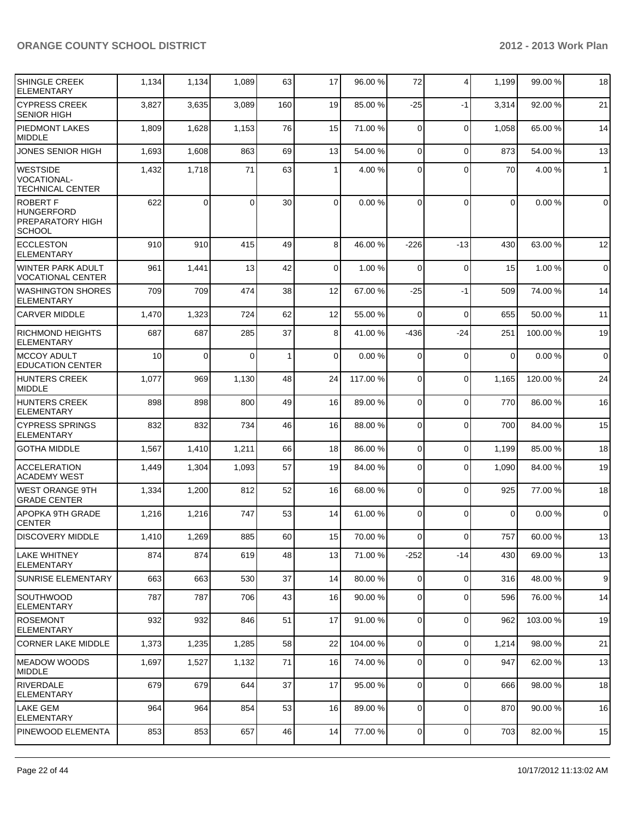| <b>SHINGLE CREEK</b><br><b>ELEMENTARY</b>                                 | 1,134 | 1,134    | 1,089    | 63           | 17             | 96.00 %  | 72             | $\overline{4}$ | 1,199    | 99.00 % | 18               |
|---------------------------------------------------------------------------|-------|----------|----------|--------------|----------------|----------|----------------|----------------|----------|---------|------------------|
| <b>CYPRESS CREEK</b><br><b>SENIOR HIGH</b>                                | 3,827 | 3,635    | 3,089    | 160          | 19             | 85.00 %  | $-25$          | $-1$           | 3,314    | 92.00 % | 21               |
| PIEDMONT LAKES<br>MIDDLE                                                  | 1,809 | 1,628    | 1,153    | 76           | 15             | 71.00 %  | $\mathbf 0$    | $\mathbf 0$    | 1,058    | 65.00 % | 14               |
| <b>JONES SENIOR HIGH</b>                                                  | 1,693 | 1,608    | 863      | 69           | 13             | 54.00 %  | $\Omega$       | $\Omega$       | 873      | 54.00 % | 13               |
| <b>WESTSIDE</b><br><b>VOCATIONAL-</b><br><b>TECHNICAL CENTER</b>          | 1,432 | 1,718    | 71       | 63           | $\mathbf{1}$   | 4.00 %   | $\Omega$       | $\Omega$       | 70       | 4.00%   | $\overline{1}$   |
| <b>ROBERT F</b><br><b>HUNGERFORD</b><br>PREPARATORY HIGH<br><b>SCHOOL</b> | 622   | $\Omega$ | $\Omega$ | 30           | $\overline{0}$ | 0.00%    | $\Omega$       | $\Omega$       | 0        | 0.00%   | $\mathbf 0$      |
| <b>ECCLESTON</b><br><b>ELEMENTARY</b>                                     | 910   | 910      | 415      | 49           | 8 <sup>1</sup> | 46.00 %  | $-226$         | -13            | 430      | 63.00 % | 12               |
| WINTER PARK ADULT<br><b>VOCATIONAL CENTER</b>                             | 961   | 1,441    | 13       | 42           | $\overline{0}$ | 1.00 %   | $\mathbf 0$    | $\mathbf 0$    | 15       | 1.00 %  | $\mathbf 0$      |
| <b>WASHINGTON SHORES</b><br><b>ELEMENTARY</b>                             | 709   | 709      | 474      | 38           | 12             | 67.00 %  | $-25$          | $-1$           | 509      | 74.00 % | 14               |
| <b>CARVER MIDDLE</b>                                                      | 1,470 | 1,323    | 724      | 62           | 12             | 55.00 %  | $\Omega$       | $\mathbf 0$    | 655      | 50.00 % | 11               |
| <b>RICHMOND HEIGHTS</b><br><b>ELEMENTARY</b>                              | 687   | 687      | 285      | 37           | 8 <sup>1</sup> | 41.00 %  | $-436$         | $-24$          | 251      | 100.00% | 19               |
| IMCCOY ADULT<br><b>EDUCATION CENTER</b>                                   | 10    | $\Omega$ | $\Omega$ | $\mathbf{1}$ | $\Omega$       | 0.00%    | $\Omega$       | $\mathbf 0$    | $\Omega$ | 0.00%   | $\mathbf 0$      |
| HUNTERS CREEK<br><b>MIDDLE</b>                                            | 1,077 | 969      | 1,130    | 48           | 24             | 117.00 % | $\Omega$       | $\mathbf 0$    | 1,165    | 120.00% | 24               |
| <b>HUNTERS CREEK</b><br><b>ELEMENTARY</b>                                 | 898   | 898      | 800      | 49           | 16             | 89.00 %  | $\Omega$       | $\mathbf 0$    | 770      | 86.00 % | 16               |
| <b>CYPRESS SPRINGS</b><br>ELEMENTARY                                      | 832   | 832      | 734      | 46           | 16             | 88.00 %  | $\Omega$       | $\mathbf 0$    | 700      | 84.00%  | 15               |
| <b>GOTHA MIDDLE</b>                                                       | 1,567 | 1,410    | 1,211    | 66           | 18             | 86.00 %  | $\Omega$       | $\Omega$       | 1,199    | 85.00 % | 18               |
| <b>ACCELERATION</b><br>ACADEMY WEST                                       | 1,449 | 1,304    | 1,093    | 57           | 19             | 84.00 %  | $\Omega$       | $\mathbf 0$    | 1,090    | 84.00%  | 19               |
| <b>WEST ORANGE 9TH</b><br><b>GRADE CENTER</b>                             | 1,334 | 1,200    | 812      | 52           | 16             | 68.00 %  | $\Omega$       | $\mathbf 0$    | 925      | 77.00 % | 18               |
| APOPKA 9TH GRADE<br><b>CENTER</b>                                         | 1,216 | 1,216    | 747      | 53           | 14             | 61.00 %  | $\Omega$       | $\Omega$       | $\Omega$ | 0.00%   | $\mathbf 0$      |
| <b>DISCOVERY MIDDLE</b>                                                   | 1,410 | 1,269    | 885      | 60           | 15             | 70.00 %  | 0              | $\overline{0}$ | 757      | 60.00%  | 13               |
| <b>LAKE WHITNEY</b><br> ELEMENTARY                                        | 874   | 874      | 619      | 48           | 13             | 71.00 %  | $-252$         | -14            | 430      | 69.00 % | 13               |
| <b>SUNRISE ELEMENTARY</b>                                                 | 663   | 663      | 530      | 37           | 14             | 80.00 %  | $\overline{0}$ | $\mathbf 0$    | 316      | 48.00%  | $\boldsymbol{9}$ |
| <b>SOUTHWOOD</b><br>ELEMENTARY                                            | 787   | 787      | 706      | 43           | 16             | 90.00 %  | $\overline{0}$ | $\mathbf 0$    | 596      | 76.00 % | 14               |
| ROSEMONT<br>ELEMENTARY                                                    | 932   | 932      | 846      | 51           | 17             | 91.00 %  | $\overline{0}$ | $\mathbf 0$    | 962      | 103.00% | 19               |
| ICORNER LAKE MIDDLE                                                       | 1,373 | 1,235    | 1,285    | 58           | 22             | 104.00 % | $\overline{0}$ | $\mathbf 0$    | 1,214    | 98.00 % | 21               |
| <b>IMEADOW WOODS</b><br><b>IMIDDLE</b>                                    | 1,697 | 1,527    | 1,132    | 71           | 16             | 74.00 %  | $\overline{0}$ | $\Omega$       | 947      | 62.00%  | 13               |
| <b>RIVERDALE</b><br><b>ELEMENTARY</b>                                     | 679   | 679      | 644      | 37           | 17             | 95.00 %  | $\overline{0}$ | $\mathbf 0$    | 666      | 98.00 % | 18               |
| LAKE GEM<br><b>ELEMENTARY</b>                                             | 964   | 964      | 854      | 53           | 16             | 89.00 %  | $\overline{0}$ | $\mathbf 0$    | 870      | 90.00 % | 16               |
| PINEWOOD ELEMENTA                                                         | 853   | 853      | 657      | 46           | 14             | 77.00 %  | $\overline{0}$ | $\mathbf 0$    | 703      | 82.00%  | 15               |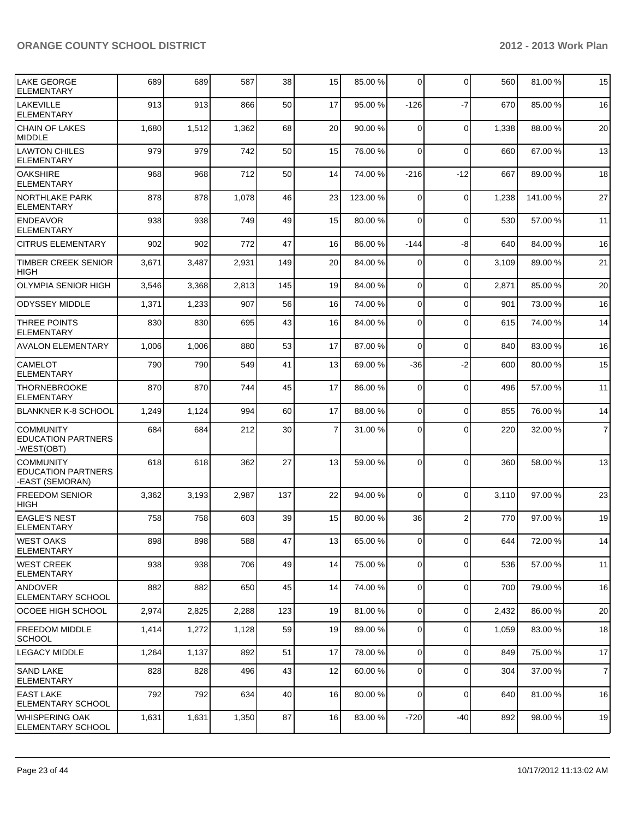| LAKE GEORGE<br><b>ELEMENTARY</b>                                 | 689   | 689   | 587   | 38  | 15              | 85.00 %  | $\Omega$       | $\Omega$       | 560   | 81.00%   | 15             |
|------------------------------------------------------------------|-------|-------|-------|-----|-----------------|----------|----------------|----------------|-------|----------|----------------|
| <b>LAKEVILLE</b><br>ELEMENTARY                                   | 913   | 913   | 866   | 50  | 17              | 95.00 %  | $-126$         | $-7$           | 670   | 85.00 %  | 16             |
| <b>CHAIN OF LAKES</b><br><b>MIDDLE</b>                           | 1,680 | 1,512 | 1,362 | 68  | 20              | 90.00 %  | $\Omega$       | $\mathbf 0$    | 1,338 | 88.00 %  | 20             |
| <b>LAWTON CHILES</b><br>ELEMENTARY                               | 979   | 979   | 742   | 50  | 15              | 76.00 %  | $\overline{0}$ | $\mathbf 0$    | 660   | 67.00 %  | 13             |
| IOAKSHIRE<br><b>ELEMENTARY</b>                                   | 968   | 968   | 712   | 50  | 14              | 74.00 %  | $-216$         | $-12$          | 667   | 89.00 %  | 18             |
| INORTHLAKE PARK<br>ELEMENTARY                                    | 878   | 878   | 1,078 | 46  | 23              | 123.00 % | $\Omega$       | $\mathbf 0$    | 1,238 | 141.00 % | 27             |
| <b>ENDEAVOR</b><br><b>ELEMENTARY</b>                             | 938   | 938   | 749   | 49  | 15              | 80.00 %  | $\Omega$       | 0              | 530   | 57.00 %  | 11             |
| <b>CITRUS ELEMENTARY</b>                                         | 902   | 902   | 772   | 47  | 16              | 86.00 %  | $-144$         | -8             | 640   | 84.00 %  | 16             |
| TIMBER CREEK SENIOR<br><b>HIGH</b>                               | 3,671 | 3,487 | 2,931 | 149 | 20 <sub>l</sub> | 84.00 %  | 0              | 0              | 3,109 | 89.00 %  | 21             |
| <b>OLYMPIA SENIOR HIGH</b>                                       | 3,546 | 3,368 | 2,813 | 145 | 19              | 84.00 %  | $\overline{0}$ | $\mathbf 0$    | 2,871 | 85.00 %  | 20             |
| <b>ODYSSEY MIDDLE</b>                                            | 1,371 | 1,233 | 907   | 56  | 16              | 74.00 %  | $\overline{0}$ | $\mathbf 0$    | 901   | 73.00 %  | 16             |
| <b>THREE POINTS</b><br><b>ELEMENTARY</b>                         | 830   | 830   | 695   | 43  | 16              | 84.00 %  | 0              | $\mathbf 0$    | 615   | 74.00 %  | 14             |
| <b>AVALON ELEMENTARY</b>                                         | 1,006 | 1,006 | 880   | 53  | 17              | 87.00 %  | $\Omega$       | $\mathbf 0$    | 840   | 83.00 %  | 16             |
| <b>CAMELOT</b><br>ELEMENTARY                                     | 790   | 790   | 549   | 41  | 13              | 69.00 %  | -36            | -2             | 600   | 80.00%   | 15             |
| <b>THORNEBROOKE</b><br>ELEMENTARY                                | 870   | 870   | 744   | 45  | 17              | 86.00 %  | $\overline{0}$ | 0              | 496   | 57.00 %  | 11             |
| BLANKNER K-8 SCHOOL                                              | 1,249 | 1,124 | 994   | 60  | 17              | 88.00 %  | $\Omega$       | $\mathbf 0$    | 855   | 76.00%   | 14             |
| <b>COMMUNITY</b><br><b>EDUCATION PARTNERS</b><br>-WEST(OBT)      | 684   | 684   | 212   | 30  | $\overline{7}$  | 31.00 %  | $\Omega$       | $\Omega$       | 220   | 32.00 %  | $\overline{7}$ |
| <b>COMMUNITY</b><br><b>EDUCATION PARTNERS</b><br>-EAST (SEMORAN) | 618   | 618   | 362   | 27  | 13              | 59.00 %  | $\Omega$       | 0              | 360   | 58.00 %  | 13             |
| <b>FREEDOM SENIOR</b><br><b>HIGH</b>                             | 3,362 | 3,193 | 2,987 | 137 | 22              | 94.00 %  | $\Omega$       | 0              | 3,110 | 97.00 %  | 23             |
| <b>EAGLE'S NEST</b><br>ELEMENTARY                                | 758   | 758   | 603   | 39  | 15              | 80.00 %  | 36             | $\overline{2}$ | 770   | 97.00 %  | 19             |
| <b>WEST OAKS</b><br>ELEMENTARY                                   | 898   | 898   | 588   | 47  | 13 <sup>l</sup> | 65.00 %  | $\overline{0}$ | $\overline{0}$ | 644   | 72.00 %  | 14             |
| <b>WEST CREEK</b><br>ELEMENTARY                                  | 938   | 938   | 706   | 49  | 14              | 75.00 %  | $\overline{0}$ | 0              | 536   | 57.00 %  | 11             |
| ANDOVER<br>ELEMENTARY SCHOOL                                     | 882   | 882   | 650   | 45  | 14              | 74.00 %  | $\overline{0}$ | 0              | 700   | 79.00 %  | 16             |
| lOCOEE HIGH SCHOOL                                               | 2,974 | 2,825 | 2,288 | 123 | 19              | 81.00 %  | $\overline{0}$ | 0              | 2,432 | 86.00%   | 20             |
| <b>FREEDOM MIDDLE</b><br><b>SCHOOL</b>                           | 1,414 | 1,272 | 1,128 | 59  | 19              | 89.00 %  | $\overline{0}$ | 0              | 1,059 | 83.00 %  | 18             |
| <b>LEGACY MIDDLE</b>                                             | 1,264 | 1,137 | 892   | 51  | 17              | 78.00 %  | $\overline{0}$ | 0              | 849   | 75.00 %  | 17             |
| <b>SAND LAKE</b><br><b>ELEMENTARY</b>                            | 828   | 828   | 496   | 43  | 12              | 60.00 %  | $\overline{0}$ | 0              | 304   | 37.00 %  | $\overline{7}$ |
| IEAST LAKE<br>ELEMENTARY SCHOOL                                  | 792   | 792   | 634   | 40  | 16              | 80.00 %  | 0              | 0              | 640   | 81.00%   | 16             |
| WHISPERING OAK<br><b>ELEMENTARY SCHOOL</b>                       | 1,631 | 1,631 | 1,350 | 87  | 16              | 83.00 %  | $-720$         | -40            | 892   | 98.00 %  | 19             |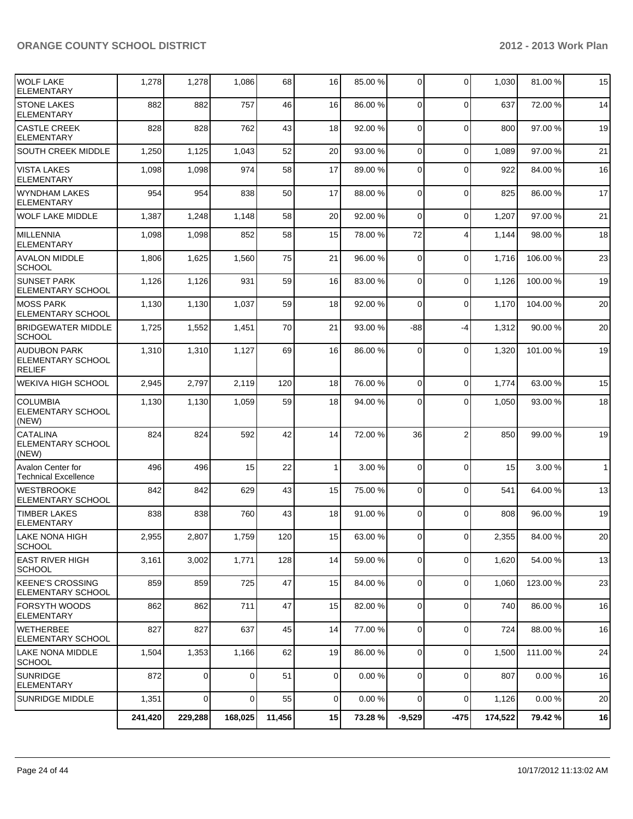| <b>WOLF LAKE</b><br><b>ELEMENTARY</b>                            | 1,278   | 1,278          | 1,086          | 68     | 16             | 85.00 % | $\overline{0}$ | 0              | 1,030   | 81.00%   | 15           |
|------------------------------------------------------------------|---------|----------------|----------------|--------|----------------|---------|----------------|----------------|---------|----------|--------------|
| <b>STONE LAKES</b><br><b>ELEMENTARY</b>                          | 882     | 882            | 757            | 46     | 16             | 86.00 % | $\Omega$       | $\mathbf{0}$   | 637     | 72.00 %  | 14           |
| <b>CASTLE CREEK</b><br>ELEMENTARY                                | 828     | 828            | 762            | 43     | 18             | 92.00 % | $\Omega$       | $\mathbf 0$    | 800     | 97.00%   | 19           |
| SOUTH CREEK MIDDLE                                               | 1,250   | 1,125          | 1,043          | 52     | 20             | 93.00 % | $\Omega$       | $\Omega$       | 1,089   | 97.00 %  | 21           |
| <b>VISTA LAKES</b><br><b>ELEMENTARY</b>                          | 1,098   | 1,098          | 974            | 58     | 17             | 89.00 % | $\Omega$       | $\mathbf{0}$   | 922     | 84.00%   | 16           |
| <b>WYNDHAM LAKES</b><br><b>ELEMENTARY</b>                        | 954     | 954            | 838            | 50     | 17             | 88.00 % | $\Omega$       | $\mathbf 0$    | 825     | 86.00%   | 17           |
| <b>WOLF LAKE MIDDLE</b>                                          | 1,387   | 1,248          | 1,148          | 58     | 20             | 92.00 % | $\Omega$       | $\mathbf 0$    | 1,207   | 97.00 %  | 21           |
| MILLENNIA<br><b>ELEMENTARY</b>                                   | 1,098   | 1,098          | 852            | 58     | 15             | 78.00 % | 72             | $\overline{4}$ | 1,144   | 98.00 %  | 18           |
| <b>AVALON MIDDLE</b><br><b>SCHOOL</b>                            | 1,806   | 1,625          | 1,560          | 75     | 21             | 96.00 % | $\Omega$       | $\mathbf{0}$   | 1,716   | 106.00%  | 23           |
| ISUNSET PARK<br>ELEMENTARY SCHOOL                                | 1,126   | 1,126          | 931            | 59     | 16             | 83.00 % | $\Omega$       | $\mathbf{0}$   | 1,126   | 100.00%  | 19           |
| <b>MOSS PARK</b><br>ELEMENTARY SCHOOL                            | 1,130   | 1,130          | 1,037          | 59     | 18             | 92.00 % | $\Omega$       | $\Omega$       | 1,170   | 104.00%  | 20           |
| <b>BRIDGEWATER MIDDLE</b><br> SCHOOL                             | 1,725   | 1,552          | 1,451          | 70     | 21             | 93.00 % | $-88$          | $-4$           | 1,312   | 90.00%   | 20           |
| <b>AUDUBON PARK</b><br><b>ELEMENTARY SCHOOL</b><br><b>RELIEF</b> | 1,310   | 1,310          | 1,127          | 69     | 16             | 86.00 % | $\Omega$       | $\mathbf{0}$   | 1,320   | 101.00 % | 19           |
| <b>WEKIVA HIGH SCHOOL</b>                                        | 2,945   | 2,797          | 2,119          | 120    | 18             | 76.00 % | $\Omega$       | $\mathbf 0$    | 1,774   | 63.00 %  | 15           |
| <b>COLUMBIA</b><br><b>ELEMENTARY SCHOOL</b><br>(NEW)             | 1,130   | 1,130          | 1,059          | 59     | 18             | 94.00 % | $\Omega$       | $\mathbf{0}$   | 1,050   | 93.00 %  | 18           |
| <b>CATALINA</b><br>ELEMENTARY SCHOOL<br>(NEW)                    | 824     | 824            | 592            | 42     | 14             | 72.00 % | 36             | $\overline{2}$ | 850     | 99.00 %  | 19           |
| <b>Avalon Center for</b><br><b>Technical Excellence</b>          | 496     | 496            | 15             | 22     | 1              | 3.00 %  | $\Omega$       | $\Omega$       | 15      | 3.00%    | $\mathbf{1}$ |
| <b>WESTBROOKE</b><br>ELEMENTARY SCHOOL                           | 842     | 842            | 629            | 43     | 15             | 75.00 % | $\Omega$       | $\Omega$       | 541     | 64.00%   | 13           |
| <b>TIMBER LAKES</b><br><b>ELEMENTARY</b>                         | 838     | 838            | 760            | 43     | 18             | 91.00 % | $\Omega$       | $\mathbf{0}$   | 808     | 96.00%   | 19           |
| LAKE NONA HIGH<br><b>SCHOOL</b>                                  | 2,955   | 2,807          | 1,759          | 120    | 15             | 63.00 % | $\overline{0}$ | 0              | 2,355   | 84.00%   | $20\,$       |
| <b>EAST RIVER HIGH</b><br><b>SCHOOL</b>                          | 3,161   | 3,002          | 1,771          | 128    | 14             | 59.00 % | $\overline{0}$ | 0              | 1,620   | 54.00 %  | 13           |
| <b>IKEENE'S CROSSING</b><br>ELEMENTARY SCHOOL                    | 859     | 859            | 725            | 47     | 15             | 84.00 % | $\overline{0}$ | 0              | 1,060   | 123.00%  | 23           |
| FORSYTH WOODS<br><b>ELEMENTARY</b>                               | 862     | 862            | 711            | 47     | 15             | 82.00 % | $\overline{0}$ | $\mathbf 0$    | 740     | 86.00 %  | 16           |
| <b>I</b> WETHERBEE<br> ELEMENTARY SCHOOL                         | 827     | 827            | 637            | 45     | 14             | 77.00 % | $\overline{0}$ | 0              | 724     | 88.00 %  | 16           |
| LAKE NONA MIDDLE<br>SCHOOL                                       | 1,504   | 1,353          | 1,166          | 62     | 19             | 86.00 % | $\overline{0}$ | 0              | 1,500   | 111.00 % | 24           |
| SUNRIDGE<br>ELEMENTARY                                           | 872     | 0              | $\Omega$       | 51     | $\overline{0}$ | 0.00 %  | $\overline{0}$ | 0              | 807     | 0.00%    | 16           |
| <b>SUNRIDGE MIDDLE</b>                                           | 1,351   | $\overline{0}$ | $\overline{0}$ | 55     | $\overline{0}$ | 0.00%   | $\overline{0}$ | $\mathbf 0$    | 1,126   | 0.00%    | 20           |
|                                                                  | 241,420 | 229,288        | 168,025        | 11,456 | 15             | 73.28 % | $-9,529$       | $-475$         | 174,522 | 79.42%   | 16           |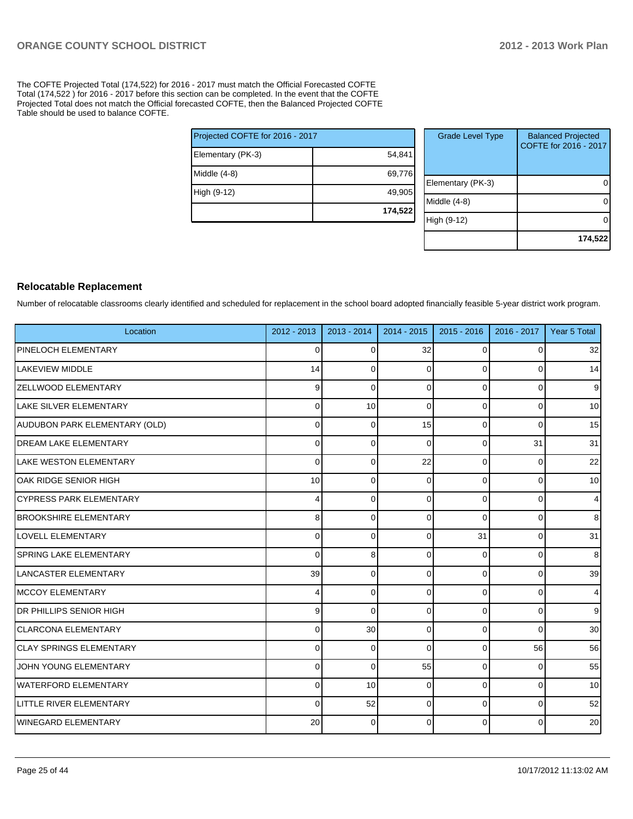The COFTE Projected Total (174,522) for 2016 - 2017 must match the Official Forecasted COFTE Total (174,522 ) for 2016 - 2017 before this section can be completed. In the event that the COFTE Projected Total does not match the Official forecasted COFTE, then the Balanced Projected COFTE Table should be used to balance COFTE.

| Projected COFTE for 2016 - 2017 |         |  |  |  |  |
|---------------------------------|---------|--|--|--|--|
| Elementary (PK-3)               | 54,841  |  |  |  |  |
| Middle $(4-8)$                  | 69,776  |  |  |  |  |
| High (9-12)                     | 49,905  |  |  |  |  |
|                                 | 174,522 |  |  |  |  |

| <b>Grade Level Type</b> | <b>Balanced Projected</b><br>COFTE for 2016 - 2017 |
|-------------------------|----------------------------------------------------|
| Elementary (PK-3)       |                                                    |
| Middle $(4-8)$          |                                                    |
| High (9-12)             |                                                    |
|                         | 174,522                                            |

#### **Relocatable Replacement**

Number of relocatable classrooms clearly identified and scheduled for replacement in the school board adopted financially feasible 5-year district work program.

| Location                        | 2012 - 2013 | $2013 - 2014$ | $2014 - 2015$  | $2015 - 2016$  | $2016 - 2017$ | Year 5 Total    |
|---------------------------------|-------------|---------------|----------------|----------------|---------------|-----------------|
| PINELOCH ELEMENTARY             | $\mathbf 0$ | 0             | 32             | 0              | 0             | 32              |
| <b>LAKEVIEW MIDDLE</b>          | 14          | 0             | $\mathbf 0$    | 0              | $\Omega$      | 14              |
| <b>IZELLWOOD ELEMENTARY</b>     | 9           | $\mathbf 0$   | $\overline{0}$ | $\overline{0}$ | $\Omega$      | 9               |
| <b>LAKE SILVER ELEMENTARY</b>   | 0           | 10            | $\Omega$       | 0              | $\Omega$      | 10 <sup>1</sup> |
| AUDUBON PARK ELEMENTARY (OLD)   | $\mathbf 0$ | 0             | 15             | $\overline{0}$ | $\Omega$      | 15              |
| <b>DREAM LAKE ELEMENTARY</b>    | $\mathbf 0$ | 0             | $\Omega$       | $\overline{0}$ | 31            | 31              |
| <b>LAKE WESTON ELEMENTARY</b>   | $\mathbf 0$ | $\Omega$      | 22             | $\Omega$       | 0             | 22              |
| OAK RIDGE SENIOR HIGH           | 10          | 0             | $\Omega$       | $\overline{0}$ | $\Omega$      | 10              |
| ICYPRESS PARK ELEMENTARY        | 4           | 0             | $\Omega$       | $\Omega$       | $\Omega$      | $\overline{4}$  |
| <b>BROOKSHIRE ELEMENTARY</b>    | 8           | $\Omega$      | $\Omega$       | $\Omega$       | $\Omega$      | 8               |
| <b>LOVELL ELEMENTARY</b>        | $\mathbf 0$ | 0             | $\Omega$       | 31             | $\Omega$      | 31              |
| <b>SPRING LAKE ELEMENTARY</b>   | $\mathbf 0$ | 8             | $\Omega$       | 0              | $\Omega$      | 8               |
| LANCASTER ELEMENTARY            | 39          | $\Omega$      | $\Omega$       | $\Omega$       | $\Omega$      | 39              |
| MCCOY ELEMENTARY                | 4           | $\Omega$      | $\Omega$       | $\overline{0}$ | $\Omega$      | $\overline{4}$  |
| IDR PHILLIPS SENIOR HIGH        | 9           | $\Omega$      | $\Omega$       | $\Omega$       | $\Omega$      | 9               |
| ICLARCONA ELEMENTARY            | $\mathbf 0$ | 30            | $\Omega$       | $\Omega$       | $\Omega$      | 30              |
| <b>ICLAY SPRINGS ELEMENTARY</b> | $\mathbf 0$ | $\Omega$      | $\Omega$       | $\Omega$       | 56            | 56              |
| JOHN YOUNG ELEMENTARY           | $\mathbf 0$ | $\mathbf 0$   | 55             | 0              | $\Omega$      | 55              |
| WATERFORD ELEMENTARY            | $\mathbf 0$ | 10            | 0              | 0              | $\Omega$      | 10              |
| LITTLE RIVER ELEMENTARY         | $\mathbf 0$ | 52            | $\Omega$       | $\overline{0}$ | 0             | 52              |
| WINEGARD ELEMENTARY             | 20          | 0             | $\Omega$       | $\Omega$       | 0             | 20              |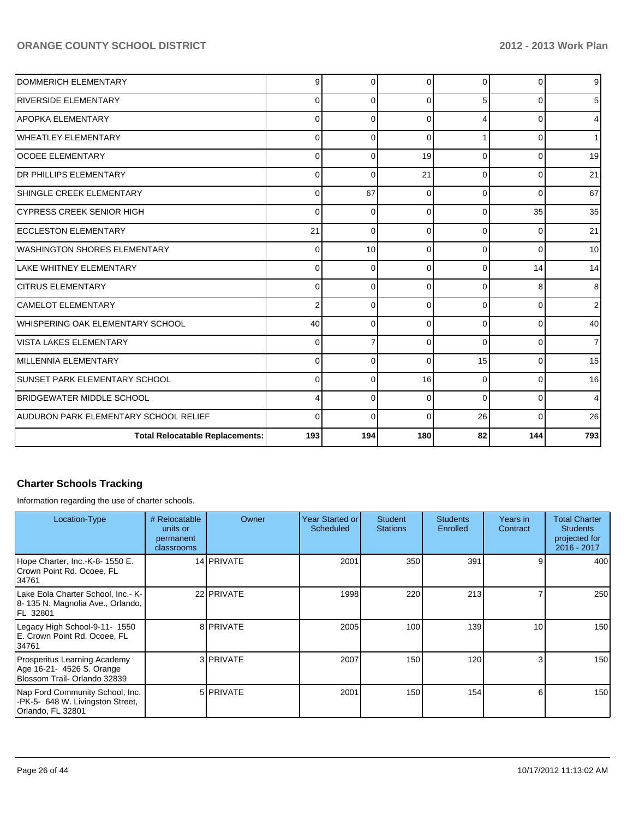| DOMMERICH ELEMENTARY                   | 9           | $\Omega$ | $\Omega$ | $\Omega$ | ∩        | 9 <sub>o</sub> |
|----------------------------------------|-------------|----------|----------|----------|----------|----------------|
| <b>RIVERSIDE ELEMENTARY</b>            | $\Omega$    | $\Omega$ | $\Omega$ | 5        |          | 5              |
| <b>APOPKA ELEMENTARY</b>               | 0           | 0        | $\Omega$ | 4        | O        | 4              |
| <b>WHEATLEY ELEMENTARY</b>             | 0           | 0        | $\Omega$ |          | O        | 1              |
| <b>lOCOEE ELEMENTARY</b>               | $\Omega$    | $\Omega$ | 19       | 0        | O        | 19             |
| <b>IDR PHILLIPS ELEMENTARY</b>         | 0           | $\Omega$ | 21       | 0        | 0        | 21             |
| SHINGLE CREEK ELEMENTARY               | $\mathbf 0$ | 67       | $\Omega$ | $\Omega$ | $\Omega$ | 67             |
| ICYPRESS CREEK SENIOR HIGH             | $\Omega$    | $\Omega$ | $\Omega$ | $\Omega$ | 35       | 35             |
| <b>ECCLESTON ELEMENTARY</b>            | 21          | $\Omega$ | $\Omega$ | $\Omega$ | $\Omega$ | 21             |
| <b>WASHINGTON SHORES ELEMENTARY</b>    | $\mathbf 0$ | 10       | $\Omega$ | $\Omega$ | $\Omega$ | 10             |
| LAKE WHITNEY ELEMENTARY                | $\mathbf 0$ | 0        | $\Omega$ | $\Omega$ | 14       | 14             |
| <b>CITRUS ELEMENTARY</b>               | 0           | 0        | $\Omega$ | $\Omega$ | 8        | 8              |
| <b>CAMELOT ELEMENTARY</b>              | 2           | $\Omega$ | $\Omega$ | $\Omega$ | O        | 2              |
| WHISPERING OAK ELEMENTARY SCHOOL       | 40          | 0        | $\Omega$ | $\Omega$ | $\Omega$ | 40             |
| <b>VISTA LAKES ELEMENTARY</b>          | $\mathbf 0$ |          | $\Omega$ | $\Omega$ | $\Omega$ | $\overline{7}$ |
| IMILLENNIA ELEMENTARY                  | 0           | 0        | $\Omega$ | 15       | O        | 15             |
| <b>SUNSET PARK ELEMENTARY SCHOOL</b>   | $\mathbf 0$ | $\Omega$ | 16       | $\Omega$ | O        | 16             |
| <b>IBRIDGEWATER MIDDLE SCHOOL</b>      | 4           | $\Omega$ | $\Omega$ | $\Omega$ | U        | 4              |
| AUDUBON PARK ELEMENTARY SCHOOL RELIEF  | $\Omega$    | $\Omega$ | $\Omega$ | 26       | O        | 26             |
| <b>Total Relocatable Replacements:</b> | 193         | 194      | 180      | 82       | 144      | 793            |

#### **Charter Schools Tracking**

Information regarding the use of charter schools.

| Location-Type                                                                             | # Relocatable<br>units or<br>permanent<br>classrooms | Owner            | Year Started or<br>Scheduled | <b>Student</b><br><b>Stations</b> | <b>Students</b><br>Enrolled | Years in<br>Contract | <b>Total Charter</b><br><b>Students</b><br>projected for<br>2016 - 2017 |
|-------------------------------------------------------------------------------------------|------------------------------------------------------|------------------|------------------------------|-----------------------------------|-----------------------------|----------------------|-------------------------------------------------------------------------|
| Hope Charter, Inc.-K-8- 1550 E.<br>Crown Point Rd. Ocoee, FL<br>134761                    |                                                      | 14 PRIVATE       | 2001                         | 350                               | 391                         |                      | 400                                                                     |
| Lake Eola Charter School, Inc.- K-<br>18- 135 N. Magnolia Ave., Orlando,<br>IFL 32801     |                                                      | 22 PRIVATE       | 1998                         | 220                               | 213                         |                      | 250                                                                     |
| Legacy High School-9-11- 1550<br>E. Crown Point Rd. Ocoee, FL<br>34761                    |                                                      | 8 <b>PRIVATE</b> | 2005                         | 100                               | 139                         | 10                   | 150                                                                     |
| Prosperitus Learning Academy<br>Age 16-21- 4526 S. Orange<br>Blossom Trail- Orlando 32839 |                                                      | 3 <b>PRIVATE</b> | 2007                         | 150                               | 120                         |                      | 150                                                                     |
| Nap Ford Community School, Inc.<br>-PK-5- 648 W. Livingston Street,<br>Orlando, FL 32801  |                                                      | 5 <b>PRIVATE</b> | 2001                         | 150                               | 154                         | 6                    | 150                                                                     |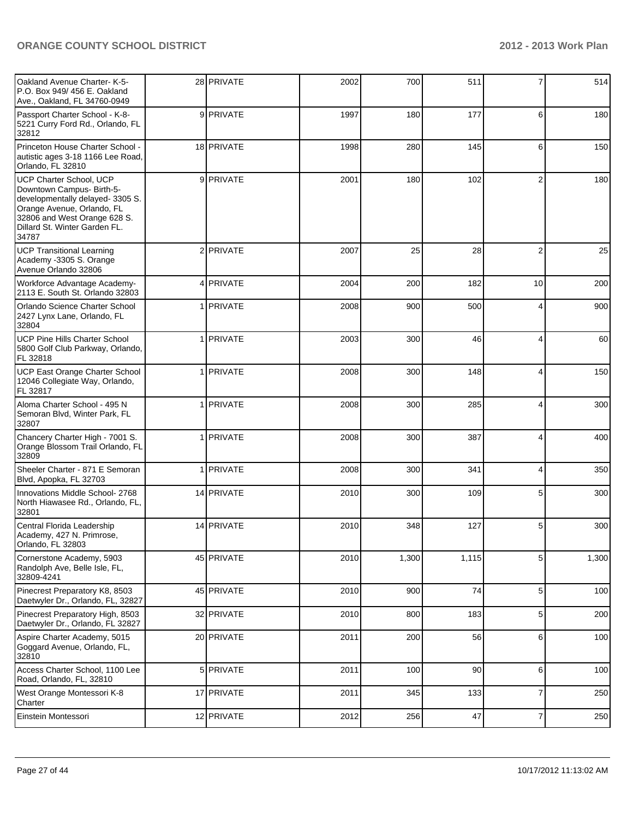| Oakland Avenue Charter- K-5-<br>P.O. Box 949/456 E. Oakland<br>Ave., Oakland, FL 34760-0949                                                                                                            | 28 PRIVATE | 2002 | 700   | 511   | 7                | 514   |
|--------------------------------------------------------------------------------------------------------------------------------------------------------------------------------------------------------|------------|------|-------|-------|------------------|-------|
| Passport Charter School - K-8-<br>5221 Curry Ford Rd., Orlando, FL<br>32812                                                                                                                            | 9 PRIVATE  | 1997 | 180   | 177   | 6                | 180   |
| Princeton House Charter School -<br>autistic ages 3-18 1166 Lee Road,<br>Orlando, FL 32810                                                                                                             | 18 PRIVATE | 1998 | 280   | 145   | 6                | 150   |
| <b>UCP Charter School, UCP</b><br>Downtown Campus- Birth-5-<br>developmentally delayed-3305 S.<br>Orange Avenue, Orlando, FL<br>32806 and West Orange 628 S.<br>Dillard St. Winter Garden FL.<br>34787 | 9 PRIVATE  | 2001 | 180   | 102   | $\overline{2}$   | 180   |
| <b>UCP Transitional Learning</b><br>Academy -3305 S. Orange<br>Avenue Orlando 32806                                                                                                                    | 2 PRIVATE  | 2007 | 25    | 28    | $\overline{2}$   | 25    |
| Workforce Advantage Academy-<br>2113 E. South St. Orlando 32803                                                                                                                                        | 4 PRIVATE  | 2004 | 200   | 182   | 10               | 200   |
| Orlando Science Charter School<br>2427 Lynx Lane, Orlando, FL<br>32804                                                                                                                                 | 1 PRIVATE  | 2008 | 900   | 500   | 4                | 900   |
| <b>UCP Pine Hills Charter School</b><br>5800 Golf Club Parkway, Orlando,<br>FL 32818                                                                                                                   | 1 PRIVATE  | 2003 | 300   | 46    | 4                | 60    |
| UCP East Orange Charter School<br>12046 Collegiate Way, Orlando,<br>FL 32817                                                                                                                           | 1 PRIVATE  | 2008 | 300   | 148   | 4                | 150   |
| Aloma Charter School - 495 N<br>Semoran Blvd, Winter Park, FL<br>32807                                                                                                                                 | 1 PRIVATE  | 2008 | 300   | 285   | 4                | 300   |
| Chancery Charter High - 7001 S.<br>Orange Blossom Trail Orlando, FL<br>32809                                                                                                                           | 1 PRIVATE  | 2008 | 300   | 387   | 4                | 400   |
| Sheeler Charter - 871 E Semoran<br>Blvd, Apopka, FL 32703                                                                                                                                              | 1 PRIVATE  | 2008 | 300   | 341   | 4                | 350   |
| Innovations Middle School- 2768<br>North Hiawasee Rd., Orlando, FL,<br>32801                                                                                                                           | 14 PRIVATE | 2010 | 300   | 109   | 5                | 300   |
| Central Florida Leadership<br>Academy, 427 N. Primrose,<br>Orlando, FL 32803                                                                                                                           | 14 PRIVATE | 2010 | 348   | 127   | 5                | 300   |
| Cornerstone Academy, 5903<br>Randolph Ave, Belle Isle, FL,<br>32809-4241                                                                                                                               | 45 PRIVATE | 2010 | 1,300 | 1,115 | 5 <sup>5</sup>   | 1,300 |
| Pinecrest Preparatory K8, 8503<br>Daetwyler Dr., Orlando, FL, 32827                                                                                                                                    | 45 PRIVATE | 2010 | 900   | 74    | $5\overline{)}$  | 100   |
| Pinecrest Preparatory High, 8503<br>Daetwyler Dr., Orlando, FL 32827                                                                                                                                   | 32 PRIVATE | 2010 | 800   | 183   | $5\overline{)}$  | 200   |
| Aspire Charter Academy, 5015<br>Goggard Avenue, Orlando, FL,<br>32810                                                                                                                                  | 20 PRIVATE | 2011 | 200   | 56    | $6 \overline{6}$ | 100   |
| Access Charter School, 1100 Lee<br>Road, Orlando, FL, 32810                                                                                                                                            | 5 PRIVATE  | 2011 | 100   | 90    | $6 \overline{6}$ | 100   |
| West Orange Montessori K-8<br>Charter                                                                                                                                                                  | 17 PRIVATE | 2011 | 345   | 133   | $\overline{7}$   | 250   |
| Einstein Montessori                                                                                                                                                                                    | 12 PRIVATE | 2012 | 256   | 47    | $\overline{7}$   | 250   |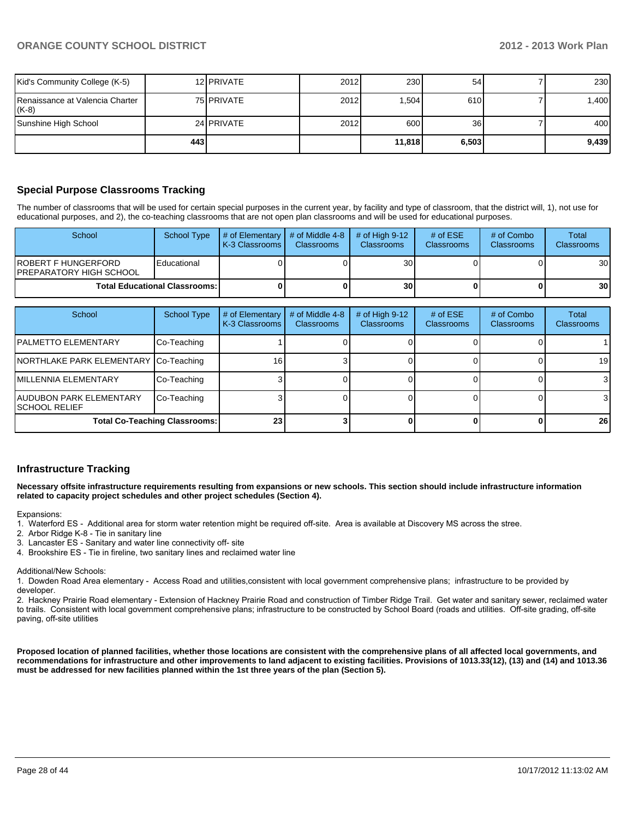| Kid's Community College (K-5)              |     | 12 <b>I</b> PRIVATE | 2012 | 230    | 54    | 230   |
|--------------------------------------------|-----|---------------------|------|--------|-------|-------|
| Renaissance at Valencia Charter<br>$(K-8)$ |     | 75 PRIVATE          | 2012 | .504   | 610   | 0.400 |
| Sunshine High School                       |     | 24 PRIVATE          | 2012 | 600    | 36    | 400   |
|                                            | 443 |                     |      | 11.818 | 6,503 | 9.439 |

#### **Special Purpose Classrooms Tracking**

The number of classrooms that will be used for certain special purposes in the current year, by facility and type of classroom, that the district will, 1), not use for educational purposes, and 2), the co-teaching classrooms that are not open plan classrooms and will be used for educational purposes.

| School                                           | <b>School Type</b> | $\parallel$ # of Elementary $\parallel$ # of Middle 4-8 $\parallel$<br><b>K-3 Classrooms L</b> | <b>Classrooms</b> | $#$ of High 9-12<br><b>Classrooms</b> | # of $ESE$<br>Classrooms | # of Combo<br><b>Classrooms</b> | Total<br><b>Classrooms</b> |
|--------------------------------------------------|--------------------|------------------------------------------------------------------------------------------------|-------------------|---------------------------------------|--------------------------|---------------------------------|----------------------------|
| IROBERT F HUNGERFORD<br>IPREPARATORY HIGH SCHOOL | Educational        |                                                                                                |                   | 30 l                                  |                          |                                 | 30 <sup>1</sup>            |
| <b>Total Educational Classrooms: I</b>           |                    |                                                                                                | 30 <sub>l</sub>   |                                       |                          | 30 <sup>1</sup>                 |                            |

| School                                                   | School Type | # of Elementary<br>K-3 Classrooms | # of Middle 4-8<br><b>Classrooms</b> | # of High $9-12$<br><b>Classrooms</b> | # of $ESE$<br><b>Classrooms</b> | # of Combo<br><b>Classrooms</b> | Total<br><b>Classrooms</b> |
|----------------------------------------------------------|-------------|-----------------------------------|--------------------------------------|---------------------------------------|---------------------------------|---------------------------------|----------------------------|
| <b>IPALMETTO ELEMENTARY</b>                              | Co-Teaching |                                   |                                      |                                       |                                 |                                 |                            |
| NORTHLAKE PARK ELEMENTARY Co-Teaching                    |             | 16                                |                                      |                                       |                                 |                                 | 19 <sup>1</sup>            |
| <b>IMILLENNIA ELEMENTARY</b>                             | Co-Teaching |                                   |                                      |                                       |                                 |                                 | 3 <sup>l</sup>             |
| <b>JAUDUBON PARK ELEMENTARY</b><br><b>ISCHOOL RELIEF</b> | Co-Teaching |                                   |                                      |                                       |                                 |                                 | 3                          |
| <b>Total Co-Teaching Classrooms:</b>                     |             | 23 <sub>1</sub>                   |                                      |                                       |                                 |                                 | 26 <sub>l</sub>            |

#### **Infrastructure Tracking**

**Necessary offsite infrastructure requirements resulting from expansions or new schools. This section should include infrastructure information related to capacity project schedules and other project schedules (Section 4).**

Expansions:

- 1. Waterford ES Additional area for storm water retention might be required off-site. Area is available at Discovery MS across the stree.
- 2. Arbor Ridge K-8 Tie in sanitary line
- 3. Lancaster ES Sanitary and water line connectivity off- site
- 4. Brookshire ES Tie in fireline, two sanitary lines and reclaimed water line

Additional/New Schools:

1. Dowden Road Area elementary - Access Road and utilities,consistent with local government comprehensive plans; infrastructure to be provided by developer.

2. Hackney Prairie Road elementary - Extension of Hackney Prairie Road and construction of Timber Ridge Trail. Get water and sanitary sewer, reclaimed water to trails. Consistent with local government comprehensive plans; infrastructure to be constructed by School Board (roads and utilities. Off-site grading, off-site paving, off-site utilities

**Proposed location of planned facilities, whether those locations are consistent with the comprehensive plans of all affected local governments, and recommendations for infrastructure and other improvements to land adjacent to existing facilities. Provisions of 1013.33(12), (13) and (14) and 1013.36 must be addressed for new facilities planned within the 1st three years of the plan (Section 5).**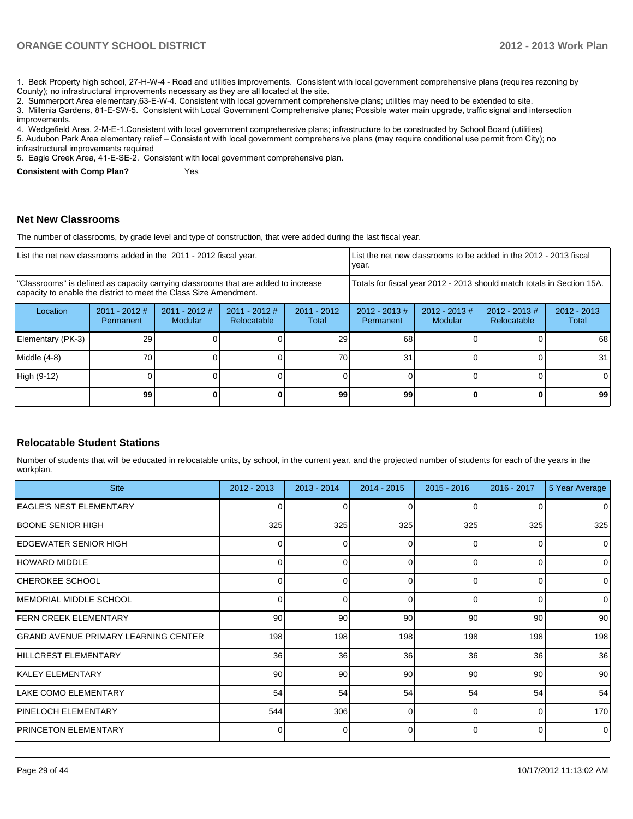1. Beck Property high school. 27-H-W-4 - Road and utilities improvements. Consistent with local government comprehensive plans (requires rezoning by County); no infrastructural improvements necessary as they are all located at the site.

2. Summerport Area elementary, 63-E-W-4. Consistent with local government comprehensive plans; utilities may need to be extended to site.

3. Millenia Gardens, 81-E-SW-5. Consistent with Local Government Comprehensive plans: Possible water main upgrade, traffic signal and intersection improvements.

4. Wedgefield Area, 2-M-E-1.Consistent with local government comprehensive plans; infrastructure to be constructed by School Board (utilities) 5. Audubon Park Area elementary relief – Consistent with local government comprehensive plans (may require conditional use permit from City); no LOCAL LATERATURY COMPUTER SUBSIDIARY CONTRACTOR

5. Eagle Creek Area, 41-E-SE-2. Consistent with local government comprehensive plan.

**Consistent with Comp Plan?** Yes

**Net New Classrooms**

The number of classrooms, by grade level and type of construction, that were added during the last fiscal year.

| List the net new classrooms added in the 2011 - 2012 fiscal year.                                                                                       |                                     |                            |                                |                                                                        | Ivear.                        |                                    | List the net new classrooms to be added in the 2012 - 2013 fiscal |                        |
|---------------------------------------------------------------------------------------------------------------------------------------------------------|-------------------------------------|----------------------------|--------------------------------|------------------------------------------------------------------------|-------------------------------|------------------------------------|-------------------------------------------------------------------|------------------------|
| "Classrooms" is defined as capacity carrying classrooms that are added to increase<br>capacity to enable the district to meet the Class Size Amendment. |                                     |                            |                                | Totals for fiscal year 2012 - 2013 should match totals in Section 15A. |                               |                                    |                                                                   |                        |
| Location                                                                                                                                                | $2011 - 2012$ #<br><b>Permanent</b> | $2011 - 2012$ #<br>Modular | $2011 - 2012$ #<br>Relocatable | $2011 - 2012$<br>Total                                                 | $2012 - 2013 \#$<br>Permanent | $2012 - 2013 \#$<br><b>Modular</b> | $2012 - 2013 \#$<br>Relocatable                                   | $2012 - 2013$<br>Total |
| Elementary (PK-3)                                                                                                                                       | 29                                  |                            |                                | 29                                                                     | 68                            |                                    |                                                                   | 68                     |
| Middle (4-8)                                                                                                                                            | 70                                  |                            |                                | 70                                                                     | 31                            |                                    |                                                                   | 31                     |
| High (9-12)                                                                                                                                             |                                     |                            |                                |                                                                        |                               |                                    |                                                                   | $\Omega$               |
|                                                                                                                                                         | 99                                  |                            |                                | 99                                                                     | 99                            |                                    |                                                                   | 99                     |

#### **Relocatable Student Stations**

Number of students that will be educated in relocatable units, by school, in the current year, and the projected number of students for each of the years in the workplan.

| <b>Site</b>                           | 2012 - 2013  | 2013 - 2014 | 2014 - 2015 | $2015 - 2016$ | 2016 - 2017    | 5 Year Average  |
|---------------------------------------|--------------|-------------|-------------|---------------|----------------|-----------------|
| EAGLE'S NEST ELEMENTARY               | $\mathbf{0}$ | ი           | 0           | $\Omega$      |                | $\overline{0}$  |
| <b>BOONE SENIOR HIGH</b>              | 325          | 325         | 325         | 325           | 325            | 325             |
| IEDGEWATER SENIOR HIGH                | 0            | 0           | 0           | 0             | 0              | $\overline{0}$  |
| HOWARD MIDDLE                         | 0            | n           | 0           | $\Omega$      | $\overline{0}$ | $\overline{0}$  |
| CHEROKEE SCHOOL                       | ∩            | ∩           | $\Omega$    | $\Omega$      | $\Omega$       | $\Omega$        |
| IMEMORIAL MIDDLE SCHOOL               | 0            | 0           | $\Omega$    | $\Omega$      | $\overline{0}$ | $\overline{0}$  |
| <b>FERN CREEK ELEMENTARY</b>          | 90           | 90          | 90          | 90            | 90             | 90 <sup>1</sup> |
| IGRAND AVENUE PRIMARY LEARNING CENTER | 198          | 198         | 198         | 198           | 198            | 198             |
| HILLCREST ELEMENTARY                  | 36           | 36          | 36          | 36            | 36             | 36              |
| KALEY ELEMENTARY                      | 90           | 90          | 90          | 90            | 90             | 90 <sup>1</sup> |
| LAKE COMO ELEMENTARY                  | 54           | 54          | 54          | 54            | 54             | 54              |
| PINELOCH ELEMENTARY                   | 544          | 306         | $\Omega$    | $\Omega$      | $\overline{0}$ | 170             |
| <b>PRINCETON ELEMENTARY</b>           |              | ∩           | 0           | $\Omega$      | $\Omega$       | $\Omega$        |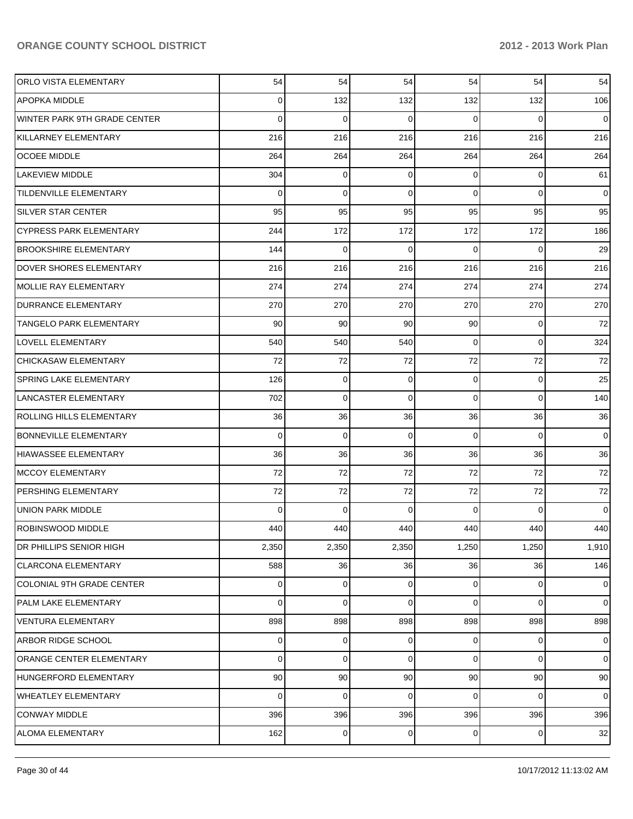| ORLO VISTA ELEMENTARY          | 54    | 54              | 54          | 54             | 54       | 54             |
|--------------------------------|-------|-----------------|-------------|----------------|----------|----------------|
| APOPKA MIDDLE                  | 0     | 132             | 132         | 132            | 132      | 106            |
| WINTER PARK 9TH GRADE CENTER   | 0     | 0               | 0           | $\Omega$       | $\Omega$ | 0              |
| KILLARNEY ELEMENTARY           | 216   | 216             | 216         | 216            | 216      | 216            |
| OCOEE MIDDLE                   | 264   | 264             | 264         | 264            | 264      | 264            |
| LAKEVIEW MIDDLE                | 304   | 0               | 0           | 0              | 0        | 61             |
| TILDENVILLE ELEMENTARY         | 0     | 0               | $\mathbf 0$ | $\Omega$       | 0        | 0              |
| <b>SILVER STAR CENTER</b>      | 95    | 95              | 95          | 95             | 95       | 95             |
| <b>CYPRESS PARK ELEMENTARY</b> | 244   | 172             | 172         | 172            | 172      | 186            |
| <b>BROOKSHIRE ELEMENTARY</b>   | 144   | 0               | 0           | $\Omega$       | 0        | 29             |
| <b>DOVER SHORES ELEMENTARY</b> | 216   | 216             | 216         | 216            | 216      | 216            |
| <b>MOLLIE RAY ELEMENTARY</b>   | 274   | 274             | 274         | 274            | 274      | 274            |
| <b>DURRANCE ELEMENTARY</b>     | 270   | 270             | 270         | 270            | 270      | 270            |
| TANGELO PARK ELEMENTARY        | 90    | 90              | 90          | 90             | 0        | 72             |
| LOVELL ELEMENTARY              | 540   | 540             | 540         | 0              | 0        | 324            |
| CHICKASAW ELEMENTARY           | 72    | 72              | 72          | 72             | 72       | 72             |
| <b>SPRING LAKE ELEMENTARY</b>  | 126   | 0               | $\mathbf 0$ | 0              | 0        | 25             |
| LANCASTER ELEMENTARY           | 702   | 0               | $\mathbf 0$ | 0              | 0        | 140            |
| ROLLING HILLS ELEMENTARY       | 36    | 36              | 36          | 36             | 36       | 36             |
| <b>BONNEVILLE ELEMENTARY</b>   | 0     | $\mathbf 0$     | $\mathbf 0$ | $\Omega$       | 0        | $\overline{0}$ |
| <b>HIAWASSEE ELEMENTARY</b>    | 36    | 36              | 36          | 36             | 36       | 36             |
| <b>MCCOY ELEMENTARY</b>        | 72    | 72              | 72          | 72             | 72       | 72             |
| PERSHING ELEMENTARY            | 72    | 72              | 72          | 72             | 72       | 72             |
| <b>UNION PARK MIDDLE</b>       | 0     | 0               | $\mathbf 0$ | $\Omega$       | 0        | $\overline{0}$ |
| ROBINSWOOD MIDDLE              | 440   | 440             | 440         | 440            | 440      | 440            |
| DR PHILLIPS SENIOR HIGH        | 2,350 | 2,350           | 2,350       | 1,250          | 1,250    | 1,910          |
| <b>CLARCONA ELEMENTARY</b>     | 588   | 36              | 36          | 36             | 36       | 146            |
| COLONIAL 9TH GRADE CENTER      | 0     | 0               | 0           | 0              | 0        | $\overline{0}$ |
| PALM LAKE ELEMENTARY           | 0     | 0               | 0           | 0              | 0        | $\overline{0}$ |
| <b>VENTURA ELEMENTARY</b>      | 898   | 898             | 898         | 898            | 898      | 898            |
| ARBOR RIDGE SCHOOL             | 0     | 0               | $\mathbf 0$ | $\overline{0}$ | 0        | $\overline{0}$ |
| ORANGE CENTER ELEMENTARY       | 0     | 0               | $\mathbf 0$ | 0              | 0        | $\overline{0}$ |
| HUNGERFORD ELEMENTARY          | 90    | 90              | 90          | 90             | 90       | 90             |
| WHEATLEY ELEMENTARY            | 0     | 0               | 0           | 0              | 0        | $\overline{0}$ |
| <b>CONWAY MIDDLE</b>           | 396   | 396             | 396         | 396            | 396      | 396            |
| ALOMA ELEMENTARY               | 162   | $\vert 0 \vert$ | 0           | $\overline{0}$ | 0        | 32             |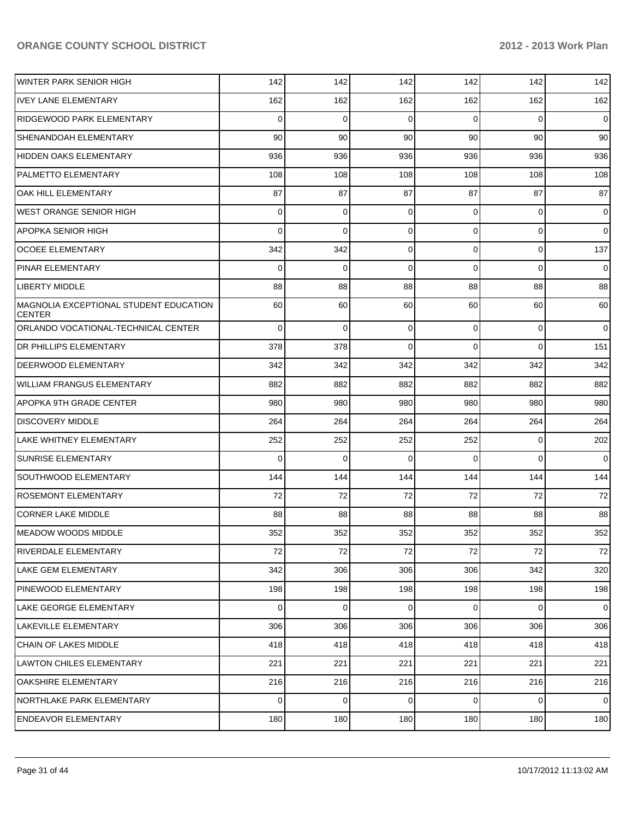| WINTER PARK SENIOR HIGH                                 | 142            | 142         | 142          | 142            | 142         | 142            |
|---------------------------------------------------------|----------------|-------------|--------------|----------------|-------------|----------------|
| <b>IVEY LANE ELEMENTARY</b>                             | 162            | 162         | 162          | 162            | 162         | 162            |
| <b>RIDGEWOOD PARK ELEMENTARY</b>                        | $\Omega$       | 0           | 0            | $\Omega$       | $\Omega$    | $\mathbf 0$    |
| SHENANDOAH ELEMENTARY                                   | 90             | 90          | 90           | 90             | 90          | 90             |
| <b>HIDDEN OAKS ELEMENTARY</b>                           | 936            | 936         | 936          | 936            | 936         | 936            |
| <b>PALMETTO ELEMENTARY</b>                              | 108            | 108         | 108          | 108            | 108         | 108            |
| OAK HILL ELEMENTARY                                     | 87             | 87          | 87           | 87             | 87          | 87             |
| <b>WEST ORANGE SENIOR HIGH</b>                          | $\Omega$       | $\mathbf 0$ | 0            | $\Omega$       | $\mathbf 0$ | 0              |
| <b>APOPKA SENIOR HIGH</b>                               | $\Omega$       | $\mathbf 0$ | 0            | $\Omega$       | $\mathbf 0$ | $\mathbf 0$    |
| <b>OCOEE ELEMENTARY</b>                                 | 342            | 342         | 0            | $\Omega$       | $\mathbf 0$ | 137            |
| <b>PINAR ELEMENTARY</b>                                 | $\Omega$       | 0           | $\mathbf{0}$ | $\Omega$       | $\Omega$    | $\mathbf 0$    |
| <b>LIBERTY MIDDLE</b>                                   | 88             | 88          | 88           | 88             | 88          | 88             |
| MAGNOLIA EXCEPTIONAL STUDENT EDUCATION<br><b>CENTER</b> | 60             | 60          | 60           | 60             | 60          | 60             |
| ORLANDO VOCATIONAL-TECHNICAL CENTER                     | $\Omega$       | $\mathbf 0$ | 0            | $\overline{0}$ | $\mathbf 0$ | $\mathbf 0$    |
| DR PHILLIPS ELEMENTARY                                  | 378            | 378         | $\mathbf 0$  | $\Omega$       | $\Omega$    | 151            |
| <b>DEERWOOD ELEMENTARY</b>                              | 342            | 342         | 342          | 342            | 342         | 342            |
| <b>WILLIAM FRANGUS ELEMENTARY</b>                       | 882            | 882         | 882          | 882            | 882         | 882            |
| <b>APOPKA 9TH GRADE CENTER</b>                          | 980            | 980         | 980          | 980            | 980         | 980            |
| <b>DISCOVERY MIDDLE</b>                                 | 264            | 264         | 264          | 264            | 264         | 264            |
| LAKE WHITNEY ELEMENTARY                                 | 252            | 252         | 252          | 252            | $\mathbf 0$ | 202            |
| <b>SUNRISE ELEMENTARY</b>                               | $\Omega$       | $\mathbf 0$ | 0            | $\Omega$       | $\Omega$    | $\mathbf 0$    |
| <b>SOUTHWOOD ELEMENTARY</b>                             | 144            | 144         | 144          | 144            | 144         | 144            |
| <b>ROSEMONT ELEMENTARY</b>                              | 72             | 72          | 72           | 72             | 72          | 72             |
| <b>CORNER LAKE MIDDLE</b>                               | 88             | 88          | 88           | 88             | 88          | 88             |
| IMEADOW WOODS MIDDLE                                    | 352            | 352         | 352          | 352            | 352         | 352            |
| <b>RIVERDALE ELEMENTARY</b>                             | 72             | 72          | 72           | 72             | 72          | 72             |
| LAKE GEM ELEMENTARY                                     | 342            | 306         | 306          | 306            | 342         | 320            |
| PINEWOOD ELEMENTARY                                     | 198            | 198         | 198          | 198            | 198         | 198            |
| LAKE GEORGE ELEMENTARY                                  | $\overline{0}$ | 0           | $\mathbf 0$  | $\overline{0}$ | $\mathbf 0$ | $\mathbf{O}$   |
| LAKEVILLE ELEMENTARY                                    | 306            | 306         | 306          | 306            | 306         | 306            |
| CHAIN OF LAKES MIDDLE                                   | 418            | 418         | 418          | 418            | 418         | 418            |
| <b>LAWTON CHILES ELEMENTARY</b>                         | 221            | 221         | 221          | 221            | 221         | 221            |
| OAKSHIRE ELEMENTARY                                     | 216            | 216         | 216          | 216            | 216         | 216            |
| NORTHLAKE PARK ELEMENTARY                               | $\overline{0}$ | $\mathbf 0$ | $\mathbf 0$  | $\overline{0}$ | $\mathbf 0$ | $\overline{0}$ |
| <b>ENDEAVOR ELEMENTARY</b>                              | 180            | 180         | 180          | 180            | 180         | 180            |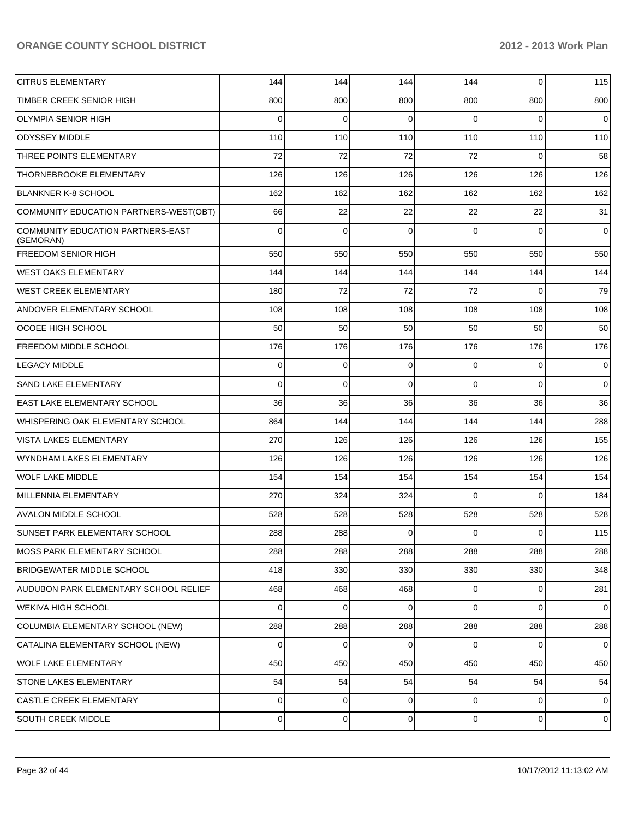| <b>CITRUS ELEMENTARY</b>                       | 144         | 144            | 144         | 144            | $\overline{0}$ | 115                 |
|------------------------------------------------|-------------|----------------|-------------|----------------|----------------|---------------------|
| TIMBER CREEK SENIOR HIGH                       | 800         | 800            | 800         | 800            | 800            | 800                 |
| <b>OLYMPIA SENIOR HIGH</b>                     | $\Omega$    | $\mathbf{0}$   | $\Omega$    | $\Omega$       | $\Omega$       | $\overline{0}$      |
| <b>ODYSSEY MIDDLE</b>                          | 110         | 110            | 110         | 110            | 110            | 110                 |
| THREE POINTS ELEMENTARY                        | 72          | 72             | 72          | 72             | $\Omega$       | 58                  |
| <b>THORNEBROOKE ELEMENTARY</b>                 | 126         | 126            | 126         | 126            | 126            | 126                 |
| <b>BLANKNER K-8 SCHOOL</b>                     | 162         | 162            | 162         | 162            | 162            | 162                 |
| COMMUNITY EDUCATION PARTNERS-WEST(OBT)         | 66          | 22             | 22          | 22             | 22             | 31                  |
| COMMUNITY EDUCATION PARTNERS-EAST<br>(SEMORAN) | $\Omega$    | $\Omega$       | $\Omega$    | $\Omega$       | $\Omega$       | $\overline{0}$      |
| <b>FREEDOM SENIOR HIGH</b>                     | 550         | 550            | 550         | 550            | 550            | 550                 |
| <b>WEST OAKS ELEMENTARY</b>                    | 144         | 144            | 144         | 144            | 144            | 144                 |
| IWEST CREEK ELEMENTARY                         | 180         | 72             | 72          | 72             | $\Omega$       | 79                  |
| <b>ANDOVER ELEMENTARY SCHOOL</b>               | 108         | 108            | 108         | 108            | 108            | 108                 |
| OCOEE HIGH SCHOOL                              | 50          | 50             | 50          | 50             | 50             | 50                  |
| <b>FREEDOM MIDDLE SCHOOL</b>                   | 176         | 176            | 176         | 176            | 176            | 176                 |
| <b>LEGACY MIDDLE</b>                           | $\mathbf 0$ | 0              | $\mathbf 0$ | $\Omega$       | $\overline{0}$ | $\overline{0}$      |
| <b>SAND LAKE ELEMENTARY</b>                    | $\Omega$    | 0              | $\Omega$    | $\Omega$       | $\Omega$       | $\overline{0}$      |
| <b>EAST LAKE ELEMENTARY SCHOOL</b>             | 36          | 36             | 36          | 36             | 36             | 36                  |
| WHISPERING OAK ELEMENTARY SCHOOL               | 864         | 144            | 144         | 144            | 144            | 288                 |
| <b>VISTA LAKES ELEMENTARY</b>                  | 270         | 126            | 126         | 126            | 126            | 155                 |
| WYNDHAM LAKES ELEMENTARY                       | 126         | 126            | 126         | 126            | 126            | 126                 |
| WOLF LAKE MIDDLE                               | 154         | 154            | 154         | 154            | 154            | 154                 |
| MILLENNIA ELEMENTARY                           | 270         | 324            | 324         | $\Omega$       | $\Omega$       | 184                 |
| <b>AVALON MIDDLE SCHOOL</b>                    | 528         | 528            | 528         | 528            | 528            | 528                 |
| SUNSET PARK ELEMENTARY SCHOOL                  | 288         | 288            | $\mathbf 0$ | $\overline{0}$ | $\overline{0}$ | 115                 |
| MOSS PARK ELEMENTARY SCHOOL                    | 288         | 288            | 288         | 288            | 288            | 288                 |
| <b>BRIDGEWATER MIDDLE SCHOOL</b>               | 418         | 330            | 330         | 330            | 330            | 348                 |
| AUDUBON PARK ELEMENTARY SCHOOL RELIEF          | 468         | 468            | 468         | $\overline{0}$ | $\overline{0}$ | 281                 |
| WEKIVA HIGH SCHOOL                             | 0           | 0              | 0           | $\overline{0}$ | $\overline{0}$ | $\mathbf 0$         |
| COLUMBIA ELEMENTARY SCHOOL (NEW)               | 288         | 288            | 288         | 288            | 288            | 288                 |
| CATALINA ELEMENTARY SCHOOL (NEW)               | 0           | 0              | $\mathbf 0$ | $\overline{0}$ | $\overline{0}$ | $\mathbf 0$         |
| WOLF LAKE ELEMENTARY                           | 450         | 450            | 450         | 450            | 450            | 450                 |
| <b>STONE LAKES ELEMENTARY</b>                  | 54          | 54             | 54          | 54             | 54             | 54                  |
| <b>CASTLE CREEK ELEMENTARY</b>                 | 0           | $\overline{0}$ | $\mathbf 0$ | $\overline{0}$ | $\overline{0}$ | $\mathbf 0$         |
| <b>SOUTH CREEK MIDDLE</b>                      | 0           | 0              | 0           | $\overline{0}$ | $\overline{0}$ | $\mathsf{O}\xspace$ |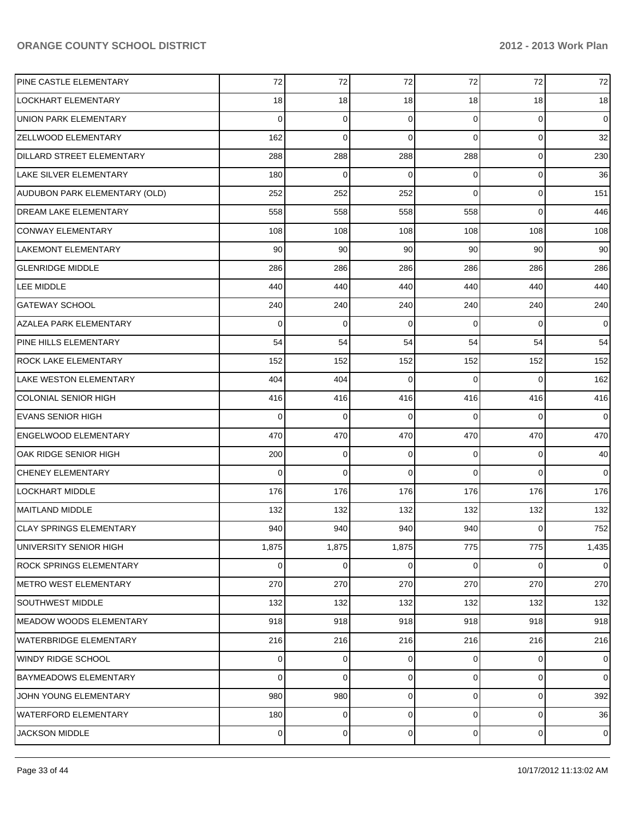| PINE CASTLE ELEMENTARY         | 72    | 72    | 72          | 72             | 72             | 72             |
|--------------------------------|-------|-------|-------------|----------------|----------------|----------------|
| LOCKHART ELEMENTARY            | 18    | 18    | 18          | 18             | 18             | 18             |
| UNION PARK ELEMENTARY          | 0     | 0     | 0           | 0              | 0              | $\mathbf 0$    |
| ZELLWOOD ELEMENTARY            | 162   | 0     | $\mathbf 0$ | 0              | $\mathbf 0$    | 32             |
| DILLARD STREET ELEMENTARY      | 288   | 288   | 288         | 288            | $\mathbf 0$    | 230            |
| LAKE SILVER ELEMENTARY         | 180   | 0     | $\mathbf 0$ | 0              | $\mathbf 0$    | 36             |
| AUDUBON PARK ELEMENTARY (OLD)  | 252   | 252   | 252         | 0              | $\mathbf 0$    | 151            |
| DREAM LAKE ELEMENTARY          | 558   | 558   | 558         | 558            | $\overline{0}$ | 446            |
| <b>CONWAY ELEMENTARY</b>       | 108   | 108   | 108         | 108            | 108            | 108            |
| LAKEMONT ELEMENTARY            | 90    | 90    | 90          | 90             | 90             | 90             |
| <b>GLENRIDGE MIDDLE</b>        | 286   | 286   | 286         | 286            | 286            | 286            |
| LEE MIDDLE                     | 440   | 440   | 440         | 440            | 440            | 440            |
| <b>GATEWAY SCHOOL</b>          | 240   | 240   | 240         | 240            | 240            | 240            |
| AZALEA PARK ELEMENTARY         | 0     | 0     | $\mathbf 0$ | 0              | 0              | $\overline{0}$ |
| PINE HILLS ELEMENTARY          | 54    | 54    | 54          | 54             | 54             | 54             |
| ROCK LAKE ELEMENTARY           | 152   | 152   | 152         | 152            | 152            | 152            |
| LAKE WESTON ELEMENTARY         | 404   | 404   | $\Omega$    | 0              | 0              | 162            |
| <b>COLONIAL SENIOR HIGH</b>    | 416   | 416   | 416         | 416            | 416            | 416            |
| <b>EVANS SENIOR HIGH</b>       | 0     | 0     | 0           | 0              | 0              | $\overline{0}$ |
| ENGELWOOD ELEMENTARY           | 470   | 470   | 470         | 470            | 470            | 470            |
| OAK RIDGE SENIOR HIGH          | 200   | 0     | 0           | 0              | 0              | 40             |
| <b>CHENEY ELEMENTARY</b>       | 0     | 0     | $\mathbf 0$ | 0              | 0              | $\overline{0}$ |
| LOCKHART MIDDLE                | 176   | 176   | 176         | 176            | 176            | 176            |
| <b>MAITLAND MIDDLE</b>         | 132   | 132   | 132         | 132            | 132            | 132            |
| <b>CLAY SPRINGS ELEMENTARY</b> | 940   | 940   | 940         | 940            | 0              | 752            |
| UNIVERSITY SENIOR HIGH         | 1,875 | 1,875 | 1,875       | 775            | 775            | 1,435          |
| <b>ROCK SPRINGS ELEMENTARY</b> | 0     | 0     | 0           | 0              | $\mathbf{0}$   | $\overline{0}$ |
| <b>METRO WEST ELEMENTARY</b>   | 270   | 270   | 270         | 270            | 270            | 270            |
| <b>SOUTHWEST MIDDLE</b>        | 132   | 132   | 132         | 132            | 132            | 132            |
| MEADOW WOODS ELEMENTARY        | 918   | 918   | 918         | 918            | 918            | 918            |
| <b>WATERBRIDGE ELEMENTARY</b>  | 216   | 216   | 216         | 216            | 216            | 216            |
| WINDY RIDGE SCHOOL             | 0     | 0     | 0           | 0              | 0              | $\mathbf 0$    |
| <b>BAYMEADOWS ELEMENTARY</b>   | 0     | 0     | 0           | $\overline{0}$ | $\mathbf{0}$   | $\overline{0}$ |
| JOHN YOUNG ELEMENTARY          | 980   | 980   | 0           | 0              | $\mathbf 0$    | 392            |
| <b>WATERFORD ELEMENTARY</b>    | 180   | 0     | 0           | $\overline{0}$ | $\mathbf 0$    | 36             |
| <b>JACKSON MIDDLE</b>          | 0     | 0     | 0           | $\overline{0}$ | $\overline{0}$ | $\mathbf 0$    |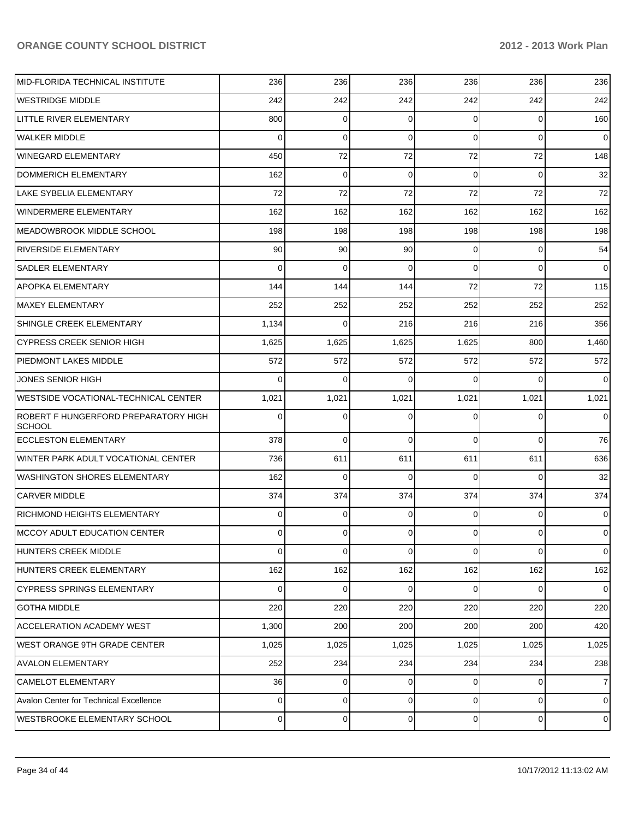| MID-FLORIDA TECHNICAL INSTITUTE                       | 236            | 236      | 236            | 236            | 236            | 236            |
|-------------------------------------------------------|----------------|----------|----------------|----------------|----------------|----------------|
| <b>WESTRIDGE MIDDLE</b>                               | 242            | 242      | 242            | 242            | 242            | 242            |
| LITTLE RIVER ELEMENTARY                               | 800            | 0        | $\Omega$       | 0              | 0              | 160            |
| <b>WALKER MIDDLE</b>                                  | 0              | 0        | $\Omega$       | 0              | $\overline{0}$ | $\overline{0}$ |
| <b>WINEGARD ELEMENTARY</b>                            | 450            | 72       | 72             | 72             | 72             | 148            |
| DOMMERICH ELEMENTARY                                  | 162            | 0        | 0              | 0              | $\overline{0}$ | 32             |
| LAKE SYBELIA ELEMENTARY                               | 72             | 72       | 72             | 72             | 72             | 72             |
| <b>WINDERMERE ELEMENTARY</b>                          | 162            | 162      | 162            | 162            | 162            | 162            |
| <b>MEADOWBROOK MIDDLE SCHOOL</b>                      | 198            | 198      | 198            | 198            | 198            | 198            |
| RIVERSIDE ELEMENTARY                                  | 90             | 90       | 90             | 0              | 0              | 54             |
| SADLER ELEMENTARY                                     | 0              | 0        | $\Omega$       | 0              | $\overline{0}$ | $\overline{0}$ |
| APOPKA ELEMENTARY                                     | 144            | 144      | 144            | 72             | 72             | 115            |
| <b>MAXEY ELEMENTARY</b>                               | 252            | 252      | 252            | 252            | 252            | 252            |
| SHINGLE CREEK ELEMENTARY                              | 1,134          | 0        | 216            | 216            | 216            | 356            |
| <b>CYPRESS CREEK SENIOR HIGH</b>                      | 1,625          | 1,625    | 1,625          | 1,625          | 800            | 1,460          |
| PIEDMONT LAKES MIDDLE                                 | 572            | 572      | 572            | 572            | 572            | 572            |
| JONES SENIOR HIGH                                     | 0              | 0        | $\Omega$       | 0              | $\Omega$       | $\overline{0}$ |
| <b>WESTSIDE VOCATIONAL-TECHNICAL CENTER</b>           | 1,021          | 1,021    | 1,021          | 1,021          | 1,021          | 1,021          |
| ROBERT F HUNGERFORD PREPARATORY HIGH<br><b>SCHOOL</b> | 0              | 0        | $\Omega$       | 0              | 0              | $\overline{0}$ |
| <b>ECCLESTON ELEMENTARY</b>                           | 378            | 0        | $\Omega$       | $\Omega$       | $\Omega$       | 76             |
| WINTER PARK ADULT VOCATIONAL CENTER                   | 736            | 611      | 611            | 611            | 611            | 636            |
| <b>WASHINGTON SHORES ELEMENTARY</b>                   | 162            | $\Omega$ | $\Omega$       | $\Omega$       | $\Omega$       | 32             |
| <b>CARVER MIDDLE</b>                                  | 374            | 374      | 374            | 374            | 374            | 374            |
| RICHMOND HEIGHTS ELEMENTARY                           | 0              | 0        | $\Omega$       | $\overline{0}$ | $\overline{0}$ | $\overline{0}$ |
| IMCCOY ADULT EDUCATION CENTER                         | $\overline{0}$ | 0        | $\overline{0}$ | $\overline{0}$ | $\overline{0}$ | $\overline{0}$ |
| HUNTERS CREEK MIDDLE                                  | 0              | 0        | $\mathbf 0$    | $\overline{0}$ | $\overline{0}$ | $\mathbf 0$    |
| HUNTERS CREEK ELEMENTARY                              | 162            | 162      | 162            | 162            | 162            | 162            |
| <b>CYPRESS SPRINGS ELEMENTARY</b>                     | 0              | 0        | $\mathbf 0$    | $\overline{0}$ | $\mathbf{0}$   | $\overline{0}$ |
| <b>GOTHA MIDDLE</b>                                   | 220            | 220      | 220            | 220            | 220            | 220            |
| ACCELERATION ACADEMY WEST                             | 1,300          | 200      | 200            | 200            | 200            | 420            |
| WEST ORANGE 9TH GRADE CENTER                          | 1,025          | 1,025    | 1,025          | 1,025          | 1,025          | 1,025          |
| <b>AVALON ELEMENTARY</b>                              | 252            | 234      | 234            | 234            | 234            | 238            |
| <b>CAMELOT ELEMENTARY</b>                             | 36             | 0        | 0              | $\overline{0}$ | $\mathbf 0$    | $\overline{7}$ |
| Avalon Center for Technical Excellence                | 0              | 0        | 0              | $\overline{0}$ | $\mathbf 0$    | $\mathbf 0$    |
| <b>WESTBROOKE ELEMENTARY SCHOOL</b>                   | 0              | 0        | 0              | $\overline{0}$ | $\overline{0}$ | $\mathbf 0$    |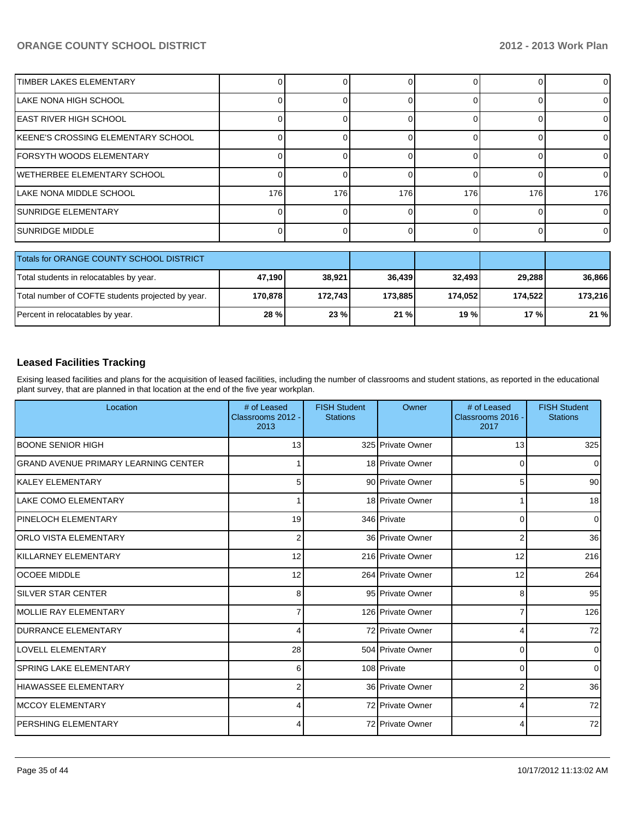| <b>TIMBER LAKES ELEMENTARY</b>           |     |     |     |     |     | 0              |
|------------------------------------------|-----|-----|-----|-----|-----|----------------|
| ILAKE NONA HIGH SCHOOL                   |     |     |     |     |     | 0              |
| IEAST RIVER HIGH SCHOOL                  |     |     |     |     |     | 0              |
| KEENE'S CROSSING ELEMENTARY SCHOOL       |     |     |     |     |     | $\Omega$       |
| IFORSYTH WOODS ELEMENTARY                |     |     |     |     |     | $\Omega$       |
| WETHERBEE ELEMENTARY SCHOOL              |     |     |     |     |     | $\Omega$       |
| ILAKE NONA MIDDLE SCHOOL                 | 176 | 176 | 176 | 176 | 176 | 176            |
| ISUNRIDGE ELEMENTARY                     |     |     |     |     |     | $\overline{0}$ |
| ISUNRIDGE MIDDLE                         |     |     |     |     |     | $\Omega$       |
| Totals for ORANGE COUNTY SCHOOL DISTRICT |     |     |     |     |     |                |

| TO THIS TOP OR ANGE COUNTY SCHOOL DISTRICT        |         |          |         |          |                 |         |
|---------------------------------------------------|---------|----------|---------|----------|-----------------|---------|
| Total students in relocatables by year.           | 47.190  | 38.921   | 36.439  | 32.493   | 29.288          | 36.866  |
| Total number of COFTE students projected by year. | 170.878 | 172.7431 | 173.885 | 174.0521 | 174.522         | 173.216 |
| Percent in relocatables by year.                  | 28 %l   | 23%      | 21%     | 19%      | 17 <sub>%</sub> | 21%     |

#### **Leased Facilities Tracking**

Exising leased facilities and plans for the acquisition of leased facilities, including the number of classrooms and student stations, as reported in the educational plant survey, that are planned in that location at the end of the five year workplan.

| Location                                    | # of Leased<br>Classrooms 2012 -<br>2013 | <b>FISH Student</b><br><b>Stations</b> | Owner             | # of Leased<br>Classrooms 2016 -<br>2017 | <b>FISH Student</b><br><b>Stations</b> |
|---------------------------------------------|------------------------------------------|----------------------------------------|-------------------|------------------------------------------|----------------------------------------|
| <b>IBOONE SENIOR HIGH</b>                   | 13                                       |                                        | 325 Private Owner | 13                                       | 325                                    |
| <b>GRAND AVENUE PRIMARY LEARNING CENTER</b> |                                          |                                        | 18 Private Owner  | $\mathbf 0$                              | $\overline{0}$                         |
| <b>IKALEY ELEMENTARY</b>                    | 5                                        |                                        | 90 Private Owner  | 5                                        | 90 <sup>1</sup>                        |
| ILAKE COMO ELEMENTARY                       |                                          |                                        | 18 Private Owner  |                                          | 18 <sup>l</sup>                        |
| <b>PINELOCH ELEMENTARY</b>                  | 19                                       |                                        | 346 Private       | 0                                        | $\overline{0}$                         |
| <b>ORLO VISTA ELEMENTARY</b>                | $\overline{2}$                           |                                        | 36 Private Owner  | 2                                        | 36                                     |
| <b>IKILLARNEY ELEMENTARY</b>                | 12                                       |                                        | 216 Private Owner | 12                                       | 216                                    |
| <b>lOCOEE MIDDLE</b>                        | 12                                       |                                        | 264 Private Owner | 12                                       | 264                                    |
| <b>SILVER STAR CENTER</b>                   | 8                                        |                                        | 95 Private Owner  | 8                                        | 95                                     |
| MOLLIE RAY ELEMENTARY                       |                                          |                                        | 126 Private Owner | 7                                        | 126                                    |
| <b>IDURRANCE ELEMENTARY</b>                 |                                          |                                        | 72 Private Owner  | 4                                        | 72                                     |
| <b>ILOVELL ELEMENTARY</b>                   | 28                                       |                                        | 504 Private Owner | 0                                        | $\overline{0}$                         |
| SPRING LAKE ELEMENTARY                      | 6                                        |                                        | 108 Private       | 0                                        | $\overline{0}$                         |
| HIAWASSEE ELEMENTARY                        | 2                                        |                                        | 36 Private Owner  | 2                                        | 36                                     |
| IMCCOY ELEMENTARY                           |                                          |                                        | 72 Private Owner  | 4                                        | 72                                     |
| <b>PERSHING ELEMENTARY</b>                  |                                          |                                        | 72 Private Owner  | 4                                        | 72                                     |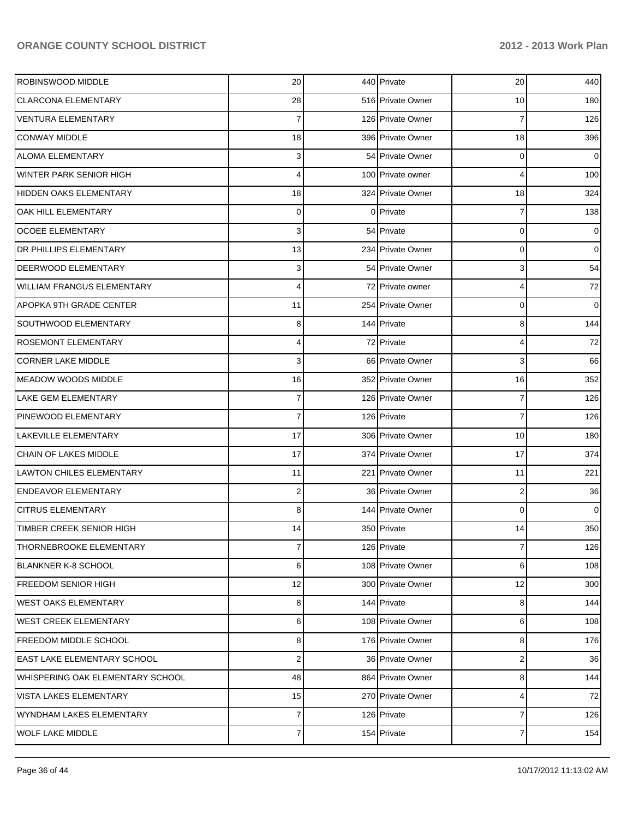| ROBINSWOOD MIDDLE                 | 20                      | 440 Private       | 20             | 440            |
|-----------------------------------|-------------------------|-------------------|----------------|----------------|
| <b>CLARCONA ELEMENTARY</b>        | 28                      | 516 Private Owner | 10             | 180            |
| <b>VENTURA ELEMENTARY</b>         | 7                       | 126 Private Owner | 7              | 126            |
| <b>CONWAY MIDDLE</b>              | 18                      | 396 Private Owner | 18             | 396            |
| <b>ALOMA ELEMENTARY</b>           | 3                       | 54 Private Owner  | 0              | $\overline{0}$ |
| <b>WINTER PARK SENIOR HIGH</b>    | 4                       | 100 Private owner | 4              | 100            |
| HIDDEN OAKS ELEMENTARY            | 18                      | 324 Private Owner | 18             | 324            |
| OAK HILL ELEMENTARY               | 0                       | 0 Private         | 7              | 138            |
| <b>OCOEE ELEMENTARY</b>           | $\overline{\mathbf{3}}$ | 54 Private        | 0              | $\overline{0}$ |
| <b>DR PHILLIPS ELEMENTARY</b>     | 13                      | 234 Private Owner | 0              | $\overline{0}$ |
| <b>DEERWOOD ELEMENTARY</b>        | 3                       | 54 Private Owner  | 3              | 54             |
| <b>WILLIAM FRANGUS ELEMENTARY</b> | 4                       | 72 Private owner  | 4              | 72             |
| <b>APOPKA 9TH GRADE CENTER</b>    | 11                      | 254 Private Owner | 0              | $\overline{0}$ |
| SOUTHWOOD ELEMENTARY              | 8                       | 144 Private       | 8              | 144            |
| <b>ROSEMONT ELEMENTARY</b>        | 4                       | 72 Private        | 4              | 72             |
| <b>CORNER LAKE MIDDLE</b>         | 3                       | 66 Private Owner  | 3              | 66             |
| <b>MEADOW WOODS MIDDLE</b>        | 16                      | 352 Private Owner | 16             | 352            |
| <b>LAKE GEM ELEMENTARY</b>        | 7                       | 126 Private Owner | 7              | 126            |
| PINEWOOD ELEMENTARY               | $\overline{7}$          | 126 Private       | 7              | 126            |
| LAKEVILLE ELEMENTARY              | 17                      | 306 Private Owner | 10             | 180            |
| CHAIN OF LAKES MIDDLE             | 17                      | 374 Private Owner | 17             | 374            |
| <b>LAWTON CHILES ELEMENTARY</b>   | 11                      | 221 Private Owner | 11             | 221            |
| <b>ENDEAVOR ELEMENTARY</b>        | $\boldsymbol{2}$        | 36 Private Owner  | $\overline{2}$ | 36             |
| <b>CITRUS ELEMENTARY</b>          | 8                       | 144 Private Owner | $\mathbf 0$    | $\overline{0}$ |
| <b>TIMBER CREEK SENIOR HIGH</b>   | 14                      | 350 Private       | 14             | 350            |
| THORNEBROOKE ELEMENTARY           | 7                       | 126 Private       | 7              | 126            |
| <b>BLANKNER K-8 SCHOOL</b>        | 6                       | 108 Private Owner | 6              | 108            |
| <b>FREEDOM SENIOR HIGH</b>        | 12                      | 300 Private Owner | 12             | 300            |
| <b>WEST OAKS ELEMENTARY</b>       | 8                       | 144 Private       | 8              | 144            |
| <b>WEST CREEK ELEMENTARY</b>      | 6                       | 108 Private Owner | 6              | 108            |
| <b>FREEDOM MIDDLE SCHOOL</b>      | 8                       | 176 Private Owner | 8              | 176            |
| EAST LAKE ELEMENTARY SCHOOL       | $\mathbf 2$             | 36 Private Owner  | $\overline{2}$ | 36             |
| WHISPERING OAK ELEMENTARY SCHOOL  | 48                      | 864 Private Owner | 8              | 144            |
| VISTA LAKES ELEMENTARY            | 15                      | 270 Private Owner | 4              | 72             |
| WYNDHAM LAKES ELEMENTARY          | 7                       | 126 Private       | 7              | 126            |
| <b>WOLF LAKE MIDDLE</b>           | $\overline{7}$          | 154 Private       | 7              | 154            |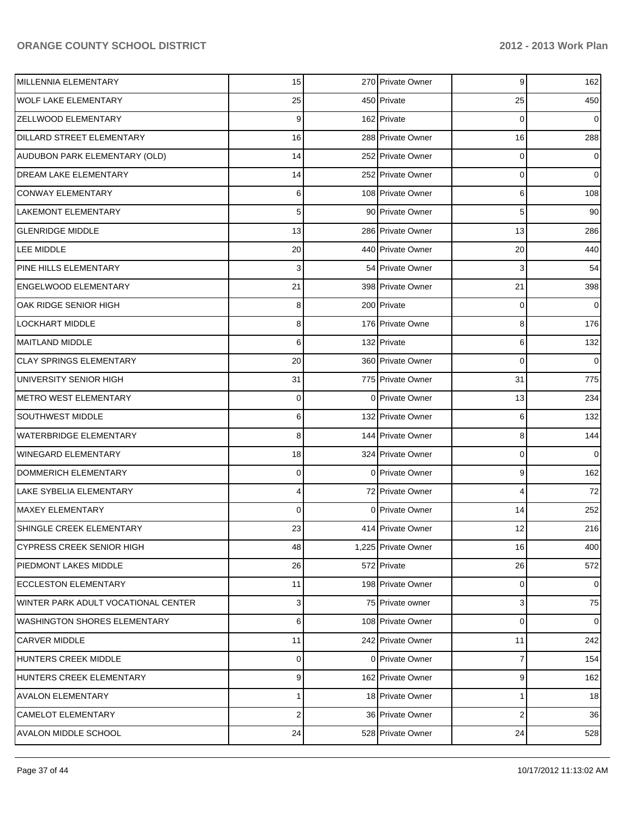| MILLENNIA ELEMENTARY                | 15             | 270 Private Owner   | 9                       | 162            |
|-------------------------------------|----------------|---------------------|-------------------------|----------------|
| <b>WOLF LAKE ELEMENTARY</b>         | 25             | 450 Private         | 25                      | 450            |
| <b>ZELLWOOD ELEMENTARY</b>          | 9              | 162 Private         | 0                       | $\overline{0}$ |
| <b>DILLARD STREET ELEMENTARY</b>    | 16             | 288 Private Owner   | 16                      | 288            |
| AUDUBON PARK ELEMENTARY (OLD)       | 14             | 252 Private Owner   | 0                       | $\overline{0}$ |
| DREAM LAKE ELEMENTARY               | 14             | 252 Private Owner   | 0                       | $\overline{0}$ |
| <b>CONWAY ELEMENTARY</b>            | 6              | 108 Private Owner   | 6                       | 108            |
| LAKEMONT ELEMENTARY                 | 5 <sup>1</sup> | 90 Private Owner    | 5                       | 90             |
| <b>GLENRIDGE MIDDLE</b>             | 13             | 286 Private Owner   | 13                      | 286            |
| LEE MIDDLE                          | 20             | 440 Private Owner   | 20                      | 440            |
| PINE HILLS ELEMENTARY               | 3              | 54 Private Owner    | 3                       | 54             |
| <b>ENGELWOOD ELEMENTARY</b>         | 21             | 398 Private Owner   | 21                      | 398            |
| OAK RIDGE SENIOR HIGH               | 8              | 200 Private         | 0                       | $\overline{0}$ |
| LOCKHART MIDDLE                     | 8              | 176 Private Owne    | 8                       | 176            |
| <b>MAITLAND MIDDLE</b>              | 6              | 132 Private         | 6                       | 132            |
| <b>CLAY SPRINGS ELEMENTARY</b>      | 20             | 360 Private Owner   | $\mathbf 0$             | $\overline{0}$ |
| UNIVERSITY SENIOR HIGH              | 31             | 775 Private Owner   | 31                      | 775            |
| <b>METRO WEST ELEMENTARY</b>        | 0              | 0 Private Owner     | 13                      | 234            |
| SOUTHWEST MIDDLE                    | 6              | 132 Private Owner   | 6                       | 132            |
| <b>WATERBRIDGE ELEMENTARY</b>       | 8              | 144 Private Owner   | 8                       | 144            |
| WINEGARD ELEMENTARY                 | 18             | 324 Private Owner   | 0                       | $\overline{0}$ |
| <b>DOMMERICH ELEMENTARY</b>         | 0              | 0 Private Owner     | 9                       | 162            |
| <b>LAKE SYBELIA ELEMENTARY</b>      | 4              | 72 Private Owner    | 4                       | 72             |
| <b>MAXEY ELEMENTARY</b>             | 0              | 0 Private Owner     | 14                      | 252            |
| SHINGLE CREEK ELEMENTARY            | 23             | 414 Private Owner   | 12                      | 216            |
| <b>CYPRESS CREEK SENIOR HIGH</b>    | 48             | 1,225 Private Owner | 16                      | 400            |
| <b>PIEDMONT LAKES MIDDLE</b>        | 26             | 572 Private         | 26                      | 572            |
| <b>ECCLESTON ELEMENTARY</b>         | 11             | 198 Private Owner   | 0                       | $\overline{0}$ |
| WINTER PARK ADULT VOCATIONAL CENTER | $\overline{3}$ | 75 Private owner    | 3                       | 75             |
| <b>WASHINGTON SHORES ELEMENTARY</b> | 6              | 108 Private Owner   | 0                       | $\overline{0}$ |
| <b>CARVER MIDDLE</b>                | 11             | 242 Private Owner   | 11                      | 242            |
| HUNTERS CREEK MIDDLE                | 0              | 0 Private Owner     | 7                       | 154            |
| HUNTERS CREEK ELEMENTARY            | 9              | 162 Private Owner   | 9                       | 162            |
| <b>AVALON ELEMENTARY</b>            | 1              | 18 Private Owner    | 1                       | 18             |
| <b>CAMELOT ELEMENTARY</b>           | $\mathbf 2$    | 36 Private Owner    | $\overline{\mathbf{c}}$ | 36             |
| AVALON MIDDLE SCHOOL                | 24             | 528 Private Owner   | 24                      | 528            |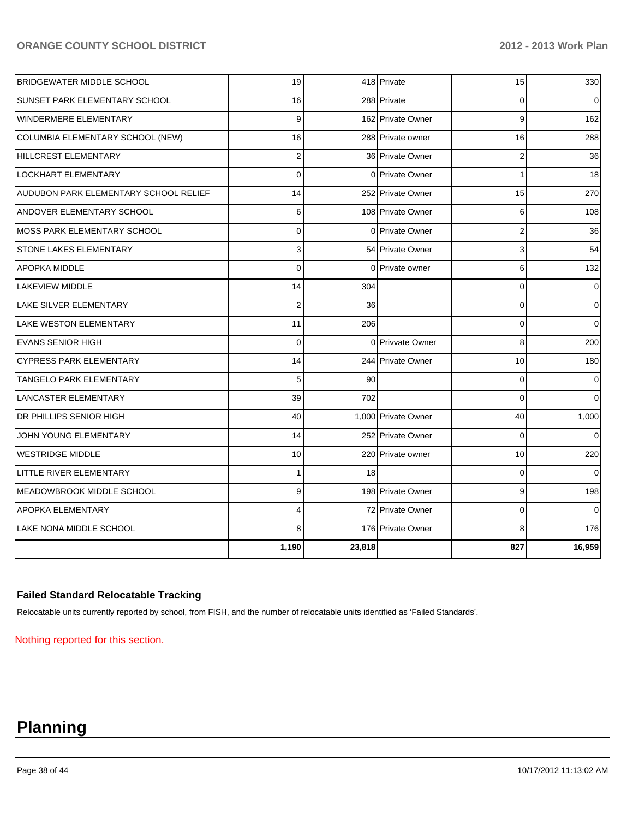| <b>BRIDGEWATER MIDDLE SCHOOL</b>      | 19             |        | 418 Private         | 15             | 330            |
|---------------------------------------|----------------|--------|---------------------|----------------|----------------|
| <b>SUNSET PARK ELEMENTARY SCHOOL</b>  | 16             |        | 288 Private         | $\Omega$       | $\overline{0}$ |
| WINDERMERE ELEMENTARY                 | 9              |        | 162 Private Owner   | 9              | 162            |
| COLUMBIA ELEMENTARY SCHOOL (NEW)      | 16             |        | 288 Private owner   | 16             | 288            |
| <b>HILLCREST ELEMENTARY</b>           | $\overline{2}$ |        | 36 Private Owner    | 2              | 36             |
| LOCKHART ELEMENTARY                   | $\mathbf 0$    |        | 0 Private Owner     | 1              | 18             |
| AUDUBON PARK ELEMENTARY SCHOOL RELIEF | 14             |        | 252 Private Owner   | 15             | 270            |
| <b>ANDOVER ELEMENTARY SCHOOL</b>      | 6              |        | 108 Private Owner   | 6              | 108            |
| MOSS PARK ELEMENTARY SCHOOL           | $\overline{0}$ |        | 0 Private Owner     | $\overline{2}$ | 36             |
| <b>STONE LAKES ELEMENTARY</b>         | 3              |        | 54 Private Owner    | 3              | 54             |
| <b>APOPKA MIDDLE</b>                  | $\Omega$       |        | 0 Private owner     | 6              | 132            |
| LAKEVIEW MIDDLE                       | 14             | 304    |                     | $\Omega$       | $\overline{0}$ |
| <b>LAKE SILVER ELEMENTARY</b>         | $\overline{2}$ | 36     |                     | $\mathbf 0$    | $\overline{0}$ |
| <b>LAKE WESTON ELEMENTARY</b>         | 11             | 206    |                     | $\Omega$       | $\overline{0}$ |
| <b>EVANS SENIOR HIGH</b>              | $\mathbf 0$    |        | 0 Privvate Owner    | 8              | 200            |
| <b>CYPRESS PARK ELEMENTARY</b>        | 14             |        | 244 Private Owner   | 10             | 180            |
| TANGELO PARK ELEMENTARY               | 5              | 90     |                     | 0              | 0              |
| <b>LANCASTER ELEMENTARY</b>           | 39             | 702    |                     | $\Omega$       | $\Omega$       |
| DR PHILLIPS SENIOR HIGH               | 40             |        | 1,000 Private Owner | 40             | 1,000          |
| JOHN YOUNG ELEMENTARY                 | 14             |        | 252 Private Owner   | $\mathbf 0$    | $\overline{0}$ |
| <b>WESTRIDGE MIDDLE</b>               | 10             |        | 220 Private owner   | 10             | 220            |
| LITTLE RIVER ELEMENTARY               | 1              | 18     |                     | $\mathbf 0$    | $\overline{0}$ |
| MEADOWBROOK MIDDLE SCHOOL             | 9              |        | 198 Private Owner   | 9              | 198            |
| <b>APOPKA ELEMENTARY</b>              | 4              |        | 72 Private Owner    | $\mathbf 0$    | $\Omega$       |
| LAKE NONA MIDDLE SCHOOL               | 8              |        | 176 Private Owner   | 8              | 176            |
|                                       | 1,190          | 23,818 |                     | 827            | 16,959         |

#### **Failed Standard Relocatable Tracking**

Relocatable units currently reported by school, from FISH, and the number of relocatable units identified as 'Failed Standards'.

Nothing reported for this section.

## **Planning**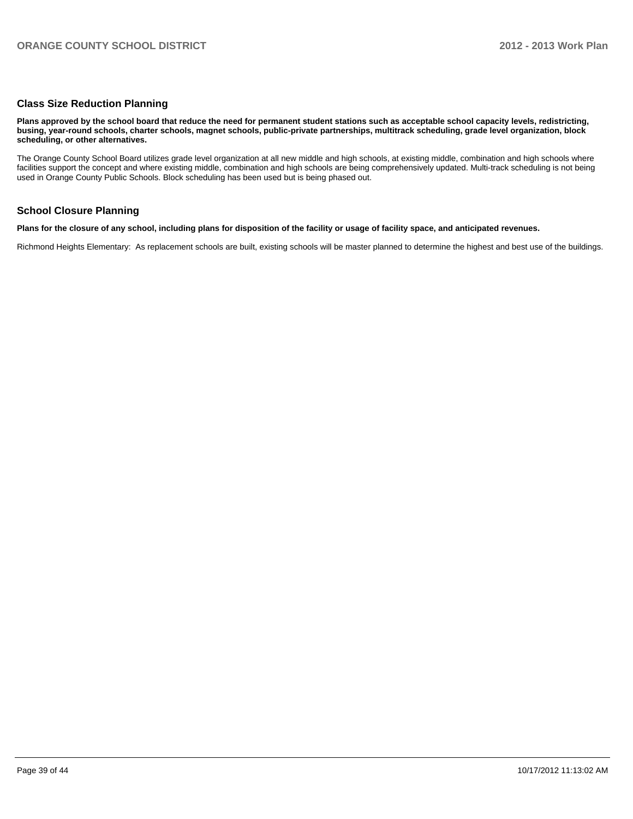#### **Class Size Reduction Planning**

**Plans approved by the school board that reduce the need for permanent student stations such as acceptable school capacity levels, redistricting, busing, year-round schools, charter schools, magnet schools, public-private partnerships, multitrack scheduling, grade level organization, block scheduling, or other alternatives.**

The Orange County School Board utilizes grade level organization at all new middle and high schools, at existing middle, combination and high schools where facilities support the concept and where existing middle, combination and high schools are being comprehensively updated. Multi-track scheduling is not being used in Orange County Public Schools. Block scheduling has been used but is being phased out.

#### **School Closure Planning**

**Plans for the closure of any school, including plans for disposition of the facility or usage of facility space, and anticipated revenues.**

Richmond Heights Elementary: As replacement schools are built, existing schools will be master planned to determine the highest and best use of the buildings.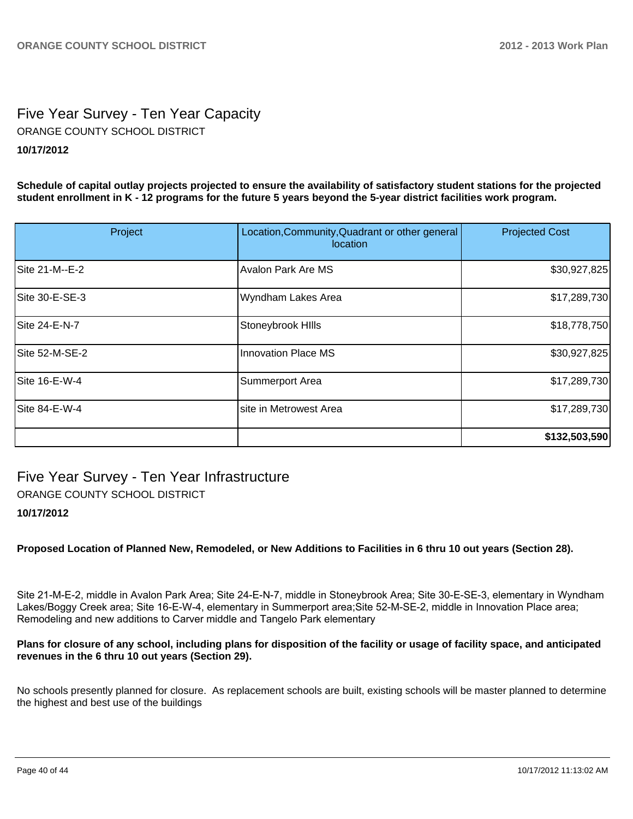### Five Year Survey - Ten Year Capacity **10/17/2012** ORANGE COUNTY SCHOOL DISTRICT

**Schedule of capital outlay projects projected to ensure the availability of satisfactory student stations for the projected student enrollment in K - 12 programs for the future 5 years beyond the 5-year district facilities work program.**

| Project        | Location, Community, Quadrant or other general<br>location | <b>Projected Cost</b> |
|----------------|------------------------------------------------------------|-----------------------|
| Site 21-M--E-2 | <b>Avalon Park Are MS</b>                                  | \$30,927,825          |
| Site 30-E-SE-3 | Wyndham Lakes Area                                         | \$17,289,730          |
| Site 24-E-N-7  | Stoneybrook Hills                                          | \$18,778,750          |
| Site 52-M-SE-2 | <b>Innovation Place MS</b>                                 | \$30,927,825          |
| Site 16-E-W-4  | Summerport Area                                            | \$17,289,730          |
| Site 84-E-W-4  | site in Metrowest Area                                     | \$17,289,730          |
|                |                                                            | \$132,503,590         |

## Five Year Survey - Ten Year Infrastructure

ORANGE COUNTY SCHOOL DISTRICT

#### **10/17/2012**

**Proposed Location of Planned New, Remodeled, or New Additions to Facilities in 6 thru 10 out years (Section 28).**

Site 21-M-E-2, middle in Avalon Park Area; Site 24-E-N-7, middle in Stoneybrook Area; Site 30-E-SE-3, elementary in Wyndham Lakes/Boggy Creek area; Site 16-E-W-4, elementary in Summerport area; Site 52-M-SE-2, middle in Innovation Place area; Remodeling and new additions to Carver middle and Tangelo Park elementary

#### **Plans for closure of any school, including plans for disposition of the facility or usage of facility space, and anticipated revenues in the 6 thru 10 out years (Section 29).**

No schools presently planned for closure. As replacement schools are built, existing schools will be master planned to determine the highest and best use of the buildings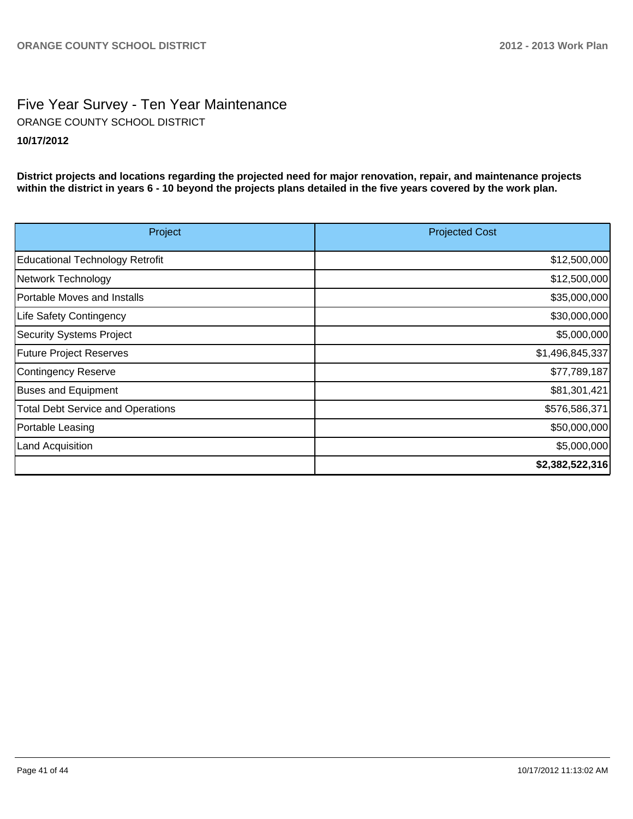### Five Year Survey - Ten Year Maintenance **10/17/2012** ORANGE COUNTY SCHOOL DISTRICT

**District projects and locations regarding the projected need for major renovation, repair, and maintenance projects within the district in years 6 - 10 beyond the projects plans detailed in the five years covered by the work plan.**

| Project                                  | <b>Projected Cost</b> |
|------------------------------------------|-----------------------|
| Educational Technology Retrofit          | \$12,500,000          |
| Network Technology                       | \$12,500,000          |
| Portable Moves and Installs              | \$35,000,000          |
| Life Safety Contingency                  | \$30,000,000          |
| Security Systems Project                 | \$5,000,000           |
| <b>Future Project Reserves</b>           | \$1,496,845,337       |
| Contingency Reserve                      | \$77,789,187          |
| <b>Buses and Equipment</b>               | \$81,301,421          |
| <b>Total Debt Service and Operations</b> | \$576,586,371         |
| Portable Leasing                         | \$50,000,000          |
| Land Acquisition                         | \$5,000,000           |
|                                          | \$2,382,522,316       |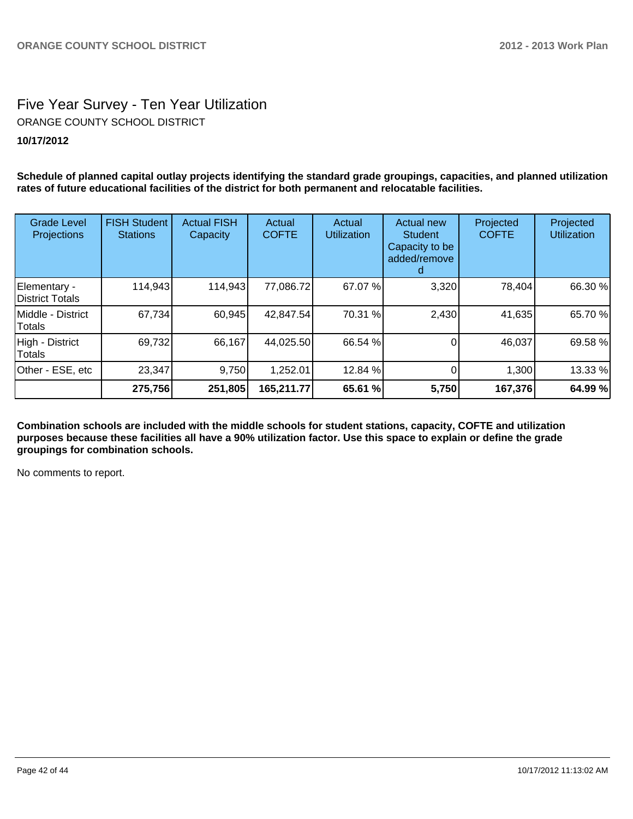### Five Year Survey - Ten Year Utilization **10/17/2012** ORANGE COUNTY SCHOOL DISTRICT

**Schedule of planned capital outlay projects identifying the standard grade groupings, capacities, and planned utilization rates of future educational facilities of the district for both permanent and relocatable facilities.**

| <b>Grade Level</b><br>Projections | <b>FISH Student</b><br><b>Stations</b> | <b>Actual FISH</b><br>Capacity | Actual<br><b>COFTE</b> | Actual<br><b>Utilization</b> | <b>Actual new</b><br>Student<br>Capacity to be<br>added/remove | Projected<br><b>COFTE</b> | Projected<br><b>Utilization</b> |
|-----------------------------------|----------------------------------------|--------------------------------|------------------------|------------------------------|----------------------------------------------------------------|---------------------------|---------------------------------|
| Elementary -<br>District Totals   | 114,943                                | 114,943                        | 77,086.72              | 67.07 %                      | 3,320                                                          | 78,404                    | 66.30 %                         |
| IMiddle - District<br>Totals      | 67,734                                 | 60,945                         | 42,847.54              | 70.31 %                      | 2,430                                                          | 41,635                    | 65.70 %                         |
| High - District<br>Totals         | 69,732                                 | 66,167                         | 44,025.50              | 66.54 %                      |                                                                | 46,037                    | 69.58 %                         |
| Other - ESE, etc                  | 23,347                                 | 9,750                          | 1,252.01               | 12.84 %                      |                                                                | 1,300                     | 13.33 %                         |
|                                   | 275,756                                | 251,805                        | 165,211.77             | 65.61 %                      | 5,750                                                          | 167,376                   | 64.99 %                         |

**Combination schools are included with the middle schools for student stations, capacity, COFTE and utilization purposes because these facilities all have a 90% utilization factor. Use this space to explain or define the grade groupings for combination schools.**

No comments to report.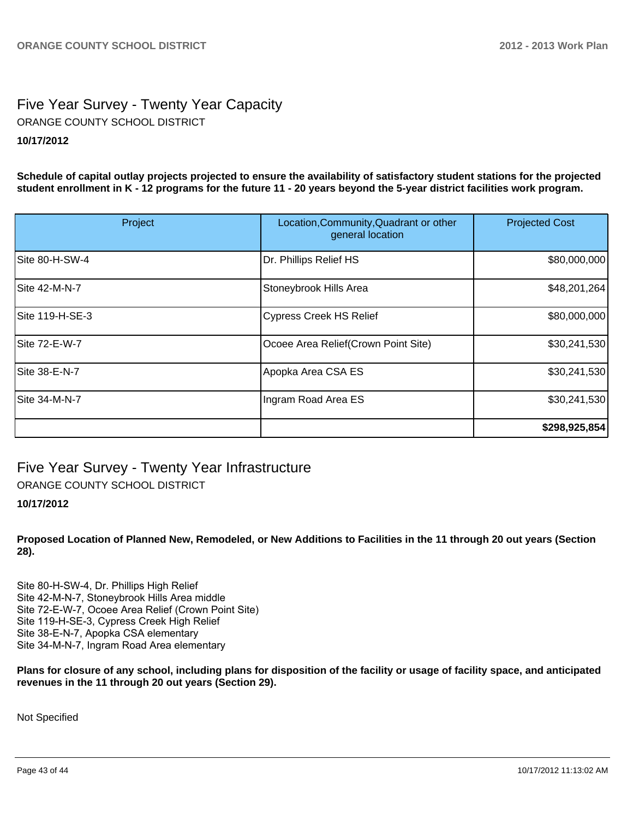### Five Year Survey - Twenty Year Capacity **10/17/2012** ORANGE COUNTY SCHOOL DISTRICT

**Schedule of capital outlay projects projected to ensure the availability of satisfactory student stations for the projected student enrollment in K - 12 programs for the future 11 - 20 years beyond the 5-year district facilities work program.**

| Project         | Location, Community, Quadrant or other<br>general location | <b>Projected Cost</b> |
|-----------------|------------------------------------------------------------|-----------------------|
| Site 80-H-SW-4  | Dr. Phillips Relief HS                                     | \$80,000,000          |
| Site 42-M-N-7   | Stoneybrook Hills Area                                     | \$48,201,264]         |
| Site 119-H-SE-3 | <b>Cypress Creek HS Relief</b>                             | \$80,000,000          |
| Site 72-E-W-7   | Ocoee Area Relief (Crown Point Site)                       | \$30,241,530          |
| Site 38-E-N-7   | Apopka Area CSA ES                                         | \$30,241,530          |
| Site 34-M-N-7   | Ingram Road Area ES                                        | \$30,241,530          |
|                 |                                                            | \$298,925,854         |

Five Year Survey - Twenty Year Infrastructure

ORANGE COUNTY SCHOOL DISTRICT

#### **10/17/2012**

**Proposed Location of Planned New, Remodeled, or New Additions to Facilities in the 11 through 20 out years (Section 28).**

Site 80-H-SW-4, Dr. Phillips High Relief Site 42-M-N-7. Stonevbrook Hills Area middle Site 72-E-W-7, Ocoee Area Relief (Crown Point Site) Site 119-H-SE-3, Cypress Creek High Relief Site 38-E-N-7, Apopka CSA elementary Site 34-M-N-7, Ingram Road Area elementary

**Plans for closure of any school, including plans for disposition of the facility or usage of facility space, and anticipated revenues in the 11 through 20 out years (Section 29).**

Not Specified